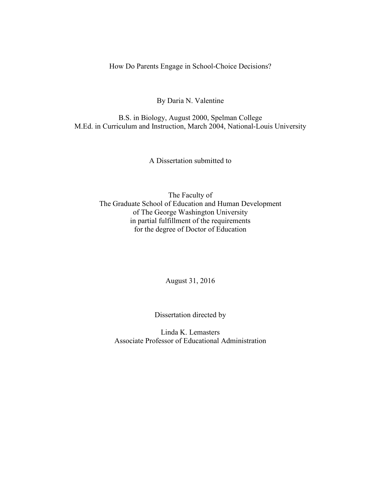How Do Parents Engage in School-Choice Decisions?

By Daria N. Valentine

B.S. in Biology, August 2000, Spelman College M.Ed. in Curriculum and Instruction, March 2004, National-Louis University

A Dissertation submitted to

The Faculty of The Graduate School of Education and Human Development of The George Washington University in partial fulfillment of the requirements for the degree of Doctor of Education

August 31, 2016

Dissertation directed by

Linda K. Lemasters Associate Professor of Educational Administration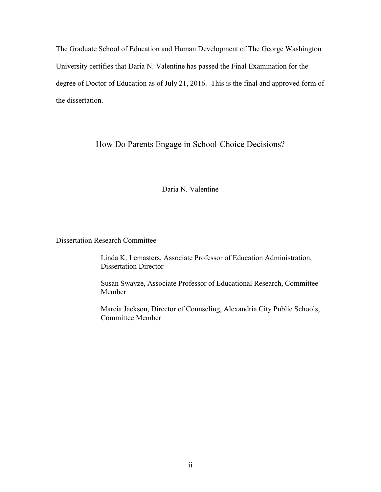The Graduate School of Education and Human Development of The George Washington University certifies that Daria N. Valentine has passed the Final Examination for the degree of Doctor of Education as of July 21, 2016. This is the final and approved form of the dissertation.

How Do Parents Engage in School-Choice Decisions?

Daria N. Valentine

Dissertation Research Committee

Linda K. Lemasters, Associate Professor of Education Administration, Dissertation Director

Susan Swayze, Associate Professor of Educational Research, Committee Member

Marcia Jackson, Director of Counseling, Alexandria City Public Schools, Committee Member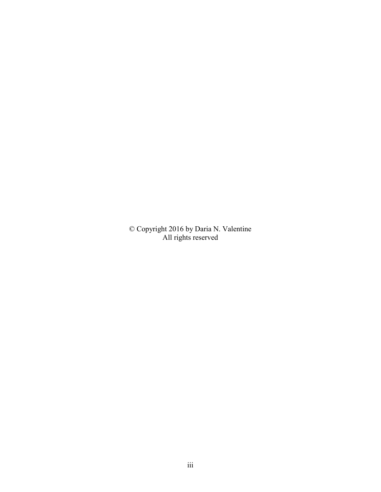© Copyright 2016 by Daria N. Valentine All rights reserved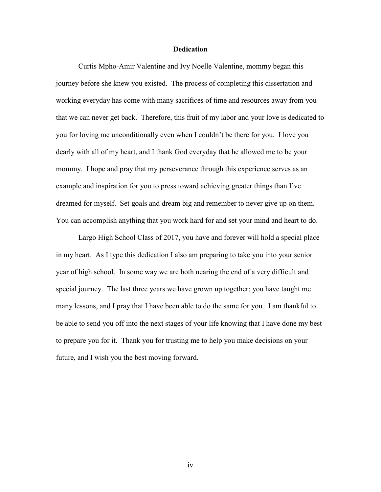## **Dedication**

Curtis Mpho-Amir Valentine and Ivy Noelle Valentine, mommy began this journey before she knew you existed. The process of completing this dissertation and working everyday has come with many sacrifices of time and resources away from you that we can never get back. Therefore, this fruit of my labor and your love is dedicated to you for loving me unconditionally even when I couldn't be there for you. I love you dearly with all of my heart, and I thank God everyday that he allowed me to be your mommy. I hope and pray that my perseverance through this experience serves as an example and inspiration for you to press toward achieving greater things than I've dreamed for myself. Set goals and dream big and remember to never give up on them. You can accomplish anything that you work hard for and set your mind and heart to do.

 Largo High School Class of 2017, you have and forever will hold a special place in my heart. As I type this dedication I also am preparing to take you into your senior year of high school. In some way we are both nearing the end of a very difficult and special journey. The last three years we have grown up together; you have taught me many lessons, and I pray that I have been able to do the same for you. I am thankful to be able to send you off into the next stages of your life knowing that I have done my best to prepare you for it. Thank you for trusting me to help you make decisions on your future, and I wish you the best moving forward.

iv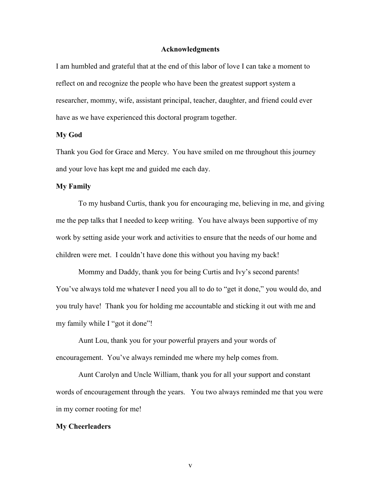#### **Acknowledgments**

I am humbled and grateful that at the end of this labor of love I can take a moment to reflect on and recognize the people who have been the greatest support system a researcher, mommy, wife, assistant principal, teacher, daughter, and friend could ever have as we have experienced this doctoral program together.

#### **My God**

Thank you God for Grace and Mercy. You have smiled on me throughout this journey and your love has kept me and guided me each day.

#### **My Family**

To my husband Curtis, thank you for encouraging me, believing in me, and giving me the pep talks that I needed to keep writing. You have always been supportive of my work by setting aside your work and activities to ensure that the needs of our home and children were met. I couldn't have done this without you having my back!

Mommy and Daddy, thank you for being Curtis and Ivy's second parents! You've always told me whatever I need you all to do to "get it done," you would do, and you truly have! Thank you for holding me accountable and sticking it out with me and my family while I "got it done"!

Aunt Lou, thank you for your powerful prayers and your words of encouragement. You've always reminded me where my help comes from.

Aunt Carolyn and Uncle William, thank you for all your support and constant words of encouragement through the years. You two always reminded me that you were in my corner rooting for me!

#### **My Cheerleaders**

v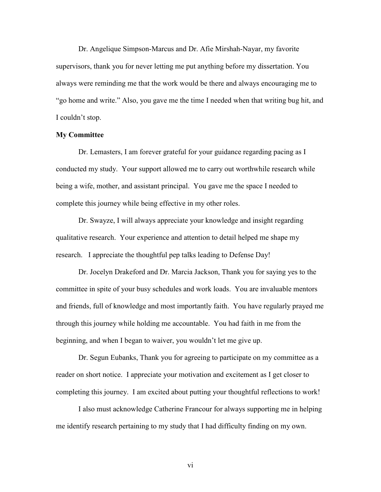Dr. Angelique Simpson-Marcus and Dr. Afie Mirshah-Nayar, my favorite supervisors, thank you for never letting me put anything before my dissertation. You always were reminding me that the work would be there and always encouraging me to "go home and write." Also, you gave me the time I needed when that writing bug hit, and I couldn't stop.

### **My Committee**

Dr. Lemasters, I am forever grateful for your guidance regarding pacing as I conducted my study. Your support allowed me to carry out worthwhile research while being a wife, mother, and assistant principal. You gave me the space I needed to complete this journey while being effective in my other roles.

Dr. Swayze, I will always appreciate your knowledge and insight regarding qualitative research. Your experience and attention to detail helped me shape my research. I appreciate the thoughtful pep talks leading to Defense Day!

Dr. Jocelyn Drakeford and Dr. Marcia Jackson, Thank you for saying yes to the committee in spite of your busy schedules and work loads. You are invaluable mentors and friends, full of knowledge and most importantly faith. You have regularly prayed me through this journey while holding me accountable. You had faith in me from the beginning, and when I began to waiver, you wouldn't let me give up.

Dr. Segun Eubanks, Thank you for agreeing to participate on my committee as a reader on short notice. I appreciate your motivation and excitement as I get closer to completing this journey. I am excited about putting your thoughtful reflections to work!

I also must acknowledge Catherine Francour for always supporting me in helping me identify research pertaining to my study that I had difficulty finding on my own.

vi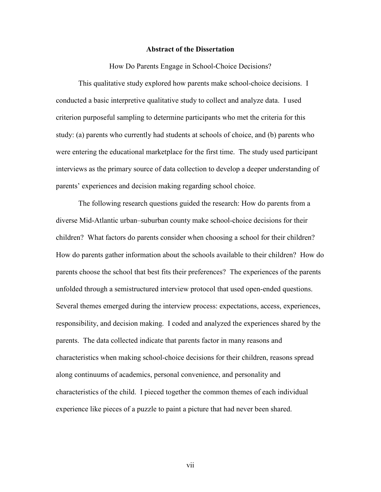#### **Abstract of the Dissertation**

How Do Parents Engage in School-Choice Decisions?

This qualitative study explored how parents make school-choice decisions. I conducted a basic interpretive qualitative study to collect and analyze data. I used criterion purposeful sampling to determine participants who met the criteria for this study: (a) parents who currently had students at schools of choice, and (b) parents who were entering the educational marketplace for the first time. The study used participant interviews as the primary source of data collection to develop a deeper understanding of parents' experiences and decision making regarding school choice.

The following research questions guided the research: How do parents from a diverse Mid-Atlantic urban–suburban county make school-choice decisions for their children? What factors do parents consider when choosing a school for their children? How do parents gather information about the schools available to their children? How do parents choose the school that best fits their preferences? The experiences of the parents unfolded through a semistructured interview protocol that used open-ended questions. Several themes emerged during the interview process: expectations, access, experiences, responsibility, and decision making. I coded and analyzed the experiences shared by the parents. The data collected indicate that parents factor in many reasons and characteristics when making school-choice decisions for their children, reasons spread along continuums of academics, personal convenience, and personality and characteristics of the child. I pieced together the common themes of each individual experience like pieces of a puzzle to paint a picture that had never been shared.

vii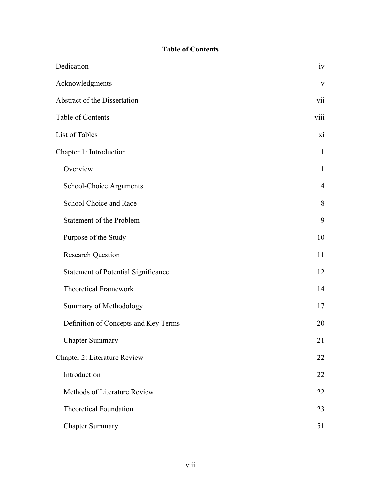# **Table of Contents**

| Dedication                                 | iv             |
|--------------------------------------------|----------------|
| Acknowledgments                            | $\mathbf{V}$   |
| Abstract of the Dissertation               | vii            |
| Table of Contents                          | viii           |
| List of Tables                             | xi             |
| Chapter 1: Introduction                    | $\mathbf{1}$   |
| Overview                                   | $\mathbf{1}$   |
| School-Choice Arguments                    | $\overline{4}$ |
| School Choice and Race                     | 8              |
| Statement of the Problem                   | 9              |
| Purpose of the Study                       | 10             |
| <b>Research Question</b>                   | 11             |
| <b>Statement of Potential Significance</b> | 12             |
| <b>Theoretical Framework</b>               | 14             |
| Summary of Methodology                     | 17             |
| Definition of Concepts and Key Terms       | 20             |
| <b>Chapter Summary</b>                     | 21             |
| Chapter 2: Literature Review               | 22             |
| Introduction                               | 22             |
| Methods of Literature Review               | 22             |
| <b>Theoretical Foundation</b>              | 23             |
| <b>Chapter Summary</b>                     | 51             |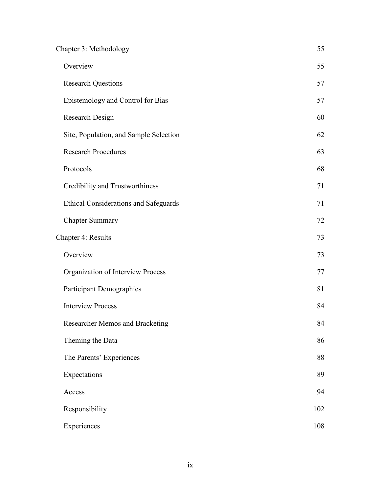| Chapter 3: Methodology                       | 55  |
|----------------------------------------------|-----|
| Overview                                     | 55  |
| <b>Research Questions</b>                    | 57  |
| Epistemology and Control for Bias            | 57  |
| Research Design                              | 60  |
| Site, Population, and Sample Selection       | 62  |
| <b>Research Procedures</b>                   | 63  |
| Protocols                                    | 68  |
| Credibility and Trustworthiness              | 71  |
| <b>Ethical Considerations and Safeguards</b> | 71  |
| <b>Chapter Summary</b>                       | 72  |
| Chapter 4: Results                           | 73  |
| Overview                                     | 73  |
| Organization of Interview Process            | 77  |
| Participant Demographics                     | 81  |
| <b>Interview Process</b>                     | 84  |
| Researcher Memos and Bracketing              | 84  |
| Theming the Data                             | 86  |
| The Parents' Experiences                     | 88  |
| Expectations                                 | 89  |
| Access                                       | 94  |
| Responsibility                               | 102 |
| Experiences                                  | 108 |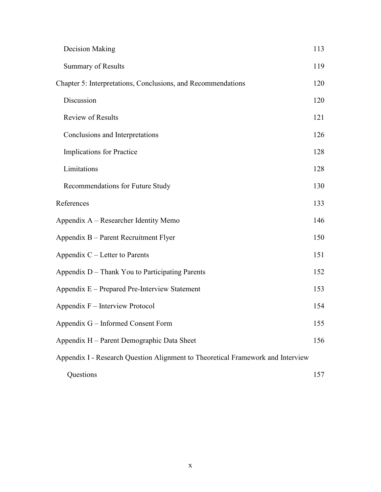| Decision Making                                                                 | 113 |
|---------------------------------------------------------------------------------|-----|
| <b>Summary of Results</b>                                                       | 119 |
| Chapter 5: Interpretations, Conclusions, and Recommendations                    | 120 |
| Discussion                                                                      | 120 |
| <b>Review of Results</b>                                                        | 121 |
| Conclusions and Interpretations                                                 | 126 |
| Implications for Practice                                                       | 128 |
| Limitations                                                                     | 128 |
| Recommendations for Future Study                                                | 130 |
| References                                                                      | 133 |
| Appendix A – Researcher Identity Memo                                           | 146 |
| Appendix B – Parent Recruitment Flyer                                           | 150 |
| Appendix $C$ – Letter to Parents                                                | 151 |
| Appendix D - Thank You to Participating Parents                                 | 152 |
| Appendix E - Prepared Pre-Interview Statement                                   | 153 |
| Appendix F – Interview Protocol                                                 | 154 |
| Appendix G - Informed Consent Form                                              | 155 |
| Appendix H - Parent Demographic Data Sheet                                      | 156 |
| Appendix I - Research Question Alignment to Theoretical Framework and Interview |     |
| Questions                                                                       | 157 |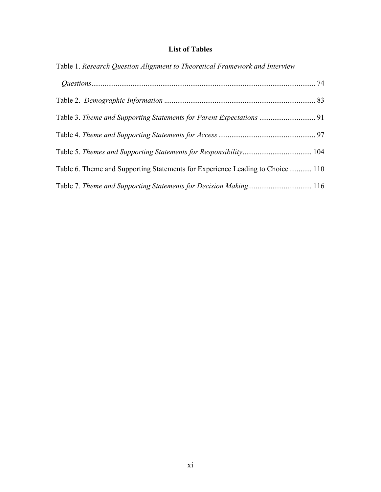## **List of Tables**

| Table 1. Research Question Alignment to Theoretical Framework and Interview    |  |
|--------------------------------------------------------------------------------|--|
|                                                                                |  |
|                                                                                |  |
|                                                                                |  |
|                                                                                |  |
|                                                                                |  |
| Table 6. Theme and Supporting Statements for Experience Leading to Choice  110 |  |
| Table 7. Theme and Supporting Statements for Decision Making 116               |  |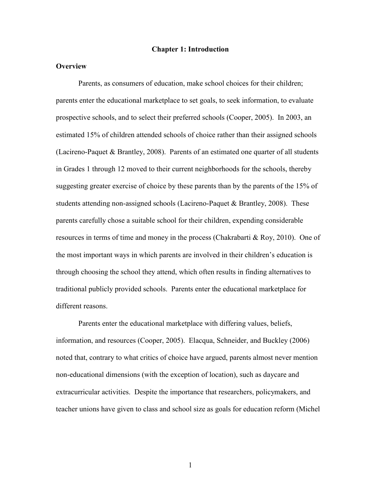#### **Chapter 1: Introduction**

## **Overview**

Parents, as consumers of education, make school choices for their children; parents enter the educational marketplace to set goals, to seek information, to evaluate prospective schools, and to select their preferred schools (Cooper, 2005). In 2003, an estimated 15% of children attended schools of choice rather than their assigned schools (Lacireno-Paquet & Brantley, 2008). Parents of an estimated one quarter of all students in Grades 1 through 12 moved to their current neighborhoods for the schools, thereby suggesting greater exercise of choice by these parents than by the parents of the 15% of students attending non-assigned schools (Lacireno-Paquet & Brantley, 2008). These parents carefully chose a suitable school for their children, expending considerable resources in terms of time and money in the process (Chakrabarti & Roy, 2010). One of the most important ways in which parents are involved in their children's education is through choosing the school they attend, which often results in finding alternatives to traditional publicly provided schools. Parents enter the educational marketplace for different reasons.

Parents enter the educational marketplace with differing values, beliefs, information, and resources (Cooper, 2005). Elacqua, Schneider, and Buckley (2006) noted that, contrary to what critics of choice have argued, parents almost never mention non-educational dimensions (with the exception of location), such as daycare and extracurricular activities. Despite the importance that researchers, policymakers, and teacher unions have given to class and school size as goals for education reform (Michel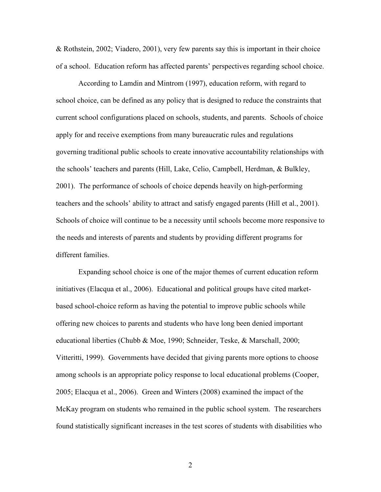& Rothstein, 2002; Viadero, 2001), very few parents say this is important in their choice of a school. Education reform has affected parents' perspectives regarding school choice.

According to Lamdin and Mintrom (1997), education reform, with regard to school choice, can be defined as any policy that is designed to reduce the constraints that current school configurations placed on schools, students, and parents. Schools of choice apply for and receive exemptions from many bureaucratic rules and regulations governing traditional public schools to create innovative accountability relationships with the schools' teachers and parents (Hill, Lake, Celio, Campbell, Herdman, & Bulkley, 2001). The performance of schools of choice depends heavily on high-performing teachers and the schools' ability to attract and satisfy engaged parents (Hill et al., 2001). Schools of choice will continue to be a necessity until schools become more responsive to the needs and interests of parents and students by providing different programs for different families.

Expanding school choice is one of the major themes of current education reform initiatives (Elacqua et al., 2006). Educational and political groups have cited marketbased school-choice reform as having the potential to improve public schools while offering new choices to parents and students who have long been denied important educational liberties (Chubb & Moe, 1990; Schneider, Teske, & Marschall, 2000; Vitteritti, 1999). Governments have decided that giving parents more options to choose among schools is an appropriate policy response to local educational problems (Cooper, 2005; Elacqua et al., 2006). Green and Winters (2008) examined the impact of the McKay program on students who remained in the public school system. The researchers found statistically significant increases in the test scores of students with disabilities who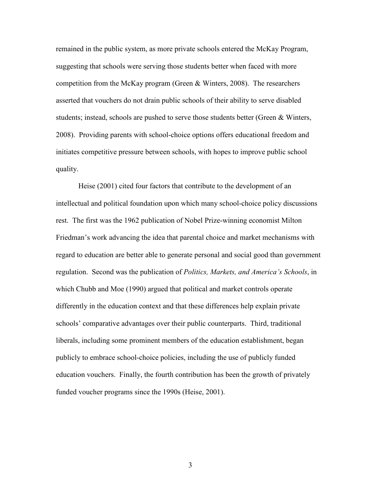remained in the public system, as more private schools entered the McKay Program, suggesting that schools were serving those students better when faced with more competition from the McKay program (Green  $\&$  Winters, 2008). The researchers asserted that vouchers do not drain public schools of their ability to serve disabled students; instead, schools are pushed to serve those students better (Green & Winters, 2008). Providing parents with school-choice options offers educational freedom and initiates competitive pressure between schools, with hopes to improve public school quality.

Heise (2001) cited four factors that contribute to the development of an intellectual and political foundation upon which many school-choice policy discussions rest. The first was the 1962 publication of Nobel Prize-winning economist Milton Friedman's work advancing the idea that parental choice and market mechanisms with regard to education are better able to generate personal and social good than government regulation. Second was the publication of *Politics, Markets, and America's Schools*, in which Chubb and Moe (1990) argued that political and market controls operate differently in the education context and that these differences help explain private schools' comparative advantages over their public counterparts. Third, traditional liberals, including some prominent members of the education establishment, began publicly to embrace school-choice policies, including the use of publicly funded education vouchers. Finally, the fourth contribution has been the growth of privately funded voucher programs since the 1990s (Heise, 2001).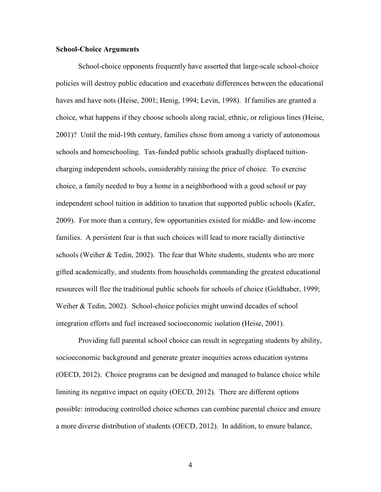### **School-Choice Arguments**

School-choice opponents frequently have asserted that large-scale school-choice policies will destroy public education and exacerbate differences between the educational haves and have nots (Heise, 2001; Henig, 1994; Levin, 1998). If families are granted a choice, what happens if they choose schools along racial, ethnic, or religious lines (Heise, 2001)? Until the mid-19th century, families chose from among a variety of autonomous schools and homeschooling. Tax-funded public schools gradually displaced tuitioncharging independent schools, considerably raising the price of choice. To exercise choice, a family needed to buy a home in a neighborhood with a good school or pay independent school tuition in addition to taxation that supported public schools (Kafer, 2009). For more than a century, few opportunities existed for middle- and low-income families. A persistent fear is that such choices will lead to more racially distinctive schools (Weiher & Tedin, 2002). The fear that White students, students who are more gifted academically, and students from households commanding the greatest educational resources will flee the traditional public schools for schools of choice (Goldhaber, 1999; Weiher & Tedin, 2002). School-choice policies might unwind decades of school integration efforts and fuel increased socioeconomic isolation (Heise, 2001).

Providing full parental school choice can result in segregating students by ability, socioeconomic background and generate greater inequities across education systems (OECD, 2012). Choice programs can be designed and managed to balance choice while limiting its negative impact on equity (OECD, 2012). There are different options possible: introducing controlled choice schemes can combine parental choice and ensure a more diverse distribution of students (OECD, 2012). In addition, to ensure balance,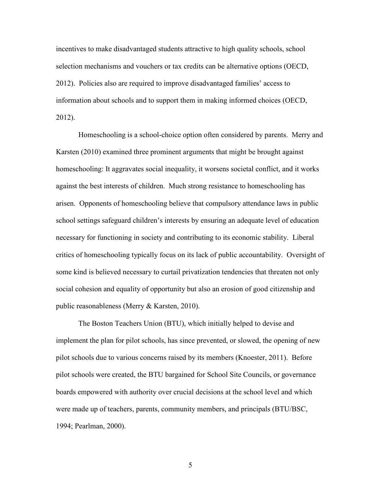incentives to make disadvantaged students attractive to high quality schools, school selection mechanisms and vouchers or tax credits can be alternative options (OECD, 2012). Policies also are required to improve disadvantaged families' access to information about schools and to support them in making informed choices (OECD, 2012).

Homeschooling is a school-choice option often considered by parents. Merry and Karsten (2010) examined three prominent arguments that might be brought against homeschooling: It aggravates social inequality, it worsens societal conflict, and it works against the best interests of children. Much strong resistance to homeschooling has arisen. Opponents of homeschooling believe that compulsory attendance laws in public school settings safeguard children's interests by ensuring an adequate level of education necessary for functioning in society and contributing to its economic stability. Liberal critics of homeschooling typically focus on its lack of public accountability. Oversight of some kind is believed necessary to curtail privatization tendencies that threaten not only social cohesion and equality of opportunity but also an erosion of good citizenship and public reasonableness (Merry & Karsten, 2010).

The Boston Teachers Union (BTU), which initially helped to devise and implement the plan for pilot schools, has since prevented, or slowed, the opening of new pilot schools due to various concerns raised by its members (Knoester, 2011). Before pilot schools were created, the BTU bargained for School Site Councils, or governance boards empowered with authority over crucial decisions at the school level and which were made up of teachers, parents, community members, and principals (BTU/BSC, 1994; Pearlman, 2000).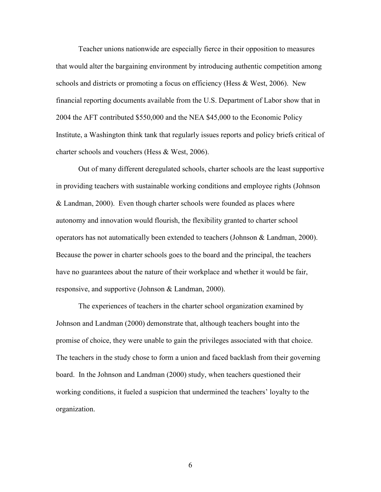Teacher unions nationwide are especially fierce in their opposition to measures that would alter the bargaining environment by introducing authentic competition among schools and districts or promoting a focus on efficiency (Hess & West, 2006). New financial reporting documents available from the U.S. Department of Labor show that in 2004 the AFT contributed \$550,000 and the NEA \$45,000 to the Economic Policy Institute, a Washington think tank that regularly issues reports and policy briefs critical of charter schools and vouchers (Hess & West, 2006).

Out of many different deregulated schools, charter schools are the least supportive in providing teachers with sustainable working conditions and employee rights (Johnson & Landman, 2000). Even though charter schools were founded as places where autonomy and innovation would flourish, the flexibility granted to charter school operators has not automatically been extended to teachers (Johnson & Landman, 2000). Because the power in charter schools goes to the board and the principal, the teachers have no guarantees about the nature of their workplace and whether it would be fair, responsive, and supportive (Johnson & Landman, 2000).

The experiences of teachers in the charter school organization examined by Johnson and Landman (2000) demonstrate that, although teachers bought into the promise of choice, they were unable to gain the privileges associated with that choice. The teachers in the study chose to form a union and faced backlash from their governing board. In the Johnson and Landman (2000) study, when teachers questioned their working conditions, it fueled a suspicion that undermined the teachers' loyalty to the organization.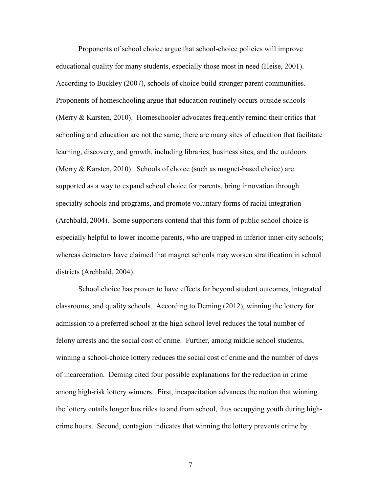Proponents of school choice argue that school-choice policies will improve educational quality for many students, especially those most in need (Heise, 2001). According to Buckley (2007), schools of choice build stronger parent communities. Proponents of homeschooling argue that education routinely occurs outside schools (Merry & Karsten, 2010). Homeschooler advocates frequently remind their critics that schooling and education are not the same; there are many sites of education that facilitate learning, discovery, and growth, including libraries, business sites, and the outdoors (Merry & Karsten, 2010). Schools of choice (such as magnet-based choice) are supported as a way to expand school choice for parents, bring innovation through specialty schools and programs, and promote voluntary forms of racial integration (Archbald, 2004). Some supporters contend that this form of public school choice is especially helpful to lower income parents, who are trapped in inferior inner-city schools; whereas detractors have claimed that magnet schools may worsen stratification in school districts (Archbald, 2004).

School choice has proven to have effects far beyond student outcomes, integrated classrooms, and quality schools. According to Deming (2012), winning the lottery for admission to a preferred school at the high school level reduces the total number of felony arrests and the social cost of crime. Further, among middle school students, winning a school-choice lottery reduces the social cost of crime and the number of days of incarceration. Deming cited four possible explanations for the reduction in crime among high-risk lottery winners. First, incapacitation advances the notion that winning the lottery entails longer bus rides to and from school, thus occupying youth during highcrime hours. Second, contagion indicates that winning the lottery prevents crime by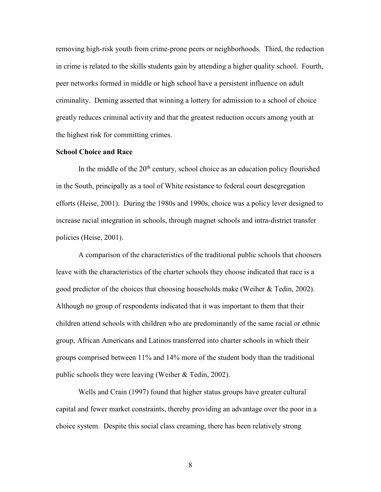removing high-risk youth from crime-prone peers or neighborhoods. Third, the reduction in crime is related to the skills students gain by attending a higher quality school. Fourth, peer networks formed in middle or high school have a persistent influence on adult criminality. Deming asserted that winning a lottery for admission to a school of choice greatly reduces criminal activity and that the greatest reduction occurs among youth at the highest risk for committing crimes.

### **School Choice and Race**

In the middle of the  $20<sup>th</sup>$  century, school choice as an education policy flourished in the South, principally as a tool of White resistance to federal court desegregation efforts (Heise, 2001). During the 1980s and 1990s, choice was a policy lever designed to increase racial integration in schools, through magnet schools and intra-district transfer policies (Heise, 2001).

A comparison of the characteristics of the traditional public schools that choosers leave with the characteristics of the charter schools they choose indicated that race is a good predictor of the choices that choosing households make (Weiher & Tedin, 2002). Although no group of respondents indicated that it was important to them that their children attend schools with children who are predominantly of the same racial or ethnic group, African Americans and Latinos transferred into charter schools in which their groups comprised between 11% and 14% more of the student body than the traditional public schools they were leaving (Weiher & Tedin, 2002).

Wells and Crain (1997) found that higher status groups have greater cultural capital and fewer market constraints, thereby providing an advantage over the poor in a choice system. Despite this social class creaming, there has been relatively strong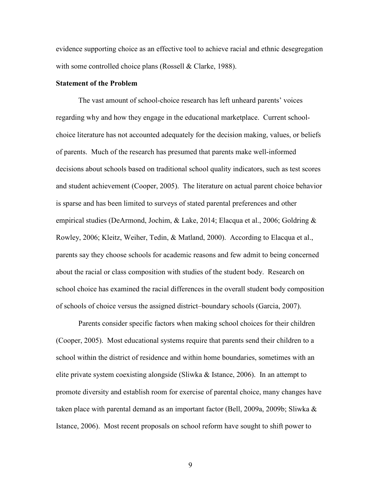evidence supporting choice as an effective tool to achieve racial and ethnic desegregation with some controlled choice plans (Rossell & Clarke, 1988).

#### **Statement of the Problem**

The vast amount of school-choice research has left unheard parents' voices regarding why and how they engage in the educational marketplace. Current schoolchoice literature has not accounted adequately for the decision making, values, or beliefs of parents. Much of the research has presumed that parents make well-informed decisions about schools based on traditional school quality indicators, such as test scores and student achievement (Cooper, 2005). The literature on actual parent choice behavior is sparse and has been limited to surveys of stated parental preferences and other empirical studies (DeArmond, Jochim, & Lake, 2014; Elacqua et al., 2006; Goldring & Rowley, 2006; Kleitz, Weiher, Tedin, & Matland, 2000). According to Elacqua et al., parents say they choose schools for academic reasons and few admit to being concerned about the racial or class composition with studies of the student body. Research on school choice has examined the racial differences in the overall student body composition of schools of choice versus the assigned district–boundary schools (Garcia, 2007).

Parents consider specific factors when making school choices for their children (Cooper, 2005). Most educational systems require that parents send their children to a school within the district of residence and within home boundaries, sometimes with an elite private system coexisting alongside (Sliwka  $\&$  Istance, 2006). In an attempt to promote diversity and establish room for exercise of parental choice, many changes have taken place with parental demand as an important factor (Bell, 2009a, 2009b; Sliwka  $\&$ Istance, 2006). Most recent proposals on school reform have sought to shift power to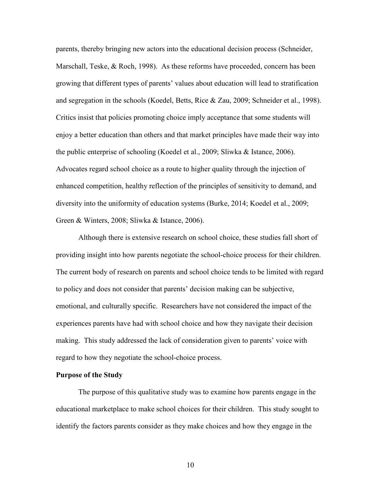parents, thereby bringing new actors into the educational decision process (Schneider, Marschall, Teske, & Roch, 1998). As these reforms have proceeded, concern has been growing that different types of parents' values about education will lead to stratification and segregation in the schools (Koedel, Betts, Rice & Zau, 2009; Schneider et al., 1998). Critics insist that policies promoting choice imply acceptance that some students will enjoy a better education than others and that market principles have made their way into the public enterprise of schooling (Koedel et al., 2009; Sliwka & Istance, 2006). Advocates regard school choice as a route to higher quality through the injection of enhanced competition, healthy reflection of the principles of sensitivity to demand, and diversity into the uniformity of education systems (Burke, 2014; Koedel et al., 2009; Green & Winters, 2008; Sliwka & Istance, 2006).

Although there is extensive research on school choice, these studies fall short of providing insight into how parents negotiate the school-choice process for their children. The current body of research on parents and school choice tends to be limited with regard to policy and does not consider that parents' decision making can be subjective, emotional, and culturally specific. Researchers have not considered the impact of the experiences parents have had with school choice and how they navigate their decision making. This study addressed the lack of consideration given to parents' voice with regard to how they negotiate the school-choice process.

#### **Purpose of the Study**

The purpose of this qualitative study was to examine how parents engage in the educational marketplace to make school choices for their children. This study sought to identify the factors parents consider as they make choices and how they engage in the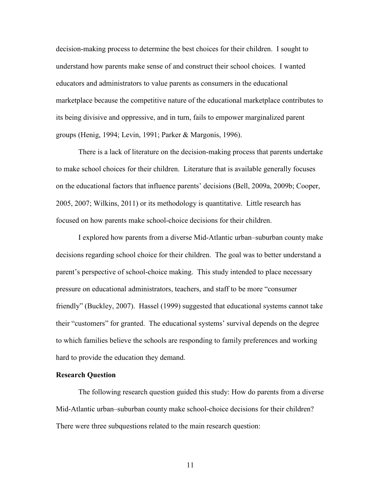decision-making process to determine the best choices for their children. I sought to understand how parents make sense of and construct their school choices. I wanted educators and administrators to value parents as consumers in the educational marketplace because the competitive nature of the educational marketplace contributes to its being divisive and oppressive, and in turn, fails to empower marginalized parent groups (Henig, 1994; Levin, 1991; Parker & Margonis, 1996).

There is a lack of literature on the decision-making process that parents undertake to make school choices for their children. Literature that is available generally focuses on the educational factors that influence parents' decisions (Bell, 2009a, 2009b; Cooper, 2005, 2007; Wilkins, 2011) or its methodology is quantitative. Little research has focused on how parents make school-choice decisions for their children.

I explored how parents from a diverse Mid-Atlantic urban–suburban county make decisions regarding school choice for their children. The goal was to better understand a parent's perspective of school-choice making. This study intended to place necessary pressure on educational administrators, teachers, and staff to be more "consumer friendly" (Buckley, 2007). Hassel (1999) suggested that educational systems cannot take their "customers" for granted. The educational systems' survival depends on the degree to which families believe the schools are responding to family preferences and working hard to provide the education they demand.

## **Research Question**

The following research question guided this study: How do parents from a diverse Mid-Atlantic urban–suburban county make school-choice decisions for their children? There were three subquestions related to the main research question: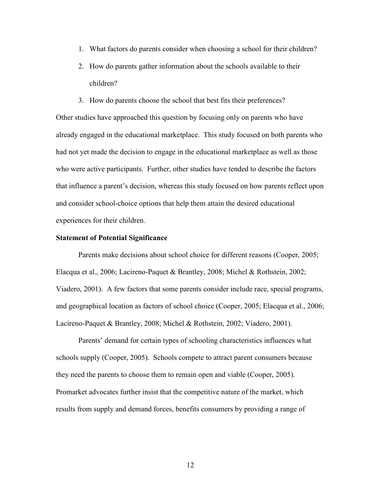- 1. What factors do parents consider when choosing a school for their children?
- 2. How do parents gather information about the schools available to their children?
- 3. How do parents choose the school that best fits their preferences?

Other studies have approached this question by focusing only on parents who have already engaged in the educational marketplace. This study focused on both parents who had not yet made the decision to engage in the educational marketplace as well as those who were active participants. Further, other studies have tended to describe the factors that influence a parent's decision, whereas this study focused on how parents reflect upon and consider school-choice options that help them attain the desired educational experiences for their children.

#### **Statement of Potential Significance**

Parents make decisions about school choice for different reasons (Cooper, 2005; Elacqua et al., 2006; Lacireno-Paquet & Brantley, 2008; Michel & Rothstein, 2002; Viadero, 2001). A few factors that some parents consider include race, special programs, and geographical location as factors of school choice (Cooper, 2005; Elacqua et al., 2006; Lacireno-Paquet & Brantley, 2008; Michel & Rothstein, 2002; Viadero, 2001).

Parents' demand for certain types of schooling characteristics influences what schools supply (Cooper, 2005). Schools compete to attract parent consumers because they need the parents to choose them to remain open and viable (Cooper, 2005). Promarket advocates further insist that the competitive nature of the market, which results from supply and demand forces, benefits consumers by providing a range of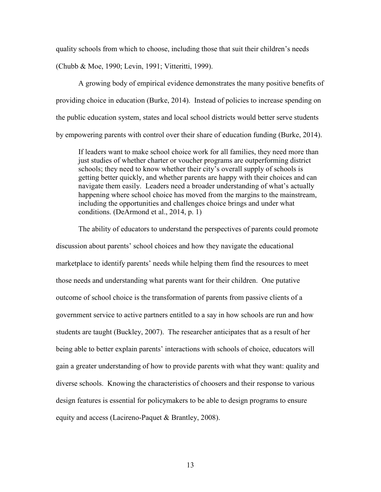quality schools from which to choose, including those that suit their children's needs (Chubb & Moe, 1990; Levin, 1991; Vitteritti, 1999).

A growing body of empirical evidence demonstrates the many positive benefits of providing choice in education (Burke, 2014). Instead of policies to increase spending on the public education system, states and local school districts would better serve students by empowering parents with control over their share of education funding (Burke, 2014).

If leaders want to make school choice work for all families, they need more than just studies of whether charter or voucher programs are outperforming district schools; they need to know whether their city's overall supply of schools is getting better quickly, and whether parents are happy with their choices and can navigate them easily. Leaders need a broader understanding of what's actually happening where school choice has moved from the margins to the mainstream, including the opportunities and challenges choice brings and under what conditions. (DeArmond et al., 2014, p. 1)

The ability of educators to understand the perspectives of parents could promote discussion about parents' school choices and how they navigate the educational marketplace to identify parents' needs while helping them find the resources to meet those needs and understanding what parents want for their children. One putative outcome of school choice is the transformation of parents from passive clients of a government service to active partners entitled to a say in how schools are run and how students are taught (Buckley, 2007). The researcher anticipates that as a result of her being able to better explain parents' interactions with schools of choice, educators will gain a greater understanding of how to provide parents with what they want: quality and diverse schools. Knowing the characteristics of choosers and their response to various design features is essential for policymakers to be able to design programs to ensure equity and access (Lacireno-Paquet & Brantley, 2008).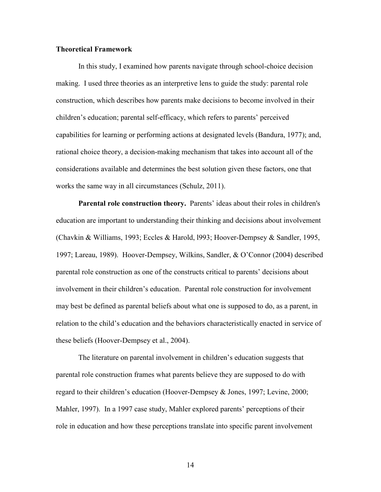### **Theoretical Framework**

In this study, I examined how parents navigate through school-choice decision making. I used three theories as an interpretive lens to guide the study: parental role construction, which describes how parents make decisions to become involved in their children's education; parental self-efficacy, which refers to parents' perceived capabilities for learning or performing actions at designated levels (Bandura, 1977); and, rational choice theory, a decision-making mechanism that takes into account all of the considerations available and determines the best solution given these factors, one that works the same way in all circumstances (Schulz, 2011).

**Parental role construction theory.** Parents' ideas about their roles in children's education are important to understanding their thinking and decisions about involvement (Chavkin & Williams, 1993; Eccles & Harold, l993; Hoover-Dempsey & Sandler, 1995, 1997; Lareau, 1989). Hoover-Dempsey, Wilkins, Sandler, & O'Connor (2004) described parental role construction as one of the constructs critical to parents' decisions about involvement in their children's education. Parental role construction for involvement may best be defined as parental beliefs about what one is supposed to do, as a parent, in relation to the child's education and the behaviors characteristically enacted in service of these beliefs (Hoover-Dempsey et al., 2004).

The literature on parental involvement in children's education suggests that parental role construction frames what parents believe they are supposed to do with regard to their children's education (Hoover-Dempsey & Jones, 1997; Levine, 2000; Mahler, 1997). In a 1997 case study, Mahler explored parents' perceptions of their role in education and how these perceptions translate into specific parent involvement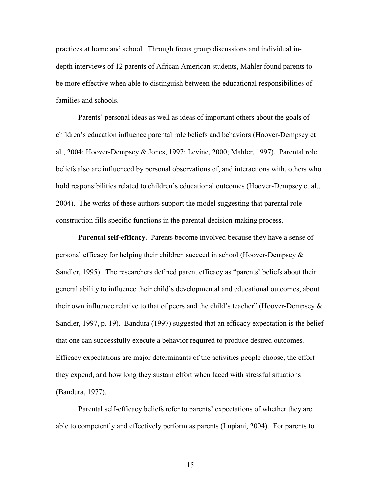practices at home and school. Through focus group discussions and individual indepth interviews of 12 parents of African American students, Mahler found parents to be more effective when able to distinguish between the educational responsibilities of families and schools.

Parents' personal ideas as well as ideas of important others about the goals of children's education influence parental role beliefs and behaviors (Hoover-Dempsey et al., 2004; Hoover-Dempsey & Jones, 1997; Levine, 2000; Mahler, 1997). Parental role beliefs also are influenced by personal observations of, and interactions with, others who hold responsibilities related to children's educational outcomes (Hoover-Dempsey et al., 2004). The works of these authors support the model suggesting that parental role construction fills specific functions in the parental decision-making process.

**Parental self-efficacy.** Parents become involved because they have a sense of personal efficacy for helping their children succeed in school (Hoover-Dempsey & Sandler, 1995). The researchers defined parent efficacy as "parents' beliefs about their general ability to influence their child's developmental and educational outcomes, about their own influence relative to that of peers and the child's teacher" (Hoover-Dempsey  $\&$ Sandler, 1997, p. 19). Bandura (1997) suggested that an efficacy expectation is the belief that one can successfully execute a behavior required to produce desired outcomes. Efficacy expectations are major determinants of the activities people choose, the effort they expend, and how long they sustain effort when faced with stressful situations (Bandura, 1977).

Parental self-efficacy beliefs refer to parents' expectations of whether they are able to competently and effectively perform as parents (Lupiani, 2004). For parents to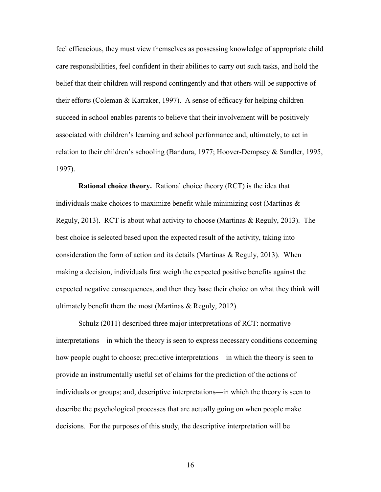feel efficacious, they must view themselves as possessing knowledge of appropriate child care responsibilities, feel confident in their abilities to carry out such tasks, and hold the belief that their children will respond contingently and that others will be supportive of their efforts (Coleman & Karraker, 1997). A sense of efficacy for helping children succeed in school enables parents to believe that their involvement will be positively associated with children's learning and school performance and, ultimately, to act in relation to their children's schooling (Bandura, 1977; Hoover-Dempsey & Sandler, 1995, 1997).

**Rational choice theory.** Rational choice theory (RCT) is the idea that individuals make choices to maximize benefit while minimizing cost (Martinas  $\&$ Reguly, 2013). RCT is about what activity to choose (Martinas & Reguly, 2013). The best choice is selected based upon the expected result of the activity, taking into consideration the form of action and its details (Martinas & Reguly, 2013). When making a decision, individuals first weigh the expected positive benefits against the expected negative consequences, and then they base their choice on what they think will ultimately benefit them the most (Martinas & Reguly, 2012).

Schulz (2011) described three major interpretations of RCT: normative interpretations—in which the theory is seen to express necessary conditions concerning how people ought to choose; predictive interpretations—in which the theory is seen to provide an instrumentally useful set of claims for the prediction of the actions of individuals or groups; and, descriptive interpretations—in which the theory is seen to describe the psychological processes that are actually going on when people make decisions. For the purposes of this study, the descriptive interpretation will be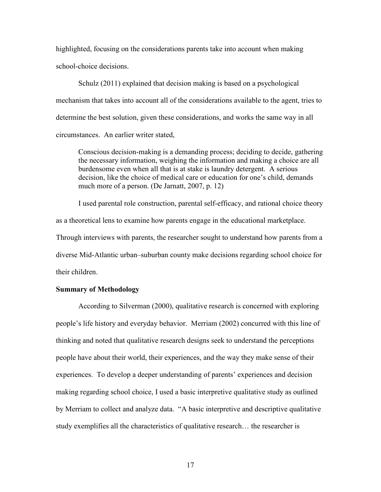highlighted, focusing on the considerations parents take into account when making school-choice decisions.

Schulz (2011) explained that decision making is based on a psychological mechanism that takes into account all of the considerations available to the agent, tries to determine the best solution, given these considerations, and works the same way in all circumstances. An earlier writer stated,

Conscious decision-making is a demanding process; deciding to decide, gathering the necessary information, weighing the information and making a choice are all burdensome even when all that is at stake is laundry detergent. A serious decision, like the choice of medical care or education for one's child, demands much more of a person. (De Jarnatt, 2007, p. 12)

I used parental role construction, parental self-efficacy, and rational choice theory as a theoretical lens to examine how parents engage in the educational marketplace. Through interviews with parents, the researcher sought to understand how parents from a diverse Mid-Atlantic urban–suburban county make decisions regarding school choice for their children.

## **Summary of Methodology**

According to Silverman (2000), qualitative research is concerned with exploring people's life history and everyday behavior. Merriam (2002) concurred with this line of thinking and noted that qualitative research designs seek to understand the perceptions people have about their world, their experiences, and the way they make sense of their experiences. To develop a deeper understanding of parents' experiences and decision making regarding school choice, I used a basic interpretive qualitative study as outlined by Merriam to collect and analyze data. "A basic interpretive and descriptive qualitative study exemplifies all the characteristics of qualitative research… the researcher is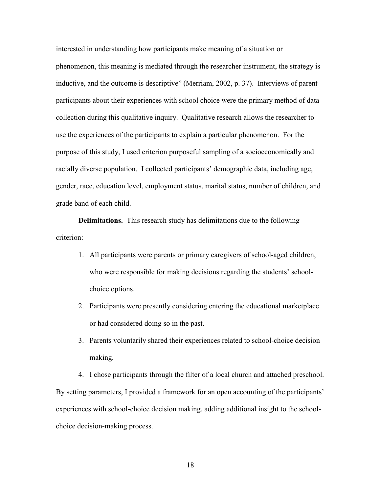interested in understanding how participants make meaning of a situation or phenomenon, this meaning is mediated through the researcher instrument, the strategy is inductive, and the outcome is descriptive" (Merriam, 2002, p. 37). Interviews of parent participants about their experiences with school choice were the primary method of data collection during this qualitative inquiry. Qualitative research allows the researcher to use the experiences of the participants to explain a particular phenomenon. For the purpose of this study, I used criterion purposeful sampling of a socioeconomically and racially diverse population. I collected participants' demographic data, including age, gender, race, education level, employment status, marital status, number of children, and grade band of each child.

**Delimitations.** This research study has delimitations due to the following criterion:

- 1. All participants were parents or primary caregivers of school-aged children, who were responsible for making decisions regarding the students' schoolchoice options.
- 2. Participants were presently considering entering the educational marketplace or had considered doing so in the past.
- 3. Parents voluntarily shared their experiences related to school-choice decision making.

4. I chose participants through the filter of a local church and attached preschool. By setting parameters, I provided a framework for an open accounting of the participants' experiences with school-choice decision making, adding additional insight to the schoolchoice decision-making process.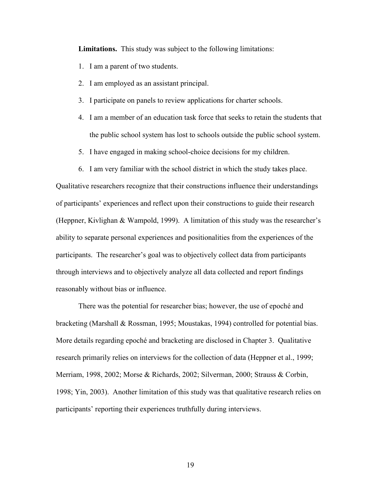**Limitations.** This study was subject to the following limitations:

- 1. I am a parent of two students.
- 2. I am employed as an assistant principal.
- 3. I participate on panels to review applications for charter schools.
- 4. I am a member of an education task force that seeks to retain the students that the public school system has lost to schools outside the public school system.
- 5. I have engaged in making school-choice decisions for my children.
- 6. I am very familiar with the school district in which the study takes place.

Qualitative researchers recognize that their constructions influence their understandings of participants' experiences and reflect upon their constructions to guide their research (Heppner, Kivlighan & Wampold, 1999). A limitation of this study was the researcher's ability to separate personal experiences and positionalities from the experiences of the participants. The researcher's goal was to objectively collect data from participants through interviews and to objectively analyze all data collected and report findings reasonably without bias or influence.

There was the potential for researcher bias; however, the use of epoché and bracketing (Marshall & Rossman, 1995; Moustakas, 1994) controlled for potential bias. More details regarding epoché and bracketing are disclosed in Chapter 3. Qualitative research primarily relies on interviews for the collection of data (Heppner et al., 1999; Merriam, 1998, 2002; Morse & Richards, 2002; Silverman, 2000; Strauss & Corbin, 1998; Yin, 2003). Another limitation of this study was that qualitative research relies on participants' reporting their experiences truthfully during interviews.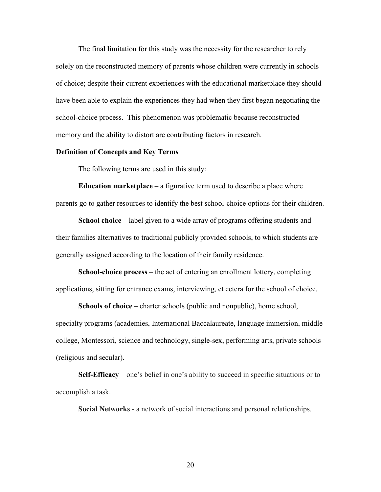The final limitation for this study was the necessity for the researcher to rely solely on the reconstructed memory of parents whose children were currently in schools of choice; despite their current experiences with the educational marketplace they should have been able to explain the experiences they had when they first began negotiating the school-choice process. This phenomenon was problematic because reconstructed memory and the ability to distort are contributing factors in research.

## **Definition of Concepts and Key Terms**

The following terms are used in this study:

**Education marketplace** – a figurative term used to describe a place where parents go to gather resources to identify the best school-choice options for their children.

**School choice** – label given to a wide array of programs offering students and their families alternatives to traditional publicly provided schools, to which students are generally assigned according to the location of their family residence.

**School-choice process** – the act of entering an enrollment lottery, completing applications, sitting for entrance exams, interviewing, et cetera for the school of choice.

**Schools of choice** – charter schools (public and nonpublic), home school, specialty programs (academies, International Baccalaureate, language immersion, middle college, Montessori, science and technology, single-sex, performing arts, private schools (religious and secular).

**Self-Efficacy** – one's belief in one's ability to succeed in specific situations or to accomplish a task.

**Social Networks** - a network of social interactions and personal relationships.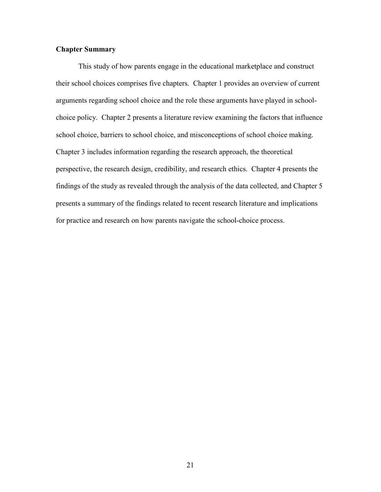## **Chapter Summary**

This study of how parents engage in the educational marketplace and construct their school choices comprises five chapters. Chapter 1 provides an overview of current arguments regarding school choice and the role these arguments have played in schoolchoice policy. Chapter 2 presents a literature review examining the factors that influence school choice, barriers to school choice, and misconceptions of school choice making. Chapter 3 includes information regarding the research approach, the theoretical perspective, the research design, credibility, and research ethics. Chapter 4 presents the findings of the study as revealed through the analysis of the data collected, and Chapter 5 presents a summary of the findings related to recent research literature and implications for practice and research on how parents navigate the school-choice process.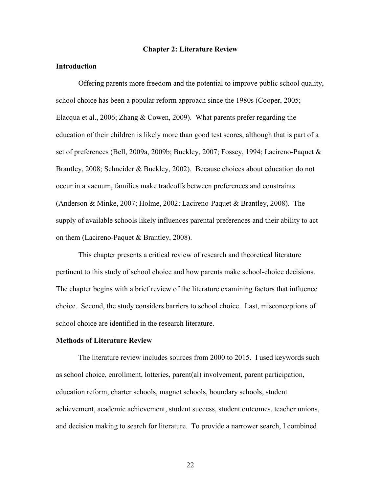#### **Chapter 2: Literature Review**

## **Introduction**

Offering parents more freedom and the potential to improve public school quality, school choice has been a popular reform approach since the 1980s (Cooper, 2005; Elacqua et al., 2006; Zhang & Cowen, 2009). What parents prefer regarding the education of their children is likely more than good test scores, although that is part of a set of preferences (Bell, 2009a, 2009b; Buckley, 2007; Fossey, 1994; Lacireno-Paquet & Brantley, 2008; Schneider & Buckley, 2002). Because choices about education do not occur in a vacuum, families make tradeoffs between preferences and constraints (Anderson & Minke, 2007; Holme, 2002; Lacireno-Paquet & Brantley, 2008). The supply of available schools likely influences parental preferences and their ability to act on them (Lacireno-Paquet & Brantley, 2008).

This chapter presents a critical review of research and theoretical literature pertinent to this study of school choice and how parents make school-choice decisions. The chapter begins with a brief review of the literature examining factors that influence choice. Second, the study considers barriers to school choice. Last, misconceptions of school choice are identified in the research literature.

#### **Methods of Literature Review**

The literature review includes sources from 2000 to 2015. I used keywords such as school choice, enrollment, lotteries, parent(al) involvement, parent participation, education reform, charter schools, magnet schools, boundary schools, student achievement, academic achievement, student success, student outcomes, teacher unions, and decision making to search for literature. To provide a narrower search, I combined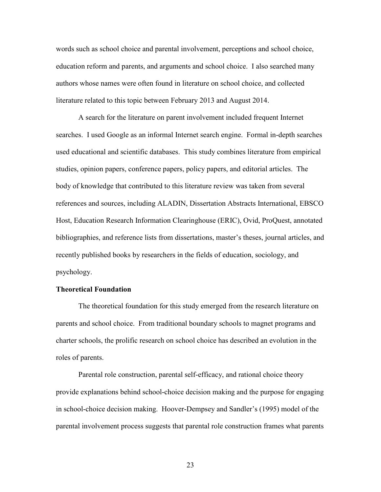words such as school choice and parental involvement, perceptions and school choice, education reform and parents, and arguments and school choice. I also searched many authors whose names were often found in literature on school choice, and collected literature related to this topic between February 2013 and August 2014.

A search for the literature on parent involvement included frequent Internet searches. I used Google as an informal Internet search engine. Formal in-depth searches used educational and scientific databases. This study combines literature from empirical studies, opinion papers, conference papers, policy papers, and editorial articles. The body of knowledge that contributed to this literature review was taken from several references and sources, including ALADIN, Dissertation Abstracts International, EBSCO Host, Education Research Information Clearinghouse (ERIC), Ovid, ProQuest, annotated bibliographies, and reference lists from dissertations, master's theses, journal articles, and recently published books by researchers in the fields of education, sociology, and psychology.

### **Theoretical Foundation**

The theoretical foundation for this study emerged from the research literature on parents and school choice. From traditional boundary schools to magnet programs and charter schools, the prolific research on school choice has described an evolution in the roles of parents.

Parental role construction, parental self-efficacy, and rational choice theory provide explanations behind school-choice decision making and the purpose for engaging in school-choice decision making. Hoover-Dempsey and Sandler's (1995) model of the parental involvement process suggests that parental role construction frames what parents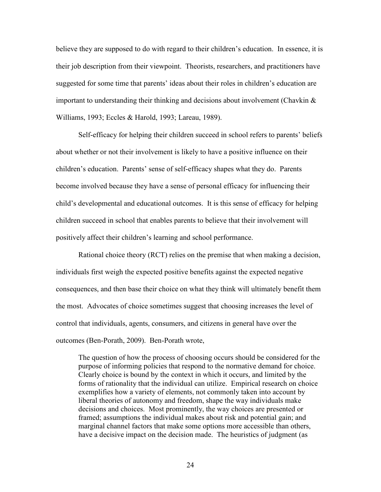believe they are supposed to do with regard to their children's education. In essence, it is their job description from their viewpoint. Theorists, researchers, and practitioners have suggested for some time that parents' ideas about their roles in children's education are important to understanding their thinking and decisions about involvement (Chavkin  $\&$ Williams, 1993; Eccles & Harold, 1993; Lareau, 1989).

Self-efficacy for helping their children succeed in school refers to parents' beliefs about whether or not their involvement is likely to have a positive influence on their children's education. Parents' sense of self-efficacy shapes what they do. Parents become involved because they have a sense of personal efficacy for influencing their child's developmental and educational outcomes. It is this sense of efficacy for helping children succeed in school that enables parents to believe that their involvement will positively affect their children's learning and school performance.

Rational choice theory (RCT) relies on the premise that when making a decision, individuals first weigh the expected positive benefits against the expected negative consequences, and then base their choice on what they think will ultimately benefit them the most. Advocates of choice sometimes suggest that choosing increases the level of control that individuals, agents, consumers, and citizens in general have over the outcomes (Ben-Porath, 2009). Ben-Porath wrote,

The question of how the process of choosing occurs should be considered for the purpose of informing policies that respond to the normative demand for choice. Clearly choice is bound by the context in which it occurs, and limited by the forms of rationality that the individual can utilize. Empirical research on choice exemplifies how a variety of elements, not commonly taken into account by liberal theories of autonomy and freedom, shape the way individuals make decisions and choices. Most prominently, the way choices are presented or framed; assumptions the individual makes about risk and potential gain; and marginal channel factors that make some options more accessible than others, have a decisive impact on the decision made. The heuristics of judgment (as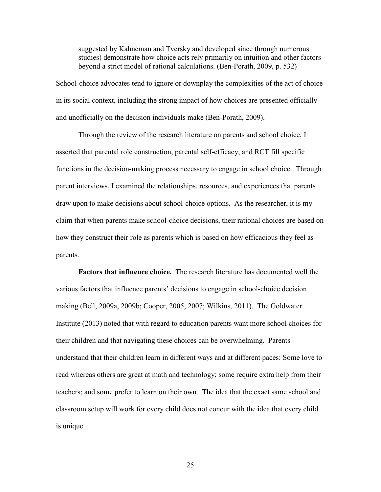suggested by Kahneman and Tversky and developed since through numerous studies) demonstrate how choice acts rely primarily on intuition and other factors beyond a strict model of rational calculations. (Ben-Porath, 2009, p. 532)

School-choice advocates tend to ignore or downplay the complexities of the act of choice in its social context, including the strong impact of how choices are presented officially and unofficially on the decision individuals make (Ben-Porath, 2009).

Through the review of the research literature on parents and school choice, I asserted that parental role construction, parental self-efficacy, and RCT fill specific functions in the decision-making process necessary to engage in school choice. Through parent interviews, I examined the relationships, resources, and experiences that parents draw upon to make decisions about school-choice options. As the researcher, it is my claim that when parents make school-choice decisions, their rational choices are based on how they construct their role as parents which is based on how efficacious they feel as parents.

**Factors that influence choice.** The research literature has documented well the various factors that influence parents' decisions to engage in school-choice decision making (Bell, 2009a, 2009b; Cooper, 2005, 2007; Wilkins, 2011). The Goldwater Institute (2013) noted that with regard to education parents want more school choices for their children and that navigating these choices can be overwhelming. Parents understand that their children learn in different ways and at different paces: Some love to read whereas others are great at math and technology; some require extra help from their teachers; and some prefer to learn on their own. The idea that the exact same school and classroom setup will work for every child does not concur with the idea that every child is unique.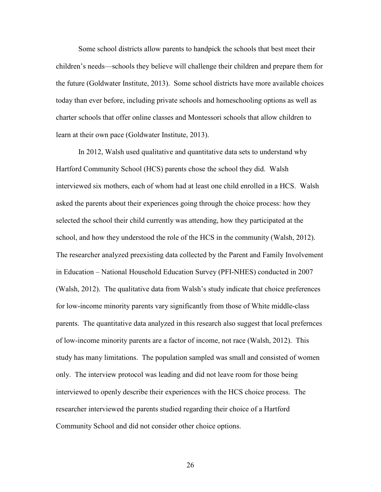Some school districts allow parents to handpick the schools that best meet their children's needs—schools they believe will challenge their children and prepare them for the future (Goldwater Institute, 2013). Some school districts have more available choices today than ever before, including private schools and homeschooling options as well as charter schools that offer online classes and Montessori schools that allow children to learn at their own pace (Goldwater Institute, 2013).

In 2012, Walsh used qualitative and quantitative data sets to understand why Hartford Community School (HCS) parents chose the school they did. Walsh interviewed six mothers, each of whom had at least one child enrolled in a HCS. Walsh asked the parents about their experiences going through the choice process: how they selected the school their child currently was attending, how they participated at the school, and how they understood the role of the HCS in the community (Walsh, 2012). The researcher analyzed preexisting data collected by the Parent and Family Involvement in Education – National Household Education Survey (PFI-NHES) conducted in 2007 (Walsh, 2012). The qualitative data from Walsh's study indicate that choice preferences for low-income minority parents vary significantly from those of White middle-class parents. The quantitative data analyzed in this research also suggest that local prefernces of low-income minority parents are a factor of income, not race (Walsh, 2012). This study has many limitations. The population sampled was small and consisted of women only. The interview protocol was leading and did not leave room for those being interviewed to openly describe their experiences with the HCS choice process. The researcher interviewed the parents studied regarding their choice of a Hartford Community School and did not consider other choice options.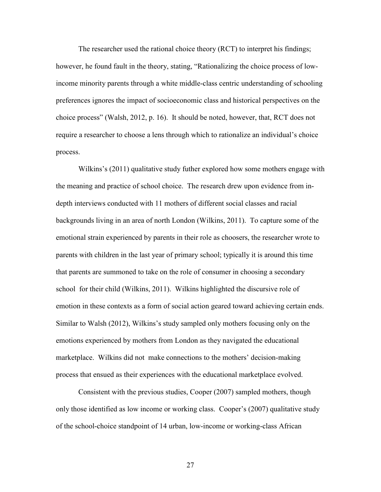The researcher used the rational choice theory (RCT) to interpret his findings; however, he found fault in the theory, stating, "Rationalizing the choice process of lowincome minority parents through a white middle-class centric understanding of schooling preferences ignores the impact of socioeconomic class and historical perspectives on the choice process" (Walsh, 2012, p. 16). It should be noted, however, that, RCT does not require a researcher to choose a lens through which to rationalize an individual's choice process.

Wilkins's (2011) qualitative study futher explored how some mothers engage with the meaning and practice of school choice. The research drew upon evidence from indepth interviews conducted with 11 mothers of different social classes and racial backgrounds living in an area of north London (Wilkins, 2011). To capture some of the emotional strain experienced by parents in their role as choosers, the researcher wrote to parents with children in the last year of primary school; typically it is around this time that parents are summoned to take on the role of consumer in choosing a secondary school for their child (Wilkins, 2011). Wilkins highlighted the discursive role of emotion in these contexts as a form of social action geared toward achieving certain ends. Similar to Walsh (2012), Wilkins's study sampled only mothers focusing only on the emotions experienced by mothers from London as they navigated the educational marketplace. Wilkins did not make connections to the mothers' decision-making process that ensued as their experiences with the educational marketplace evolved.

Consistent with the previous studies, Cooper (2007) sampled mothers, though only those identified as low income or working class. Cooper's (2007) qualitative study of the school-choice standpoint of 14 urban, low-income or working-class African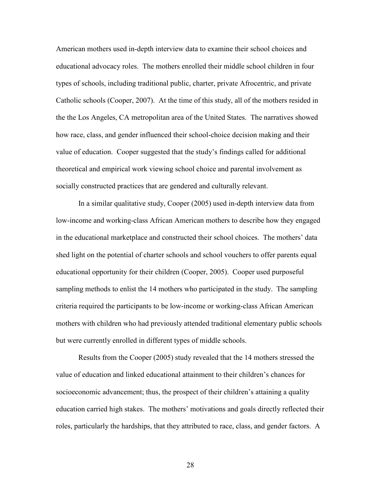American mothers used in-depth interview data to examine their school choices and educational advocacy roles. The mothers enrolled their middle school children in four types of schools, including traditional public, charter, private Afrocentric, and private Catholic schools (Cooper, 2007). At the time of this study, all of the mothers resided in the the Los Angeles, CA metropolitan area of the United States. The narratives showed how race, class, and gender influenced their school-choice decision making and their value of education. Cooper suggested that the study's findings called for additional theoretical and empirical work viewing school choice and parental involvement as socially constructed practices that are gendered and culturally relevant.

In a similar qualitative study, Cooper (2005) used in-depth interview data from low-income and working-class African American mothers to describe how they engaged in the educational marketplace and constructed their school choices. The mothers' data shed light on the potential of charter schools and school vouchers to offer parents equal educational opportunity for their children (Cooper, 2005). Cooper used purposeful sampling methods to enlist the 14 mothers who participated in the study. The sampling criteria required the participants to be low-income or working-class African American mothers with children who had previously attended traditional elementary public schools but were currently enrolled in different types of middle schools.

Results from the Cooper (2005) study revealed that the 14 mothers stressed the value of education and linked educational attainment to their children's chances for socioeconomic advancement; thus, the prospect of their children's attaining a quality education carried high stakes. The mothers' motivations and goals directly reflected their roles, particularly the hardships, that they attributed to race, class, and gender factors. A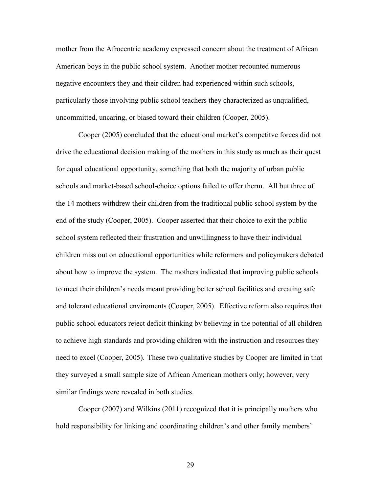mother from the Afrocentric academy expressed concern about the treatment of African American boys in the public school system. Another mother recounted numerous negative encounters they and their cildren had experienced within such schools, particularly those involving public school teachers they characterized as unqualified, uncommitted, uncaring, or biased toward their children (Cooper, 2005).

Cooper (2005) concluded that the educational market's competitve forces did not drive the educational decision making of the mothers in this study as much as their quest for equal educational opportunity, something that both the majority of urban public schools and market-based school-choice options failed to offer therm. All but three of the 14 mothers withdrew their children from the traditional public school system by the end of the study (Cooper, 2005). Cooper asserted that their choice to exit the public school system reflected their frustration and unwillingness to have their individual children miss out on educational opportunities while reformers and policymakers debated about how to improve the system. The mothers indicated that improving public schools to meet their children's needs meant providing better school facilities and creating safe and tolerant educational enviroments (Cooper, 2005). Effective reform also requires that public school educators reject deficit thinking by believing in the potential of all children to achieve high standards and providing children with the instruction and resources they need to excel (Cooper, 2005). These two qualitative studies by Cooper are limited in that they surveyed a small sample size of African American mothers only; however, very similar findings were revealed in both studies.

Cooper (2007) and Wilkins (2011) recognized that it is principally mothers who hold responsibility for linking and coordinating children's and other family members'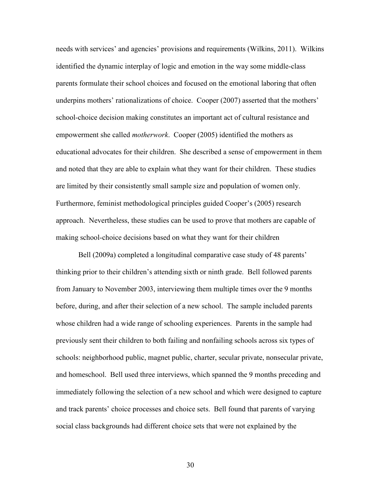needs with services' and agencies' provisions and requirements (Wilkins, 2011). Wilkins identified the dynamic interplay of logic and emotion in the way some middle-class parents formulate their school choices and focused on the emotional laboring that often underpins mothers' rationalizations of choice. Cooper (2007) asserted that the mothers' school-choice decision making constitutes an important act of cultural resistance and empowerment she called *motherwork*. Cooper (2005) identified the mothers as educational advocates for their children. She described a sense of empowerment in them and noted that they are able to explain what they want for their children. These studies are limited by their consistently small sample size and population of women only. Furthermore, feminist methodological principles guided Cooper's (2005) research approach. Nevertheless, these studies can be used to prove that mothers are capable of making school-choice decisions based on what they want for their children

Bell (2009a) completed a longitudinal comparative case study of 48 parents' thinking prior to their children's attending sixth or ninth grade. Bell followed parents from January to November 2003, interviewing them multiple times over the 9 months before, during, and after their selection of a new school. The sample included parents whose children had a wide range of schooling experiences. Parents in the sample had previously sent their children to both failing and nonfailing schools across six types of schools: neighborhood public, magnet public, charter, secular private, nonsecular private, and homeschool. Bell used three interviews, which spanned the 9 months preceding and immediately following the selection of a new school and which were designed to capture and track parents' choice processes and choice sets. Bell found that parents of varying social class backgrounds had different choice sets that were not explained by the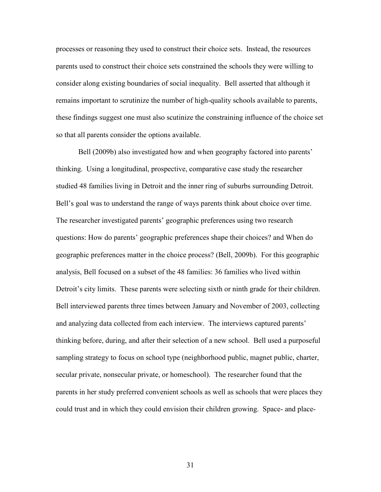processes or reasoning they used to construct their choice sets. Instead, the resources parents used to construct their choice sets constrained the schools they were willing to consider along existing boundaries of social inequality. Bell asserted that although it remains important to scrutinize the number of high-quality schools available to parents, these findings suggest one must also scutinize the constraining influence of the choice set so that all parents consider the options available.

Bell (2009b) also investigated how and when geography factored into parents' thinking. Using a longitudinal, prospective, comparative case study the researcher studied 48 families living in Detroit and the inner ring of suburbs surrounding Detroit. Bell's goal was to understand the range of ways parents think about choice over time. The researcher investigated parents' geographic preferences using two research questions: How do parents' geographic preferences shape their choices? and When do geographic preferences matter in the choice process? (Bell, 2009b). For this geographic analysis, Bell focused on a subset of the 48 families: 36 families who lived within Detroit's city limits. These parents were selecting sixth or ninth grade for their children. Bell interviewed parents three times between January and November of 2003, collecting and analyzing data collected from each interview. The interviews captured parents' thinking before, during, and after their selection of a new school. Bell used a purposeful sampling strategy to focus on school type (neighborhood public, magnet public, charter, secular private, nonsecular private, or homeschool). The researcher found that the parents in her study preferred convenient schools as well as schools that were places they could trust and in which they could envision their children growing. Space- and place-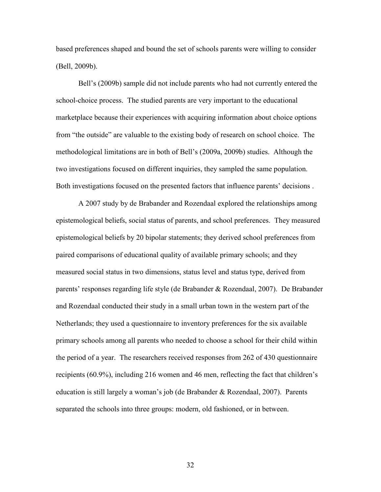based preferences shaped and bound the set of schools parents were willing to consider (Bell, 2009b).

Bell's (2009b) sample did not include parents who had not currently entered the school-choice process. The studied parents are very important to the educational marketplace because their experiences with acquiring information about choice options from "the outside" are valuable to the existing body of research on school choice. The methodological limitations are in both of Bell's (2009a, 2009b) studies. Although the two investigations focused on different inquiries, they sampled the same population. Both investigations focused on the presented factors that influence parents' decisions .

A 2007 study by de Brabander and Rozendaal explored the relationships among epistemological beliefs, social status of parents, and school preferences. They measured epistemological beliefs by 20 bipolar statements; they derived school preferences from paired comparisons of educational quality of available primary schools; and they measured social status in two dimensions, status level and status type, derived from parents' responses regarding life style (de Brabander & Rozendaal, 2007). De Brabander and Rozendaal conducted their study in a small urban town in the western part of the Netherlands; they used a questionnaire to inventory preferences for the six available primary schools among all parents who needed to choose a school for their child within the period of a year. The researchers received responses from 262 of 430 questionnaire recipients (60.9%), including 216 women and 46 men, reflecting the fact that children's education is still largely a woman's job (de Brabander & Rozendaal, 2007). Parents separated the schools into three groups: modern, old fashioned, or in between.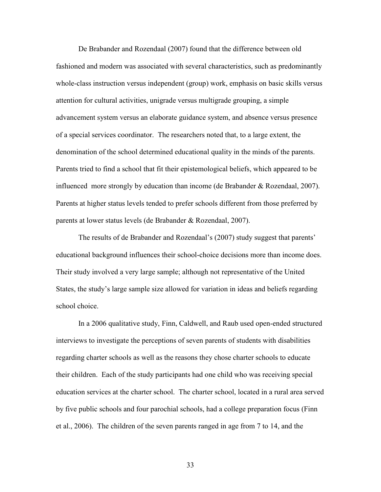De Brabander and Rozendaal (2007) found that the difference between old fashioned and modern was associated with several characteristics, such as predominantly whole-class instruction versus independent (group) work, emphasis on basic skills versus attention for cultural activities, unigrade versus multigrade grouping, a simple advancement system versus an elaborate guidance system, and absence versus presence of a special services coordinator. The researchers noted that, to a large extent, the denomination of the school determined educational quality in the minds of the parents. Parents tried to find a school that fit their epistemological beliefs, which appeared to be influenced more strongly by education than income (de Brabander  $\&$  Rozendaal, 2007). Parents at higher status levels tended to prefer schools different from those preferred by parents at lower status levels (de Brabander & Rozendaal, 2007).

The results of de Brabander and Rozendaal's (2007) study suggest that parents' educational background influences their school-choice decisions more than income does. Their study involved a very large sample; although not representative of the United States, the study's large sample size allowed for variation in ideas and beliefs regarding school choice.

In a 2006 qualitative study, Finn, Caldwell, and Raub used open-ended structured interviews to investigate the perceptions of seven parents of students with disabilities regarding charter schools as well as the reasons they chose charter schools to educate their children. Each of the study participants had one child who was receiving special education services at the charter school. The charter school, located in a rural area served by five public schools and four parochial schools, had a college preparation focus (Finn et al., 2006). The children of the seven parents ranged in age from 7 to 14, and the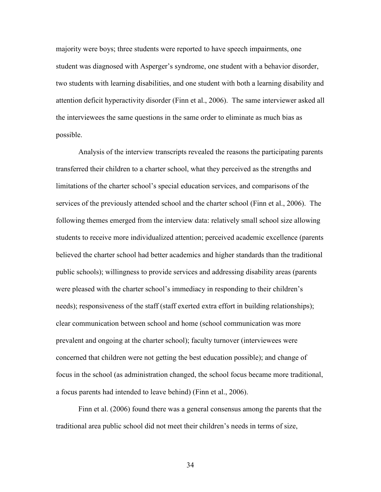majority were boys; three students were reported to have speech impairments, one student was diagnosed with Asperger's syndrome, one student with a behavior disorder, two students with learning disabilities, and one student with both a learning disability and attention deficit hyperactivity disorder (Finn et al., 2006). The same interviewer asked all the interviewees the same questions in the same order to eliminate as much bias as possible.

Analysis of the interview transcripts revealed the reasons the participating parents transferred their children to a charter school, what they perceived as the strengths and limitations of the charter school's special education services, and comparisons of the services of the previously attended school and the charter school (Finn et al., 2006). The following themes emerged from the interview data: relatively small school size allowing students to receive more individualized attention; perceived academic excellence (parents believed the charter school had better academics and higher standards than the traditional public schools); willingness to provide services and addressing disability areas (parents were pleased with the charter school's immediacy in responding to their children's needs); responsiveness of the staff (staff exerted extra effort in building relationships); clear communication between school and home (school communication was more prevalent and ongoing at the charter school); faculty turnover (interviewees were concerned that children were not getting the best education possible); and change of focus in the school (as administration changed, the school focus became more traditional, a focus parents had intended to leave behind) (Finn et al., 2006).

Finn et al. (2006) found there was a general consensus among the parents that the traditional area public school did not meet their children's needs in terms of size,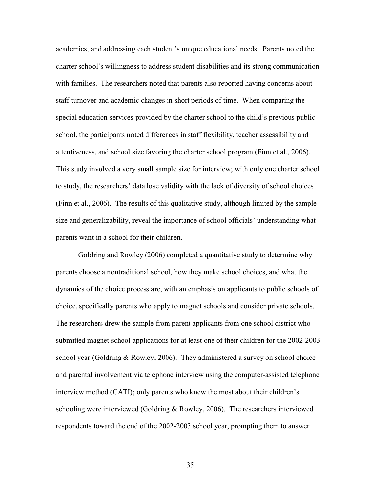academics, and addressing each student's unique educational needs. Parents noted the charter school's willingness to address student disabilities and its strong communication with families. The researchers noted that parents also reported having concerns about staff turnover and academic changes in short periods of time. When comparing the special education services provided by the charter school to the child's previous public school, the participants noted differences in staff flexibility, teacher assessibility and attentiveness, and school size favoring the charter school program (Finn et al., 2006). This study involved a very small sample size for interview; with only one charter school to study, the researchers' data lose validity with the lack of diversity of school choices (Finn et al., 2006). The results of this qualitative study, although limited by the sample size and generalizability, reveal the importance of school officials' understanding what parents want in a school for their children.

Goldring and Rowley (2006) completed a quantitative study to determine why parents choose a nontraditional school, how they make school choices, and what the dynamics of the choice process are, with an emphasis on applicants to public schools of choice, specifically parents who apply to magnet schools and consider private schools. The researchers drew the sample from parent applicants from one school district who submitted magnet school applications for at least one of their children for the 2002-2003 school year (Goldring & Rowley, 2006). They administered a survey on school choice and parental involvement via telephone interview using the computer-assisted telephone interview method (CATI); only parents who knew the most about their children's schooling were interviewed (Goldring & Rowley, 2006). The researchers interviewed respondents toward the end of the 2002-2003 school year, prompting them to answer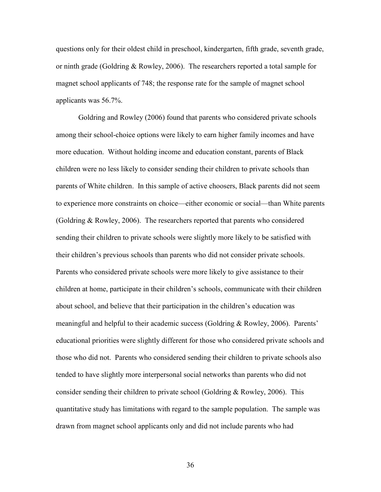questions only for their oldest child in preschool, kindergarten, fifth grade, seventh grade, or ninth grade (Goldring & Rowley, 2006). The researchers reported a total sample for magnet school applicants of 748; the response rate for the sample of magnet school applicants was 56.7%.

Goldring and Rowley (2006) found that parents who considered private schools among their school-choice options were likely to earn higher family incomes and have more education. Without holding income and education constant, parents of Black children were no less likely to consider sending their children to private schools than parents of White children. In this sample of active choosers, Black parents did not seem to experience more constraints on choice—either economic or social—than White parents (Goldring & Rowley, 2006). The researchers reported that parents who considered sending their children to private schools were slightly more likely to be satisfied with their children's previous schools than parents who did not consider private schools. Parents who considered private schools were more likely to give assistance to their children at home, participate in their children's schools, communicate with their children about school, and believe that their participation in the children's education was meaningful and helpful to their academic success (Goldring & Rowley, 2006). Parents' educational priorities were slightly different for those who considered private schools and those who did not. Parents who considered sending their children to private schools also tended to have slightly more interpersonal social networks than parents who did not consider sending their children to private school (Goldring & Rowley, 2006). This quantitative study has limitations with regard to the sample population. The sample was drawn from magnet school applicants only and did not include parents who had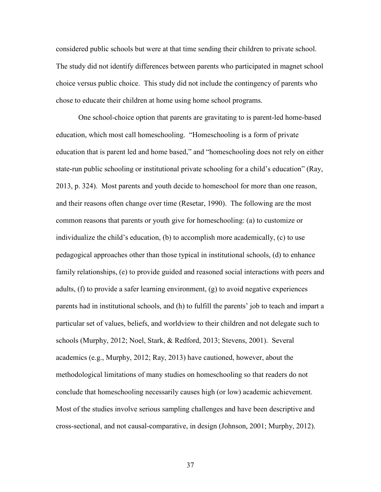considered public schools but were at that time sending their children to private school. The study did not identify differences between parents who participated in magnet school choice versus public choice. This study did not include the contingency of parents who chose to educate their children at home using home school programs.

One school-choice option that parents are gravitating to is parent-led home-based education, which most call homeschooling. "Homeschooling is a form of private education that is parent led and home based," and "homeschooling does not rely on either state-run public schooling or institutional private schooling for a child's education" (Ray, 2013, p. 324). Most parents and youth decide to homeschool for more than one reason, and their reasons often change over time (Resetar, 1990). The following are the most common reasons that parents or youth give for homeschooling: (a) to customize or individualize the child's education, (b) to accomplish more academically, (c) to use pedagogical approaches other than those typical in institutional schools, (d) to enhance family relationships, (e) to provide guided and reasoned social interactions with peers and adults, (f) to provide a safer learning environment, (g) to avoid negative experiences parents had in institutional schools, and (h) to fulfill the parents' job to teach and impart a particular set of values, beliefs, and worldview to their children and not delegate such to schools (Murphy, 2012; Noel, Stark, & Redford, 2013; Stevens, 2001). Several academics (e.g., Murphy, 2012; Ray, 2013) have cautioned, however, about the methodological limitations of many studies on homeschooling so that readers do not conclude that homeschooling necessarily causes high (or low) academic achievement. Most of the studies involve serious sampling challenges and have been descriptive and cross-sectional, and not causal-comparative, in design (Johnson, 2001; Murphy, 2012).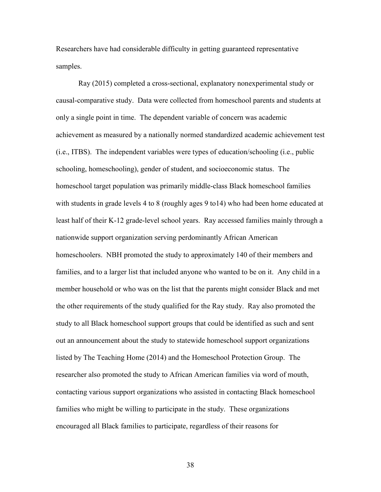Researchers have had considerable difficulty in getting guaranteed representative samples.

Ray (2015) completed a cross-sectional, explanatory nonexperimental study or causal-comparative study. Data were collected from homeschool parents and students at only a single point in time. The dependent variable of concern was academic achievement as measured by a nationally normed standardized academic achievement test (i.e., ITBS). The independent variables were types of education/schooling (i.e., public schooling, homeschooling), gender of student, and socioeconomic status. The homeschool target population was primarily middle-class Black homeschool families with students in grade levels 4 to 8 (roughly ages 9 to14) who had been home educated at least half of their K-12 grade-level school years. Ray accessed families mainly through a nationwide support organization serving perdominantly African American homeschoolers. NBH promoted the study to approximately 140 of their members and families, and to a larger list that included anyone who wanted to be on it. Any child in a member household or who was on the list that the parents might consider Black and met the other requirements of the study qualified for the Ray study. Ray also promoted the study to all Black homeschool support groups that could be identified as such and sent out an announcement about the study to statewide homeschool support organizations listed by The Teaching Home (2014) and the Homeschool Protection Group. The researcher also promoted the study to African American families via word of mouth, contacting various support organizations who assisted in contacting Black homeschool families who might be willing to participate in the study. These organizations encouraged all Black families to participate, regardless of their reasons for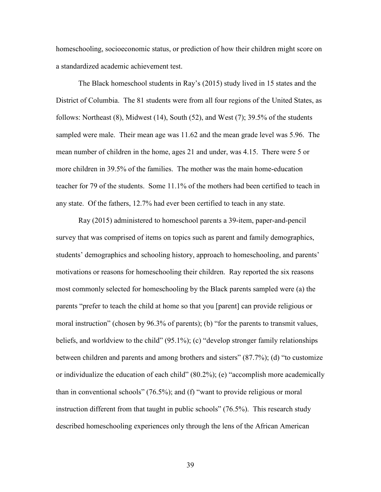homeschooling, socioeconomic status, or prediction of how their children might score on a standardized academic achievement test.

The Black homeschool students in Ray's (2015) study lived in 15 states and the District of Columbia. The 81 students were from all four regions of the United States, as follows: Northeast  $(8)$ , Midwest  $(14)$ , South  $(52)$ , and West  $(7)$ ; 39.5% of the students sampled were male. Their mean age was 11.62 and the mean grade level was 5.96. The mean number of children in the home, ages 21 and under, was 4.15. There were 5 or more children in 39.5% of the families. The mother was the main home-education teacher for 79 of the students. Some 11.1% of the mothers had been certified to teach in any state. Of the fathers, 12.7% had ever been certified to teach in any state.

Ray (2015) administered to homeschool parents a 39-item, paper-and-pencil survey that was comprised of items on topics such as parent and family demographics, students' demographics and schooling history, approach to homeschooling, and parents' motivations or reasons for homeschooling their children. Ray reported the six reasons most commonly selected for homeschooling by the Black parents sampled were (a) the parents "prefer to teach the child at home so that you [parent] can provide religious or moral instruction" (chosen by 96.3% of parents); (b) "for the parents to transmit values, beliefs, and worldview to the child" (95.1%); (c) "develop stronger family relationships between children and parents and among brothers and sisters" (87.7%); (d) "to customize or individualize the education of each child" (80.2%); (e) "accomplish more academically than in conventional schools" (76.5%); and (f) "want to provide religious or moral instruction different from that taught in public schools" (76.5%). This research study described homeschooling experiences only through the lens of the African American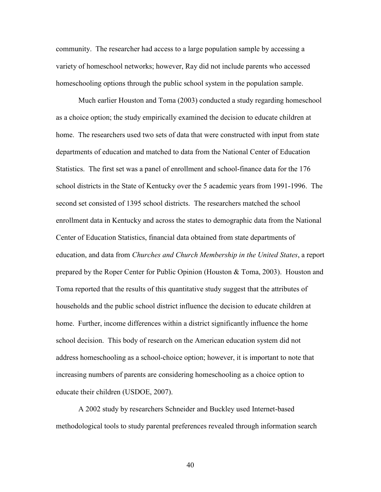community. The researcher had access to a large population sample by accessing a variety of homeschool networks; however, Ray did not include parents who accessed homeschooling options through the public school system in the population sample.

Much earlier Houston and Toma (2003) conducted a study regarding homeschool as a choice option; the study empirically examined the decision to educate children at home. The researchers used two sets of data that were constructed with input from state departments of education and matched to data from the National Center of Education Statistics. The first set was a panel of enrollment and school-finance data for the 176 school districts in the State of Kentucky over the 5 academic years from 1991-1996. The second set consisted of 1395 school districts. The researchers matched the school enrollment data in Kentucky and across the states to demographic data from the National Center of Education Statistics, financial data obtained from state departments of education, and data from *Churches and Church Membership in the United States*, a report prepared by the Roper Center for Public Opinion (Houston & Toma, 2003). Houston and Toma reported that the results of this quantitative study suggest that the attributes of households and the public school district influence the decision to educate children at home. Further, income differences within a district significantly influence the home school decision. This body of research on the American education system did not address homeschooling as a school-choice option; however, it is important to note that increasing numbers of parents are considering homeschooling as a choice option to educate their children (USDOE, 2007).

A 2002 study by researchers Schneider and Buckley used Internet-based methodological tools to study parental preferences revealed through information search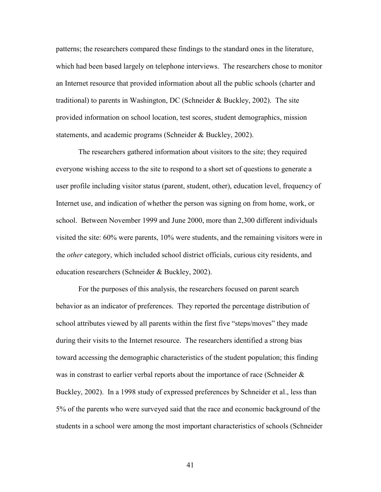patterns; the researchers compared these findings to the standard ones in the literature, which had been based largely on telephone interviews. The researchers chose to monitor an Internet resource that provided information about all the public schools (charter and traditional) to parents in Washington, DC (Schneider & Buckley, 2002). The site provided information on school location, test scores, student demographics, mission statements, and academic programs (Schneider & Buckley, 2002).

The researchers gathered information about visitors to the site; they required everyone wishing access to the site to respond to a short set of questions to generate a user profile including visitor status (parent, student, other), education level, frequency of Internet use, and indication of whether the person was signing on from home, work, or school. Between November 1999 and June 2000, more than 2,300 different individuals visited the site: 60% were parents, 10% were students, and the remaining visitors were in the *other* category, which included school district officials, curious city residents, and education researchers (Schneider & Buckley, 2002).

For the purposes of this analysis, the researchers focused on parent search behavior as an indicator of preferences. They reported the percentage distribution of school attributes viewed by all parents within the first five "steps/moves" they made during their visits to the Internet resource. The researchers identified a strong bias toward accessing the demographic characteristics of the student population; this finding was in constrast to earlier verbal reports about the importance of race (Schneider  $\&$ Buckley, 2002). In a 1998 study of expressed preferences by Schneider et al., less than 5% of the parents who were surveyed said that the race and economic background of the students in a school were among the most important characteristics of schools (Schneider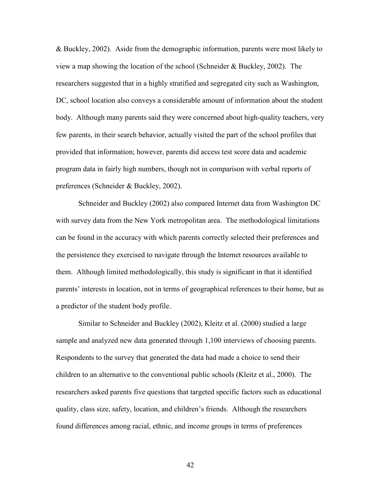& Buckley, 2002). Aside from the demographic information, parents were most likely to view a map showing the location of the school (Schneider & Buckley, 2002). The researchers suggested that in a highly stratified and segregated city such as Washington, DC, school location also conveys a considerable amount of information about the student body. Although many parents said they were concerned about high-quality teachers, very few parents, in their search behavior, actually visited the part of the school profiles that provided that information; however, parents did access test score data and academic program data in fairly high numbers, though not in comparison with verbal reports of preferences (Schneider & Buckley, 2002).

Schneider and Buckley (2002) also compared Internet data from Washington DC with survey data from the New York metropolitan area. The methodological limitations can be found in the accuracy with which parents correctly selected their preferences and the persistence they exercised to navigate through the Internet resources available to them. Although limited methodologically, this study is significant in that it identified parents' interests in location, not in terms of geographical references to their home, but as a predictor of the student body profile.

Similar to Schneider and Buckley (2002), Kleitz et al. (2000) studied a large sample and analyzed new data generated through 1,100 interviews of choosing parents. Respondents to the survey that generated the data had made a choice to send their children to an alternative to the conventional public schools (Kleitz et al., 2000). The researchers asked parents five questions that targeted specific factors such as educational quality, class size, safety, location, and children's friends. Although the researchers found differences among racial, ethnic, and income groups in terms of preferences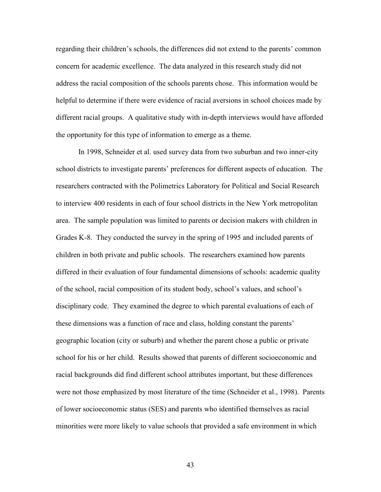regarding their children's schools, the differences did not extend to the parents' common concern for academic excellence. The data analyzed in this research study did not address the racial composition of the schools parents chose. This information would be helpful to determine if there were evidence of racial aversions in school choices made by different racial groups. A qualitative study with in-depth interviews would have afforded the opportunity for this type of information to emerge as a theme.

In 1998, Schneider et al. used survey data from two suburban and two inner-city school districts to investigate parents' preferences for different aspects of education. The researchers contracted with the Polimetrics Laboratory for Political and Social Research to interview 400 residents in each of four school districts in the New York metropolitan area. The sample population was limited to parents or decision makers with children in Grades K-8. They conducted the survey in the spring of 1995 and included parents of children in both private and public schools. The researchers examined how parents differed in their evaluation of four fundamental dimensions of schools: academic quality of the school, racial composition of its student body, school's values, and school's disciplinary code. They examined the degree to which parental evaluations of each of these dimensions was a function of race and class, holding constant the parents' geographic location (city or suburb) and whether the parent chose a public or private school for his or her child. Results showed that parents of different socioeconomic and racial backgrounds did find different school attributes important, but these differences were not those emphasized by most literature of the time (Schneider et al., 1998). Parents of lower socioeconomic status (SES) and parents who identified themselves as racial minorities were more likely to value schools that provided a safe environment in which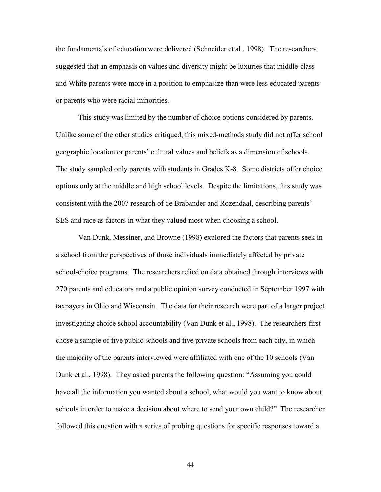the fundamentals of education were delivered (Schneider et al., 1998). The researchers suggested that an emphasis on values and diversity might be luxuries that middle-class and White parents were more in a position to emphasize than were less educated parents or parents who were racial minorities.

This study was limited by the number of choice options considered by parents. Unlike some of the other studies critiqued, this mixed-methods study did not offer school geographic location or parents' cultural values and beliefs as a dimension of schools. The study sampled only parents with students in Grades K-8. Some districts offer choice options only at the middle and high school levels. Despite the limitations, this study was consistent with the 2007 research of de Brabander and Rozendaal, describing parents' SES and race as factors in what they valued most when choosing a school.

Van Dunk, Messiner, and Browne (1998) explored the factors that parents seek in a school from the perspectives of those individuals immediately affected by private school-choice programs. The researchers relied on data obtained through interviews with 270 parents and educators and a public opinion survey conducted in September 1997 with taxpayers in Ohio and Wisconsin. The data for their research were part of a larger project investigating choice school accountability (Van Dunk et al., 1998). The researchers first chose a sample of five public schools and five private schools from each city, in which the majority of the parents interviewed were affiliated with one of the 10 schools (Van Dunk et al., 1998). They asked parents the following question: "Assuming you could have all the information you wanted about a school, what would you want to know about schools in order to make a decision about where to send your own child?" The researcher followed this question with a series of probing questions for specific responses toward a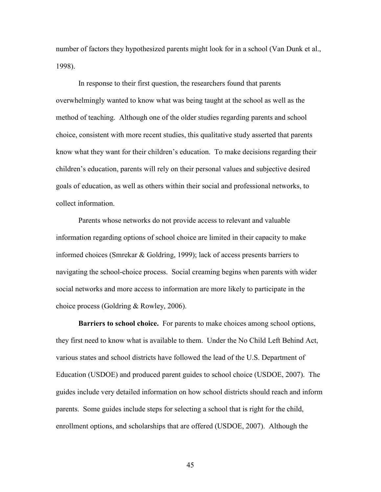number of factors they hypothesized parents might look for in a school (Van Dunk et al., 1998).

In response to their first question, the researchers found that parents overwhelmingly wanted to know what was being taught at the school as well as the method of teaching. Although one of the older studies regarding parents and school choice, consistent with more recent studies, this qualitative study asserted that parents know what they want for their children's education. To make decisions regarding their children's education, parents will rely on their personal values and subjective desired goals of education, as well as others within their social and professional networks, to collect information.

Parents whose networks do not provide access to relevant and valuable information regarding options of school choice are limited in their capacity to make informed choices (Smrekar & Goldring, 1999); lack of access presents barriers to navigating the school-choice process. Social creaming begins when parents with wider social networks and more access to information are more likely to participate in the choice process (Goldring & Rowley, 2006).

**Barriers to school choice.** For parents to make choices among school options, they first need to know what is available to them. Under the No Child Left Behind Act, various states and school districts have followed the lead of the U.S. Department of Education (USDOE) and produced parent guides to school choice (USDOE, 2007). The guides include very detailed information on how school districts should reach and inform parents. Some guides include steps for selecting a school that is right for the child, enrollment options, and scholarships that are offered (USDOE, 2007). Although the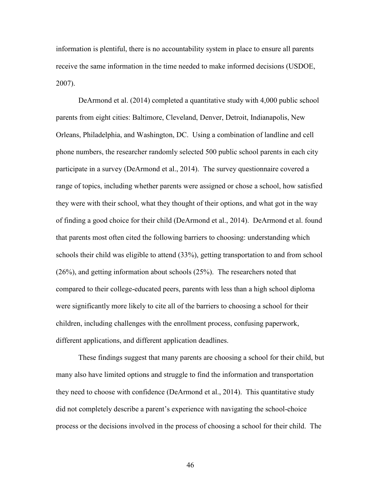information is plentiful, there is no accountability system in place to ensure all parents receive the same information in the time needed to make informed decisions (USDOE, 2007).

DeArmond et al. (2014) completed a quantitative study with 4,000 public school parents from eight cities: Baltimore, Cleveland, Denver, Detroit, Indianapolis, New Orleans, Philadelphia, and Washington, DC. Using a combination of landline and cell phone numbers, the researcher randomly selected 500 public school parents in each city participate in a survey (DeArmond et al., 2014). The survey questionnaire covered a range of topics, including whether parents were assigned or chose a school, how satisfied they were with their school, what they thought of their options, and what got in the way of finding a good choice for their child (DeArmond et al., 2014). DeArmond et al. found that parents most often cited the following barriers to choosing: understanding which schools their child was eligible to attend (33%), getting transportation to and from school (26%), and getting information about schools (25%). The researchers noted that compared to their college-educated peers, parents with less than a high school diploma were significantly more likely to cite all of the barriers to choosing a school for their children, including challenges with the enrollment process, confusing paperwork, different applications, and different application deadlines.

These findings suggest that many parents are choosing a school for their child, but many also have limited options and struggle to find the information and transportation they need to choose with confidence (DeArmond et al., 2014). This quantitative study did not completely describe a parent's experience with navigating the school-choice process or the decisions involved in the process of choosing a school for their child. The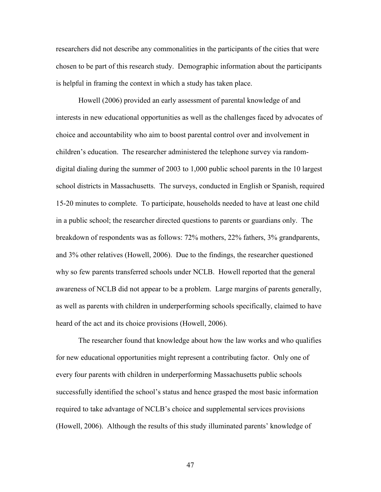researchers did not describe any commonalities in the participants of the cities that were chosen to be part of this research study. Demographic information about the participants is helpful in framing the context in which a study has taken place.

Howell (2006) provided an early assessment of parental knowledge of and interests in new educational opportunities as well as the challenges faced by advocates of choice and accountability who aim to boost parental control over and involvement in children's education. The researcher administered the telephone survey via randomdigital dialing during the summer of 2003 to 1,000 public school parents in the 10 largest school districts in Massachusetts. The surveys, conducted in English or Spanish, required 15-20 minutes to complete. To participate, households needed to have at least one child in a public school; the researcher directed questions to parents or guardians only. The breakdown of respondents was as follows: 72% mothers, 22% fathers, 3% grandparents, and 3% other relatives (Howell, 2006). Due to the findings, the researcher questioned why so few parents transferred schools under NCLB. Howell reported that the general awareness of NCLB did not appear to be a problem. Large margins of parents generally, as well as parents with children in underperforming schools specifically, claimed to have heard of the act and its choice provisions (Howell, 2006).

The researcher found that knowledge about how the law works and who qualifies for new educational opportunities might represent a contributing factor. Only one of every four parents with children in underperforming Massachusetts public schools successfully identified the school's status and hence grasped the most basic information required to take advantage of NCLB's choice and supplemental services provisions (Howell, 2006). Although the results of this study illuminated parents' knowledge of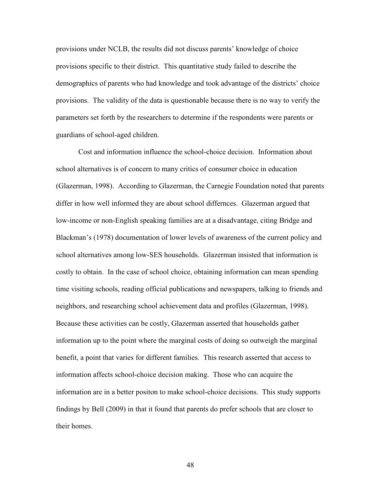provisions under NCLB, the results did not discuss parents' knowledge of choice provisions specific to their district. This quantitative study failed to describe the demographics of parents who had knowledge and took advantage of the districts' choice provisions. The validity of the data is questionable because there is no way to verify the parameters set forth by the researchers to determine if the respondents were parents or guardians of school-aged children.

Cost and information influence the school-choice decision. Information about school alternatives is of concern to many critics of consumer choice in education (Glazerman, 1998). According to Glazerman, the Carnegie Foundation noted that parents differ in how well informed they are about school differnces. Glazerman argued that low-income or non-English speaking families are at a disadvantage, citing Bridge and Blackman's (1978) documentation of lower levels of awareness of the current policy and school alternatives among low-SES households. Glazerman insisted that information is costly to obtain. In the case of school choice, obtaining information can mean spending time visiting schools, reading official publications and newspapers, talking to friends and neighbors, and researching school achievement data and profiles (Glazerman, 1998). Because these activities can be costly, Glazerman asserted that households gather information up to the point where the marginal costs of doing so outweigh the marginal benefit, a point that varies for different families. This research asserted that access to information affects school-choice decision making. Those who can acquire the information are in a better positon to make school-choice decisions. This study supports findings by Bell (2009) in that it found that parents do prefer schools that are closer to their homes.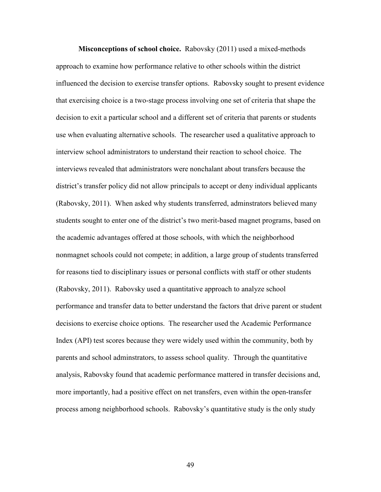**Misconceptions of school choice.** Rabovsky (2011) used a mixed-methods approach to examine how performance relative to other schools within the district influenced the decision to exercise transfer options. Rabovsky sought to present evidence that exercising choice is a two-stage process involving one set of criteria that shape the decision to exit a particular school and a different set of criteria that parents or students use when evaluating alternative schools. The researcher used a qualitative approach to interview school administrators to understand their reaction to school choice. The interviews revealed that administrators were nonchalant about transfers because the district's transfer policy did not allow principals to accept or deny individual applicants (Rabovsky, 2011). When asked why students transferred, adminstrators believed many students sought to enter one of the district's two merit-based magnet programs, based on the academic advantages offered at those schools, with which the neighborhood nonmagnet schools could not compete; in addition, a large group of students transferred for reasons tied to disciplinary issues or personal conflicts with staff or other students (Rabovsky, 2011). Rabovsky used a quantitative approach to analyze school performance and transfer data to better understand the factors that drive parent or student decisions to exercise choice options. The researcher used the Academic Performance Index (API) test scores because they were widely used within the community, both by parents and school adminstrators, to assess school quality. Through the quantitative analysis, Rabovsky found that academic performance mattered in transfer decisions and, more importantly, had a positive effect on net transfers, even within the open-transfer process among neighborhood schools. Rabovsky's quantitative study is the only study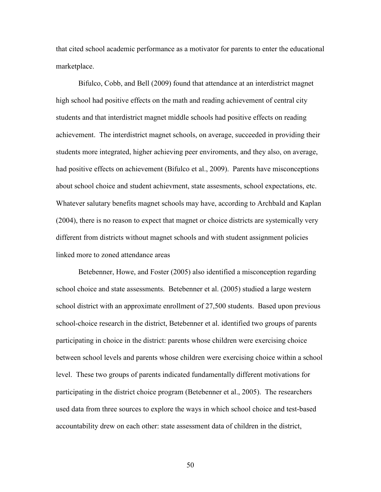that cited school academic performance as a motivator for parents to enter the educational marketplace.

Bifulco, Cobb, and Bell (2009) found that attendance at an interdistrict magnet high school had positive effects on the math and reading achievement of central city students and that interdistrict magnet middle schools had positive effects on reading achievement. The interdistrict magnet schools, on average, succeeded in providing their students more integrated, higher achieving peer enviroments, and they also, on average, had positive effects on achievement (Bifulco et al., 2009). Parents have misconceptions about school choice and student achievment, state assesments, school expectations, etc. Whatever salutary benefits magnet schools may have, according to Archbald and Kaplan (2004), there is no reason to expect that magnet or choice districts are systemically very different from districts without magnet schools and with student assignment policies linked more to zoned attendance areas

Betebenner, Howe, and Foster (2005) also identified a misconception regarding school choice and state assessments. Betebenner et al. (2005) studied a large western school district with an approximate enrollment of 27,500 students. Based upon previous school-choice research in the district, Betebenner et al. identified two groups of parents participating in choice in the district: parents whose children were exercising choice between school levels and parents whose children were exercising choice within a school level. These two groups of parents indicated fundamentally different motivations for participating in the district choice program (Betebenner et al., 2005). The researchers used data from three sources to explore the ways in which school choice and test-based accountability drew on each other: state assessment data of children in the district,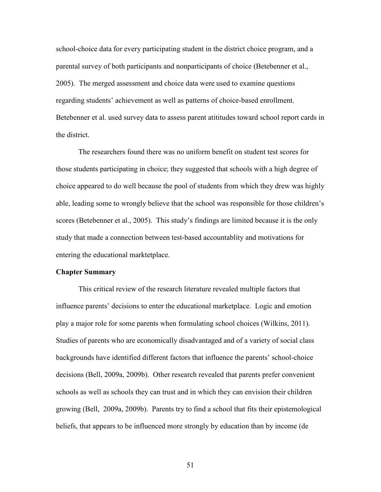school-choice data for every participating student in the district choice program, and a parental survey of both participants and nonparticipants of choice (Betebenner et al., 2005). The merged assessment and choice data were used to examine questions regarding students' achievement as well as patterns of choice-based enrollment. Betebenner et al. used survey data to assess parent atititudes toward school report cards in the district.

The researchers found there was no uniform benefit on student test scores for those students participating in choice; they suggested that schools with a high degree of choice appeared to do well because the pool of students from which they drew was highly able, leading some to wrongly believe that the school was responsible for those children's scores (Betebenner et al., 2005). This study's findings are limited because it is the only study that made a connection between test-based accountablity and motivations for entering the educational marktetplace.

#### **Chapter Summary**

This critical review of the research literature revealed multiple factors that influence parents' decisions to enter the educational marketplace. Logic and emotion play a major role for some parents when formulating school choices (Wilkins, 2011). Studies of parents who are economically disadvantaged and of a variety of social class backgrounds have identified different factors that influence the parents' school-choice decisions (Bell, 2009a, 2009b). Other research revealed that parents prefer convenient schools as well as schools they can trust and in which they can envision their children growing (Bell, 2009a, 2009b). Parents try to find a school that fits their epistemological beliefs, that appears to be influenced more strongly by education than by income (de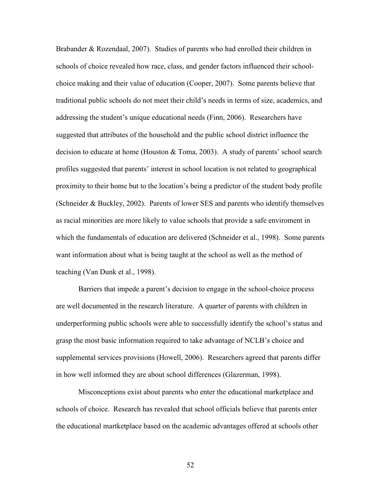Brabander & Rozendaal, 2007). Studies of parents who had enrolled their children in schools of choice revealed how race, class, and gender factors influenced their schoolchoice making and their value of education (Cooper, 2007). Some parents believe that traditional public schools do not meet their child's needs in terms of size, academics, and addressing the student's unique educational needs (Finn, 2006). Researchers have suggested that attributes of the household and the public school district influence the decision to educate at home (Houston & Toma, 2003). A study of parents' school search profiles suggested that parents' interest in school location is not related to geographical proximity to their home but to the location's being a predictor of the student body profile (Schneider & Buckley, 2002). Parents of lower SES and parents who identify themselves as racial minorities are more likely to value schools that provide a safe enviroment in which the fundamentals of education are delivered (Schneider et al., 1998). Some parents want information about what is being taught at the school as well as the method of teaching (Van Dunk et al., 1998).

Barriers that impede a parent's decision to engage in the school-choice process are well documented in the research literature. A quarter of parents with children in underperforming public schools were able to successfully identify the school's status and grasp the most basic information required to take advantage of NCLB's choice and supplemental services provisions (Howell, 2006). Researchers agreed that parents differ in how well informed they are about school differences (Glazerman, 1998).

Misconceptions exist about parents who enter the educational marketplace and schools of choice. Research has revealed that school officials believe that parents enter the educational martketplace based on the academic advantages offered at schools other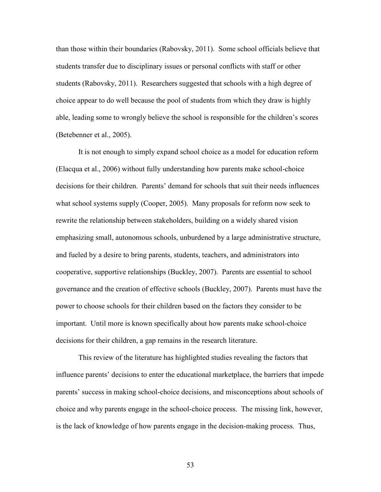than those within their boundaries (Rabovsky, 2011). Some school officials believe that students transfer due to disciplinary issues or personal conflicts with staff or other students (Rabovsky, 2011). Researchers suggested that schools with a high degree of choice appear to do well because the pool of students from which they draw is highly able, leading some to wrongly believe the school is responsible for the children's scores (Betebenner et al., 2005).

It is not enough to simply expand school choice as a model for education reform (Elacqua et al., 2006) without fully understanding how parents make school-choice decisions for their children. Parents' demand for schools that suit their needs influences what school systems supply (Cooper, 2005). Many proposals for reform now seek to rewrite the relationship between stakeholders, building on a widely shared vision emphasizing small, autonomous schools, unburdened by a large administrative structure, and fueled by a desire to bring parents, students, teachers, and administrators into cooperative, supportive relationships (Buckley, 2007). Parents are essential to school governance and the creation of effective schools (Buckley, 2007). Parents must have the power to choose schools for their children based on the factors they consider to be important. Until more is known specifically about how parents make school-choice decisions for their children, a gap remains in the research literature.

This review of the literature has highlighted studies revealing the factors that influence parents' decisions to enter the educational marketplace, the barriers that impede parents' success in making school-choice decisions, and misconceptions about schools of choice and why parents engage in the school-choice process. The missing link, however, is the lack of knowledge of how parents engage in the decision-making process. Thus,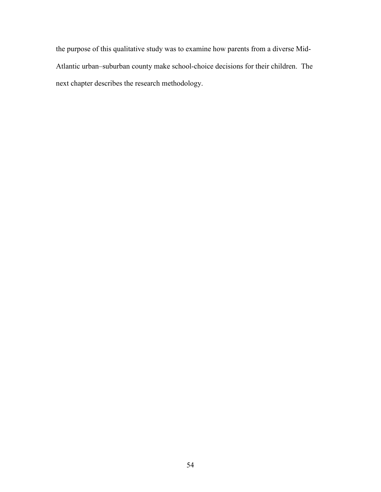the purpose of this qualitative study was to examine how parents from a diverse Mid-Atlantic urban–suburban county make school-choice decisions for their children. The next chapter describes the research methodology.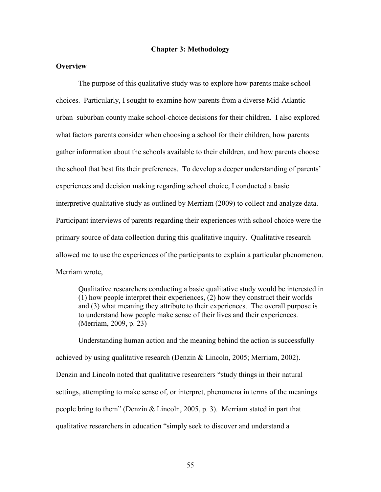#### **Chapter 3: Methodology**

## **Overview**

The purpose of this qualitative study was to explore how parents make school choices. Particularly, I sought to examine how parents from a diverse Mid-Atlantic urban–suburban county make school-choice decisions for their children. I also explored what factors parents consider when choosing a school for their children, how parents gather information about the schools available to their children, and how parents choose the school that best fits their preferences. To develop a deeper understanding of parents' experiences and decision making regarding school choice, I conducted a basic interpretive qualitative study as outlined by Merriam (2009) to collect and analyze data. Participant interviews of parents regarding their experiences with school choice were the primary source of data collection during this qualitative inquiry. Qualitative research allowed me to use the experiences of the participants to explain a particular phenomenon. Merriam wrote,

Qualitative researchers conducting a basic qualitative study would be interested in (1) how people interpret their experiences, (2) how they construct their worlds and (3) what meaning they attribute to their experiences. The overall purpose is to understand how people make sense of their lives and their experiences. (Merriam, 2009, p. 23)

Understanding human action and the meaning behind the action is successfully achieved by using qualitative research (Denzin & Lincoln, 2005; Merriam, 2002). Denzin and Lincoln noted that qualitative researchers "study things in their natural settings, attempting to make sense of, or interpret, phenomena in terms of the meanings people bring to them" (Denzin & Lincoln, 2005, p. 3). Merriam stated in part that qualitative researchers in education "simply seek to discover and understand a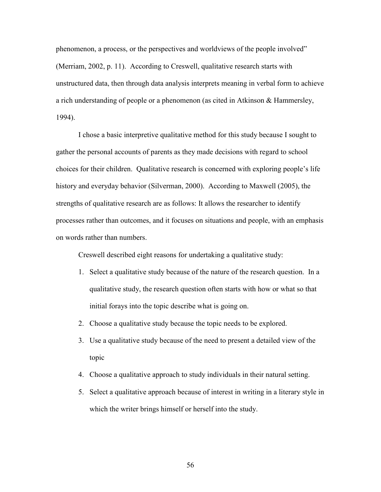phenomenon, a process, or the perspectives and worldviews of the people involved" (Merriam, 2002, p. 11). According to Creswell, qualitative research starts with unstructured data, then through data analysis interprets meaning in verbal form to achieve a rich understanding of people or a phenomenon (as cited in Atkinson & Hammersley, 1994).

I chose a basic interpretive qualitative method for this study because I sought to gather the personal accounts of parents as they made decisions with regard to school choices for their children. Qualitative research is concerned with exploring people's life history and everyday behavior (Silverman, 2000). According to Maxwell (2005), the strengths of qualitative research are as follows: It allows the researcher to identify processes rather than outcomes, and it focuses on situations and people, with an emphasis on words rather than numbers.

Creswell described eight reasons for undertaking a qualitative study:

- 1. Select a qualitative study because of the nature of the research question. In a qualitative study, the research question often starts with how or what so that initial forays into the topic describe what is going on.
- 2. Choose a qualitative study because the topic needs to be explored.
- 3. Use a qualitative study because of the need to present a detailed view of the topic
- 4. Choose a qualitative approach to study individuals in their natural setting.
- 5. Select a qualitative approach because of interest in writing in a literary style in which the writer brings himself or herself into the study.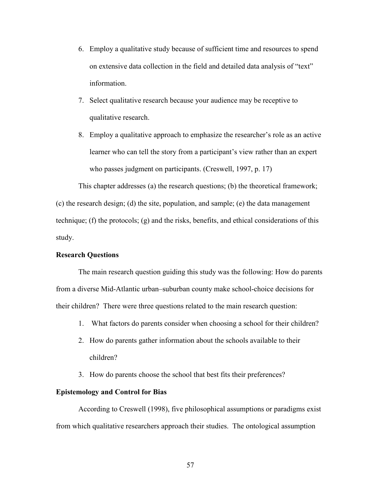- 6. Employ a qualitative study because of sufficient time and resources to spend on extensive data collection in the field and detailed data analysis of "text" information.
- 7. Select qualitative research because your audience may be receptive to qualitative research.
- 8. Employ a qualitative approach to emphasize the researcher's role as an active learner who can tell the story from a participant's view rather than an expert who passes judgment on participants. (Creswell, 1997, p. 17)

This chapter addresses (a) the research questions; (b) the theoretical framework; (c) the research design; (d) the site, population, and sample; (e) the data management technique; (f) the protocols; (g) and the risks, benefits, and ethical considerations of this study.

## **Research Questions**

The main research question guiding this study was the following: How do parents from a diverse Mid-Atlantic urban–suburban county make school-choice decisions for their children? There were three questions related to the main research question:

- 1. What factors do parents consider when choosing a school for their children?
- 2. How do parents gather information about the schools available to their children?
- 3. How do parents choose the school that best fits their preferences?

# **Epistemology and Control for Bias**

According to Creswell (1998), five philosophical assumptions or paradigms exist from which qualitative researchers approach their studies. The ontological assumption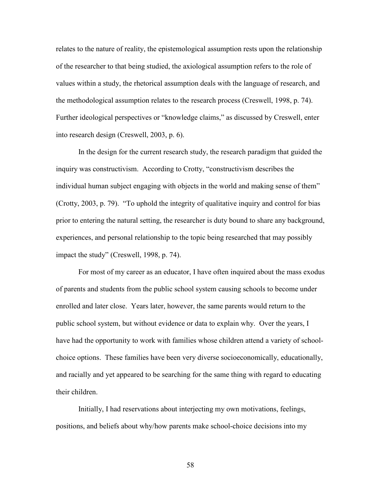relates to the nature of reality, the epistemological assumption rests upon the relationship of the researcher to that being studied, the axiological assumption refers to the role of values within a study, the rhetorical assumption deals with the language of research, and the methodological assumption relates to the research process (Creswell, 1998, p. 74). Further ideological perspectives or "knowledge claims," as discussed by Creswell, enter into research design (Creswell, 2003, p. 6).

In the design for the current research study, the research paradigm that guided the inquiry was constructivism. According to Crotty, "constructivism describes the individual human subject engaging with objects in the world and making sense of them" (Crotty, 2003, p. 79). "To uphold the integrity of qualitative inquiry and control for bias prior to entering the natural setting, the researcher is duty bound to share any background, experiences, and personal relationship to the topic being researched that may possibly impact the study" (Creswell, 1998, p. 74).

For most of my career as an educator, I have often inquired about the mass exodus of parents and students from the public school system causing schools to become under enrolled and later close. Years later, however, the same parents would return to the public school system, but without evidence or data to explain why. Over the years, I have had the opportunity to work with families whose children attend a variety of schoolchoice options. These families have been very diverse socioeconomically, educationally, and racially and yet appeared to be searching for the same thing with regard to educating their children.

Initially, I had reservations about interjecting my own motivations, feelings, positions, and beliefs about why/how parents make school-choice decisions into my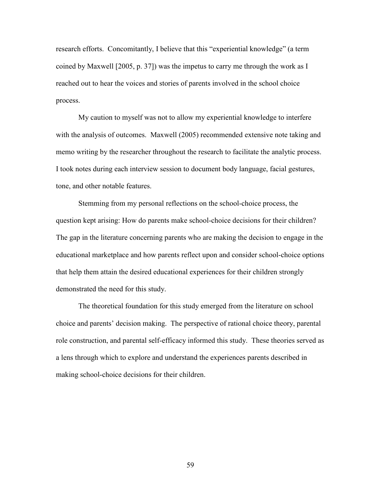research efforts. Concomitantly, I believe that this "experiential knowledge" (a term coined by Maxwell [2005, p. 37]) was the impetus to carry me through the work as I reached out to hear the voices and stories of parents involved in the school choice process.

My caution to myself was not to allow my experiential knowledge to interfere with the analysis of outcomes. Maxwell (2005) recommended extensive note taking and memo writing by the researcher throughout the research to facilitate the analytic process. I took notes during each interview session to document body language, facial gestures, tone, and other notable features.

Stemming from my personal reflections on the school-choice process, the question kept arising: How do parents make school-choice decisions for their children? The gap in the literature concerning parents who are making the decision to engage in the educational marketplace and how parents reflect upon and consider school-choice options that help them attain the desired educational experiences for their children strongly demonstrated the need for this study.

The theoretical foundation for this study emerged from the literature on school choice and parents' decision making. The perspective of rational choice theory, parental role construction, and parental self-efficacy informed this study. These theories served as a lens through which to explore and understand the experiences parents described in making school-choice decisions for their children.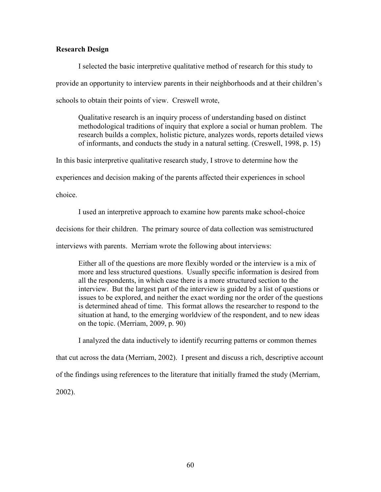## **Research Design**

I selected the basic interpretive qualitative method of research for this study to provide an opportunity to interview parents in their neighborhoods and at their children's schools to obtain their points of view. Creswell wrote,

Qualitative research is an inquiry process of understanding based on distinct methodological traditions of inquiry that explore a social or human problem. The research builds a complex, holistic picture, analyzes words, reports detailed views of informants, and conducts the study in a natural setting. (Creswell, 1998, p. 15)

In this basic interpretive qualitative research study, I strove to determine how the experiences and decision making of the parents affected their experiences in school

choice.

I used an interpretive approach to examine how parents make school-choice decisions for their children. The primary source of data collection was semistructured

interviews with parents. Merriam wrote the following about interviews:

Either all of the questions are more flexibly worded or the interview is a mix of more and less structured questions. Usually specific information is desired from all the respondents, in which case there is a more structured section to the interview. But the largest part of the interview is guided by a list of questions or issues to be explored, and neither the exact wording nor the order of the questions is determined ahead of time. This format allows the researcher to respond to the situation at hand, to the emerging worldview of the respondent, and to new ideas on the topic. (Merriam, 2009, p. 90)

I analyzed the data inductively to identify recurring patterns or common themes that cut across the data (Merriam, 2002). I present and discuss a rich, descriptive account of the findings using references to the literature that initially framed the study (Merriam, 2002).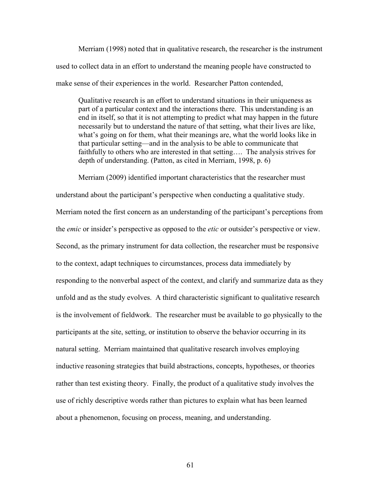Merriam (1998) noted that in qualitative research, the researcher is the instrument used to collect data in an effort to understand the meaning people have constructed to make sense of their experiences in the world. Researcher Patton contended,

Qualitative research is an effort to understand situations in their uniqueness as part of a particular context and the interactions there. This understanding is an end in itself, so that it is not attempting to predict what may happen in the future necessarily but to understand the nature of that setting, what their lives are like, what's going on for them, what their meanings are, what the world looks like in that particular setting—and in the analysis to be able to communicate that faithfully to others who are interested in that setting…. The analysis strives for depth of understanding. (Patton, as cited in Merriam, 1998, p. 6)

Merriam (2009) identified important characteristics that the researcher must understand about the participant's perspective when conducting a qualitative study. Merriam noted the first concern as an understanding of the participant's perceptions from the *emic* or insider's perspective as opposed to the *etic* or outsider's perspective or view. Second, as the primary instrument for data collection, the researcher must be responsive to the context, adapt techniques to circumstances, process data immediately by responding to the nonverbal aspect of the context, and clarify and summarize data as they unfold and as the study evolves. A third characteristic significant to qualitative research is the involvement of fieldwork. The researcher must be available to go physically to the participants at the site, setting, or institution to observe the behavior occurring in its natural setting. Merriam maintained that qualitative research involves employing inductive reasoning strategies that build abstractions, concepts, hypotheses, or theories rather than test existing theory. Finally, the product of a qualitative study involves the use of richly descriptive words rather than pictures to explain what has been learned about a phenomenon, focusing on process, meaning, and understanding.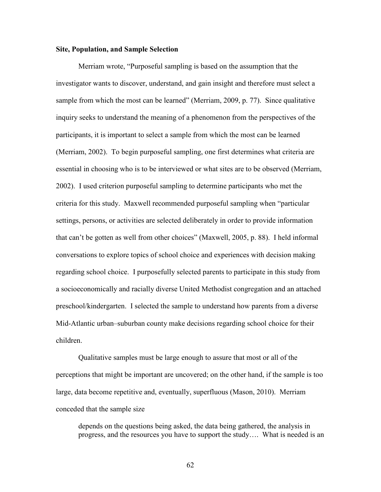#### **Site, Population, and Sample Selection**

Merriam wrote, "Purposeful sampling is based on the assumption that the investigator wants to discover, understand, and gain insight and therefore must select a sample from which the most can be learned" (Merriam, 2009, p. 77). Since qualitative inquiry seeks to understand the meaning of a phenomenon from the perspectives of the participants, it is important to select a sample from which the most can be learned (Merriam, 2002). To begin purposeful sampling, one first determines what criteria are essential in choosing who is to be interviewed or what sites are to be observed (Merriam, 2002). I used criterion purposeful sampling to determine participants who met the criteria for this study. Maxwell recommended purposeful sampling when "particular settings, persons, or activities are selected deliberately in order to provide information that can't be gotten as well from other choices" (Maxwell, 2005, p. 88). I held informal conversations to explore topics of school choice and experiences with decision making regarding school choice. I purposefully selected parents to participate in this study from a socioeconomically and racially diverse United Methodist congregation and an attached preschool/kindergarten. I selected the sample to understand how parents from a diverse Mid-Atlantic urban–suburban county make decisions regarding school choice for their children.

Qualitative samples must be large enough to assure that most or all of the perceptions that might be important are uncovered; on the other hand, if the sample is too large, data become repetitive and, eventually, superfluous (Mason, 2010). Merriam conceded that the sample size

depends on the questions being asked, the data being gathered, the analysis in progress, and the resources you have to support the study…. What is needed is an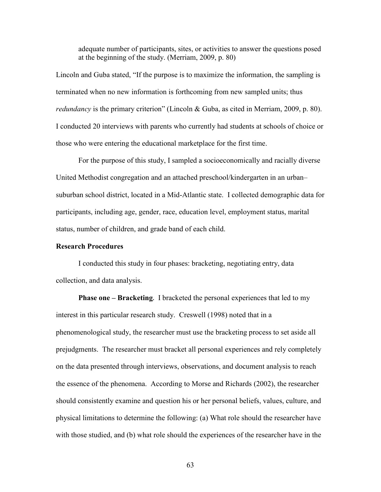adequate number of participants, sites, or activities to answer the questions posed at the beginning of the study. (Merriam, 2009, p. 80)

Lincoln and Guba stated, "If the purpose is to maximize the information, the sampling is terminated when no new information is forthcoming from new sampled units; thus *redundancy* is the primary criterion" (Lincoln & Guba, as cited in Merriam, 2009, p. 80). I conducted 20 interviews with parents who currently had students at schools of choice or those who were entering the educational marketplace for the first time.

For the purpose of this study, I sampled a socioeconomically and racially diverse United Methodist congregation and an attached preschool/kindergarten in an urban– suburban school district, located in a Mid-Atlantic state. I collected demographic data for participants, including age, gender, race, education level, employment status, marital status, number of children, and grade band of each child.

# **Research Procedures**

I conducted this study in four phases: bracketing, negotiating entry, data collection, and data analysis.

**Phase one – Bracketing.** I bracketed the personal experiences that led to my interest in this particular research study. Creswell (1998) noted that in a phenomenological study, the researcher must use the bracketing process to set aside all prejudgments. The researcher must bracket all personal experiences and rely completely on the data presented through interviews, observations, and document analysis to reach the essence of the phenomena. According to Morse and Richards (2002), the researcher should consistently examine and question his or her personal beliefs, values, culture, and physical limitations to determine the following: (a) What role should the researcher have with those studied, and (b) what role should the experiences of the researcher have in the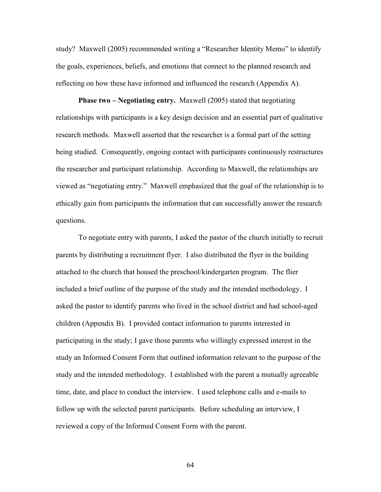study? Maxwell (2005) recommended writing a "Researcher Identity Memo" to identify the goals, experiences, beliefs, and emotions that connect to the planned research and reflecting on how these have informed and influenced the research (Appendix A).

**Phase two – Negotiating entry.** Maxwell (2005) stated that negotiating relationships with participants is a key design decision and an essential part of qualitative research methods. Maxwell asserted that the researcher is a formal part of the setting being studied. Consequently, ongoing contact with participants continuously restructures the researcher and participant relationship. According to Maxwell, the relationships are viewed as "negotiating entry." Maxwell emphasized that the goal of the relationship is to ethically gain from participants the information that can successfully answer the research questions.

To negotiate entry with parents, I asked the pastor of the church initially to recruit parents by distributing a recruitment flyer. I also distributed the flyer in the building attached to the church that housed the preschool/kindergarten program. The flier included a brief outline of the purpose of the study and the intended methodology. I asked the pastor to identify parents who lived in the school district and had school-aged children (Appendix B). I provided contact information to parents interested in participating in the study; I gave those parents who willingly expressed interest in the study an Informed Consent Form that outlined information relevant to the purpose of the study and the intended methodology. I established with the parent a mutually agreeable time, date, and place to conduct the interview. I used telephone calls and e-mails to follow up with the selected parent participants. Before scheduling an interview, I reviewed a copy of the Informed Consent Form with the parent.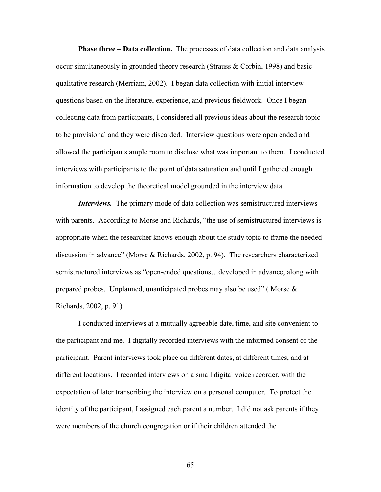**Phase three – Data collection.** The processes of data collection and data analysis occur simultaneously in grounded theory research (Strauss & Corbin, 1998) and basic qualitative research (Merriam, 2002). I began data collection with initial interview questions based on the literature, experience, and previous fieldwork. Once I began collecting data from participants, I considered all previous ideas about the research topic to be provisional and they were discarded. Interview questions were open ended and allowed the participants ample room to disclose what was important to them. I conducted interviews with participants to the point of data saturation and until I gathered enough information to develop the theoretical model grounded in the interview data.

*Interviews.* The primary mode of data collection was semistructured interviews with parents. According to Morse and Richards, "the use of semistructured interviews is appropriate when the researcher knows enough about the study topic to frame the needed discussion in advance" (Morse & Richards, 2002, p. 94). The researchers characterized semistructured interviews as "open-ended questions…developed in advance, along with prepared probes. Unplanned, unanticipated probes may also be used" (Morse  $\&$ Richards, 2002, p. 91).

I conducted interviews at a mutually agreeable date, time, and site convenient to the participant and me. I digitally recorded interviews with the informed consent of the participant. Parent interviews took place on different dates, at different times, and at different locations. I recorded interviews on a small digital voice recorder, with the expectation of later transcribing the interview on a personal computer. To protect the identity of the participant, I assigned each parent a number. I did not ask parents if they were members of the church congregation or if their children attended the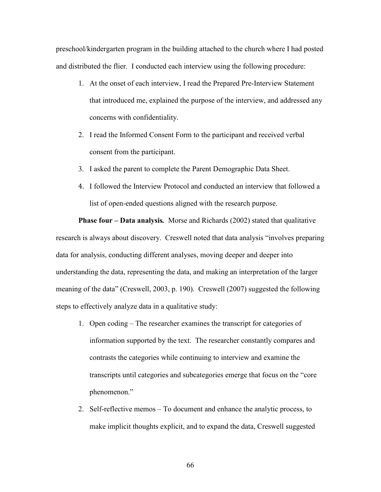preschool/kindergarten program in the building attached to the church where I had posted and distributed the flier. I conducted each interview using the following procedure:

- 1. At the onset of each interview, I read the Prepared Pre-Interview Statement that introduced me, explained the purpose of the interview, and addressed any concerns with confidentiality.
- 2. I read the Informed Consent Form to the participant and received verbal consent from the participant.
- 3. I asked the parent to complete the Parent Demographic Data Sheet.
- 4. I followed the Interview Protocol and conducted an interview that followed a list of open-ended questions aligned with the research purpose.

**Phase four – Data analysis***.* Morse and Richards (2002) stated that qualitative research is always about discovery. Creswell noted that data analysis "involves preparing data for analysis, conducting different analyses, moving deeper and deeper into understanding the data, representing the data, and making an interpretation of the larger meaning of the data" (Creswell, 2003, p. 190). Creswell (2007) suggested the following steps to effectively analyze data in a qualitative study:

- 1. Open coding The researcher examines the transcript for categories of information supported by the text. The researcher constantly compares and contrasts the categories while continuing to interview and examine the transcripts until categories and subcategories emerge that focus on the "core phenomenon."
- 2. Self-reflective memos To document and enhance the analytic process, to make implicit thoughts explicit, and to expand the data, Creswell suggested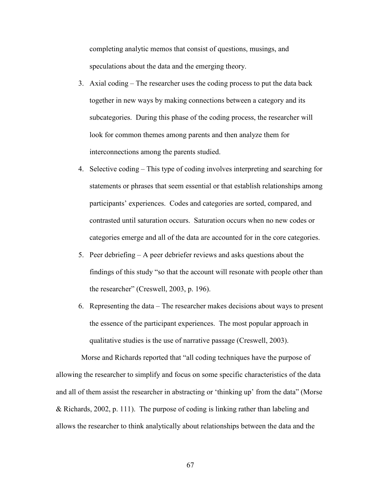completing analytic memos that consist of questions, musings, and speculations about the data and the emerging theory.

- 3. Axial coding The researcher uses the coding process to put the data back together in new ways by making connections between a category and its subcategories. During this phase of the coding process, the researcher will look for common themes among parents and then analyze them for interconnections among the parents studied.
- 4. Selective coding This type of coding involves interpreting and searching for statements or phrases that seem essential or that establish relationships among participants' experiences. Codes and categories are sorted, compared, and contrasted until saturation occurs. Saturation occurs when no new codes or categories emerge and all of the data are accounted for in the core categories.
- 5. Peer debriefing A peer debriefer reviews and asks questions about the findings of this study "so that the account will resonate with people other than the researcher" (Creswell, 2003, p. 196).
- 6. Representing the data The researcher makes decisions about ways to present the essence of the participant experiences. The most popular approach in qualitative studies is the use of narrative passage (Creswell, 2003).

Morse and Richards reported that "all coding techniques have the purpose of allowing the researcher to simplify and focus on some specific characteristics of the data and all of them assist the researcher in abstracting or 'thinking up' from the data" (Morse & Richards, 2002, p. 111). The purpose of coding is linking rather than labeling and allows the researcher to think analytically about relationships between the data and the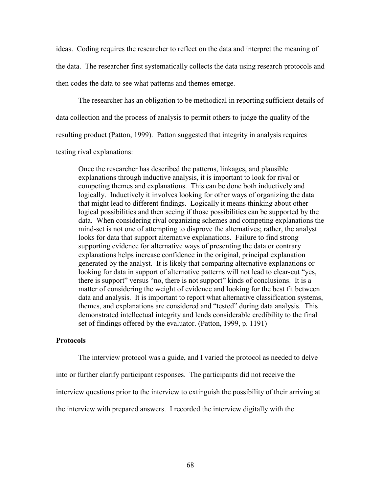ideas. Coding requires the researcher to reflect on the data and interpret the meaning of the data. The researcher first systematically collects the data using research protocols and then codes the data to see what patterns and themes emerge.

The researcher has an obligation to be methodical in reporting sufficient details of data collection and the process of analysis to permit others to judge the quality of the resulting product (Patton, 1999). Patton suggested that integrity in analysis requires testing rival explanations:

Once the researcher has described the patterns, linkages, and plausible explanations through inductive analysis, it is important to look for rival or competing themes and explanations. This can be done both inductively and logically. Inductively it involves looking for other ways of organizing the data that might lead to different findings. Logically it means thinking about other logical possibilities and then seeing if those possibilities can be supported by the data. When considering rival organizing schemes and competing explanations the mind-set is not one of attempting to disprove the alternatives; rather, the analyst looks for data that support alternative explanations. Failure to find strong supporting evidence for alternative ways of presenting the data or contrary explanations helps increase confidence in the original, principal explanation generated by the analyst. It is likely that comparing alternative explanations or looking for data in support of alternative patterns will not lead to clear-cut "yes, there is support" versus "no, there is not support" kinds of conclusions. It is a matter of considering the weight of evidence and looking for the best fit between data and analysis. It is important to report what alternative classification systems, themes, and explanations are considered and "tested" during data analysis. This demonstrated intellectual integrity and lends considerable credibility to the final set of findings offered by the evaluator. (Patton, 1999, p. 1191)

#### **Protocols**

The interview protocol was a guide, and I varied the protocol as needed to delve into or further clarify participant responses. The participants did not receive the interview questions prior to the interview to extinguish the possibility of their arriving at the interview with prepared answers. I recorded the interview digitally with the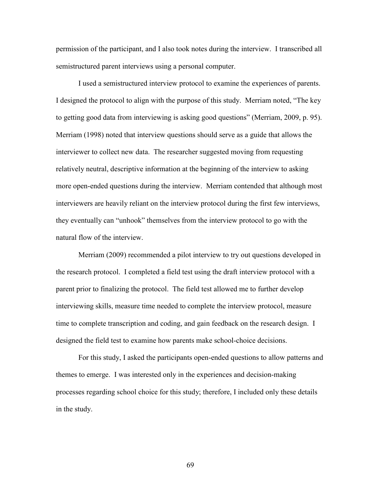permission of the participant, and I also took notes during the interview. I transcribed all semistructured parent interviews using a personal computer.

I used a semistructured interview protocol to examine the experiences of parents. I designed the protocol to align with the purpose of this study. Merriam noted, "The key to getting good data from interviewing is asking good questions" (Merriam, 2009, p. 95). Merriam (1998) noted that interview questions should serve as a guide that allows the interviewer to collect new data. The researcher suggested moving from requesting relatively neutral, descriptive information at the beginning of the interview to asking more open-ended questions during the interview. Merriam contended that although most interviewers are heavily reliant on the interview protocol during the first few interviews, they eventually can "unhook" themselves from the interview protocol to go with the natural flow of the interview.

Merriam (2009) recommended a pilot interview to try out questions developed in the research protocol. I completed a field test using the draft interview protocol with a parent prior to finalizing the protocol. The field test allowed me to further develop interviewing skills, measure time needed to complete the interview protocol, measure time to complete transcription and coding, and gain feedback on the research design. I designed the field test to examine how parents make school-choice decisions.

For this study, I asked the participants open-ended questions to allow patterns and themes to emerge. I was interested only in the experiences and decision-making processes regarding school choice for this study; therefore, I included only these details in the study.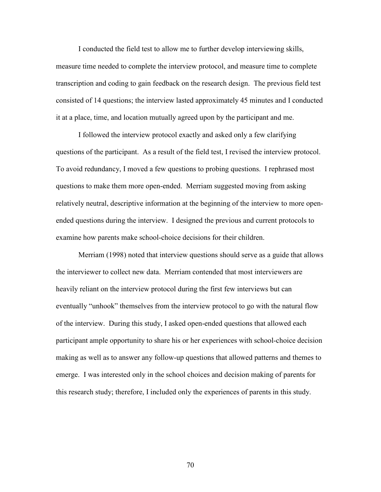I conducted the field test to allow me to further develop interviewing skills, measure time needed to complete the interview protocol, and measure time to complete transcription and coding to gain feedback on the research design. The previous field test consisted of 14 questions; the interview lasted approximately 45 minutes and I conducted it at a place, time, and location mutually agreed upon by the participant and me.

I followed the interview protocol exactly and asked only a few clarifying questions of the participant. As a result of the field test, I revised the interview protocol. To avoid redundancy, I moved a few questions to probing questions. I rephrased most questions to make them more open-ended. Merriam suggested moving from asking relatively neutral, descriptive information at the beginning of the interview to more openended questions during the interview. I designed the previous and current protocols to examine how parents make school-choice decisions for their children.

Merriam (1998) noted that interview questions should serve as a guide that allows the interviewer to collect new data. Merriam contended that most interviewers are heavily reliant on the interview protocol during the first few interviews but can eventually "unhook" themselves from the interview protocol to go with the natural flow of the interview. During this study, I asked open-ended questions that allowed each participant ample opportunity to share his or her experiences with school-choice decision making as well as to answer any follow-up questions that allowed patterns and themes to emerge. I was interested only in the school choices and decision making of parents for this research study; therefore, I included only the experiences of parents in this study.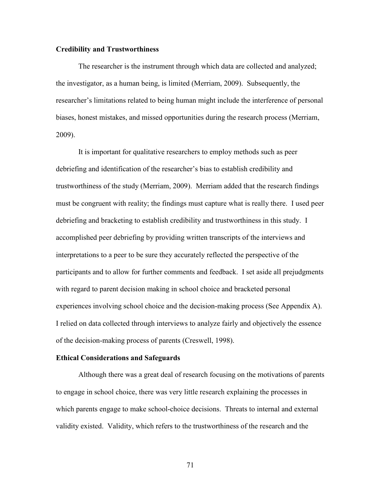## **Credibility and Trustworthiness**

The researcher is the instrument through which data are collected and analyzed; the investigator, as a human being, is limited (Merriam, 2009). Subsequently, the researcher's limitations related to being human might include the interference of personal biases, honest mistakes, and missed opportunities during the research process (Merriam, 2009).

It is important for qualitative researchers to employ methods such as peer debriefing and identification of the researcher's bias to establish credibility and trustworthiness of the study (Merriam, 2009). Merriam added that the research findings must be congruent with reality; the findings must capture what is really there. I used peer debriefing and bracketing to establish credibility and trustworthiness in this study. I accomplished peer debriefing by providing written transcripts of the interviews and interpretations to a peer to be sure they accurately reflected the perspective of the participants and to allow for further comments and feedback. I set aside all prejudgments with regard to parent decision making in school choice and bracketed personal experiences involving school choice and the decision-making process (See Appendix A). I relied on data collected through interviews to analyze fairly and objectively the essence of the decision-making process of parents (Creswell, 1998).

## **Ethical Considerations and Safeguards**

Although there was a great deal of research focusing on the motivations of parents to engage in school choice, there was very little research explaining the processes in which parents engage to make school-choice decisions. Threats to internal and external validity existed. Validity, which refers to the trustworthiness of the research and the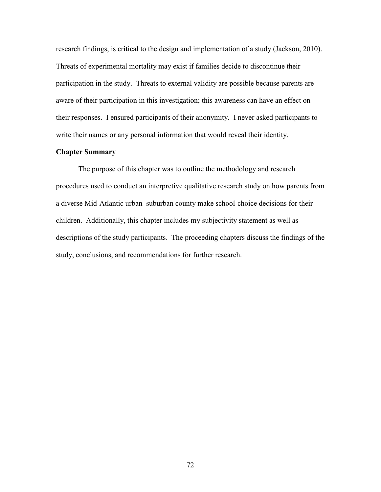research findings, is critical to the design and implementation of a study (Jackson, 2010). Threats of experimental mortality may exist if families decide to discontinue their participation in the study. Threats to external validity are possible because parents are aware of their participation in this investigation; this awareness can have an effect on their responses. I ensured participants of their anonymity. I never asked participants to write their names or any personal information that would reveal their identity.

# **Chapter Summary**

The purpose of this chapter was to outline the methodology and research procedures used to conduct an interpretive qualitative research study on how parents from a diverse Mid-Atlantic urban–suburban county make school-choice decisions for their children. Additionally, this chapter includes my subjectivity statement as well as descriptions of the study participants. The proceeding chapters discuss the findings of the study, conclusions, and recommendations for further research.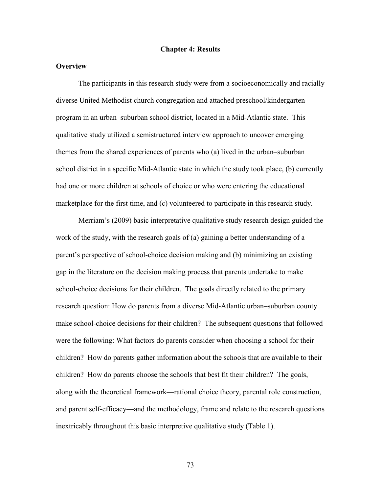#### **Chapter 4: Results**

# **Overview**

The participants in this research study were from a socioeconomically and racially diverse United Methodist church congregation and attached preschool/kindergarten program in an urban–suburban school district, located in a Mid-Atlantic state. This qualitative study utilized a semistructured interview approach to uncover emerging themes from the shared experiences of parents who (a) lived in the urban–suburban school district in a specific Mid-Atlantic state in which the study took place, (b) currently had one or more children at schools of choice or who were entering the educational marketplace for the first time, and (c) volunteered to participate in this research study.

Merriam's (2009) basic interpretative qualitative study research design guided the work of the study, with the research goals of (a) gaining a better understanding of a parent's perspective of school-choice decision making and (b) minimizing an existing gap in the literature on the decision making process that parents undertake to make school-choice decisions for their children. The goals directly related to the primary research question: How do parents from a diverse Mid-Atlantic urban–suburban county make school-choice decisions for their children? The subsequent questions that followed were the following: What factors do parents consider when choosing a school for their children? How do parents gather information about the schools that are available to their children? How do parents choose the schools that best fit their children? The goals, along with the theoretical framework—rational choice theory, parental role construction, and parent self-efficacy—and the methodology, frame and relate to the research questions inextricably throughout this basic interpretive qualitative study (Table 1).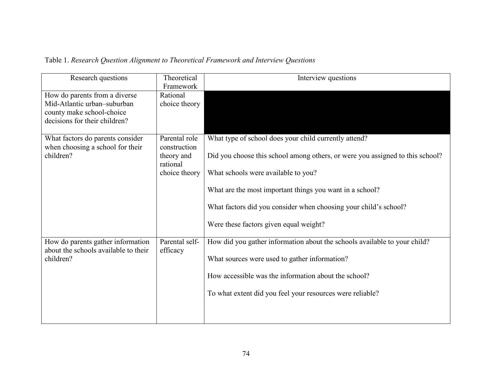# Table 1. *Research Question Alignment to Theoretical Framework and Interview Questions*

| Research questions                                                                                                         | Theoretical<br>Framework                | Interview questions                                                           |
|----------------------------------------------------------------------------------------------------------------------------|-----------------------------------------|-------------------------------------------------------------------------------|
| How do parents from a diverse<br>Mid-Atlantic urban-suburban<br>county make school-choice<br>decisions for their children? | Rational<br>choice theory               |                                                                               |
| What factors do parents consider<br>when choosing a school for their                                                       | Parental role<br>construction           | What type of school does your child currently attend?                         |
| children?                                                                                                                  | theory and<br>rational<br>choice theory | Did you choose this school among others, or were you assigned to this school? |
|                                                                                                                            |                                         | What schools were available to you?                                           |
|                                                                                                                            |                                         | What are the most important things you want in a school?                      |
|                                                                                                                            |                                         | What factors did you consider when choosing your child's school?              |
|                                                                                                                            |                                         | Were these factors given equal weight?                                        |
| How do parents gather information<br>about the schools available to their                                                  | Parental self-<br>efficacy              | How did you gather information about the schools available to your child?     |
| children?                                                                                                                  |                                         | What sources were used to gather information?                                 |
|                                                                                                                            |                                         | How accessible was the information about the school?                          |
|                                                                                                                            |                                         | To what extent did you feel your resources were reliable?                     |
|                                                                                                                            |                                         |                                                                               |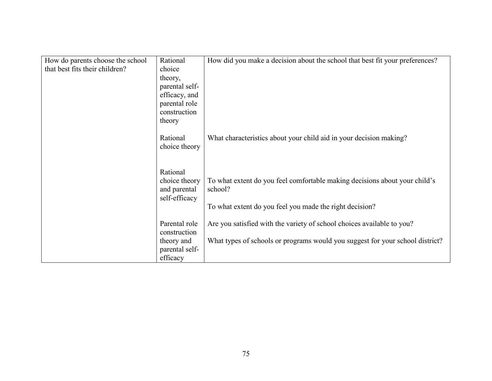| Rational       | How did you make a decision about the school that best fit your preferences?                                                                                  |
|----------------|---------------------------------------------------------------------------------------------------------------------------------------------------------------|
| choice         |                                                                                                                                                               |
| theory,        |                                                                                                                                                               |
| parental self- |                                                                                                                                                               |
| efficacy, and  |                                                                                                                                                               |
|                |                                                                                                                                                               |
|                |                                                                                                                                                               |
|                |                                                                                                                                                               |
|                | What characteristics about your child aid in your decision making?                                                                                            |
| choice theory  |                                                                                                                                                               |
|                |                                                                                                                                                               |
|                |                                                                                                                                                               |
|                | To what extent do you feel comfortable making decisions about your child's                                                                                    |
| and parental   | school?                                                                                                                                                       |
| self-efficacy  |                                                                                                                                                               |
|                | To what extent do you feel you made the right decision?                                                                                                       |
|                |                                                                                                                                                               |
|                | Are you satisfied with the variety of school choices available to you?                                                                                        |
|                | What types of schools or programs would you suggest for your school district?                                                                                 |
|                |                                                                                                                                                               |
|                |                                                                                                                                                               |
|                | parental role<br>construction<br>theory<br>Rational<br>Rational<br>choice theory<br>Parental role<br>construction<br>theory and<br>parental self-<br>efficacy |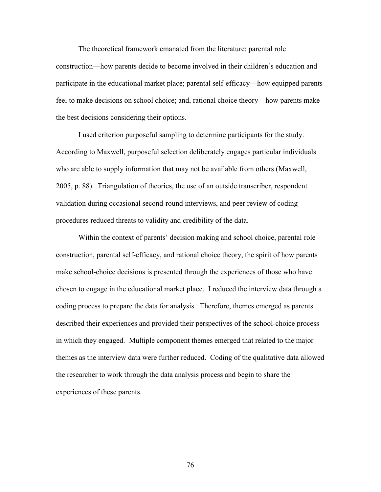The theoretical framework emanated from the literature: parental role construction—how parents decide to become involved in their children's education and participate in the educational market place; parental self-efficacy—how equipped parents feel to make decisions on school choice; and, rational choice theory—how parents make the best decisions considering their options.

I used criterion purposeful sampling to determine participants for the study. According to Maxwell, purposeful selection deliberately engages particular individuals who are able to supply information that may not be available from others (Maxwell, 2005, p. 88). Triangulation of theories, the use of an outside transcriber, respondent validation during occasional second-round interviews, and peer review of coding procedures reduced threats to validity and credibility of the data.

Within the context of parents' decision making and school choice, parental role construction, parental self-efficacy, and rational choice theory, the spirit of how parents make school-choice decisions is presented through the experiences of those who have chosen to engage in the educational market place. I reduced the interview data through a coding process to prepare the data for analysis. Therefore, themes emerged as parents described their experiences and provided their perspectives of the school-choice process in which they engaged. Multiple component themes emerged that related to the major themes as the interview data were further reduced. Coding of the qualitative data allowed the researcher to work through the data analysis process and begin to share the experiences of these parents.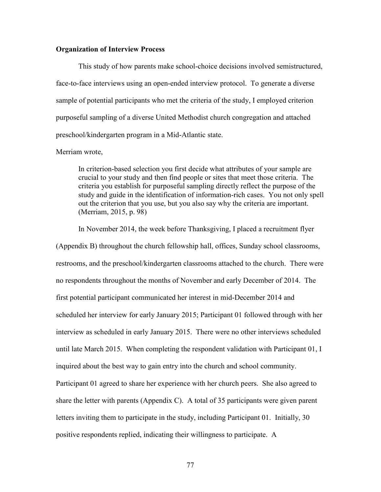# **Organization of Interview Process**

This study of how parents make school-choice decisions involved semistructured, face-to-face interviews using an open-ended interview protocol. To generate a diverse sample of potential participants who met the criteria of the study, I employed criterion purposeful sampling of a diverse United Methodist church congregation and attached preschool/kindergarten program in a Mid-Atlantic state.

# Merriam wrote,

In criterion-based selection you first decide what attributes of your sample are crucial to your study and then find people or sites that meet those criteria. The criteria you establish for purposeful sampling directly reflect the purpose of the study and guide in the identification of information-rich cases. You not only spell out the criterion that you use, but you also say why the criteria are important. (Merriam, 2015, p. 98)

In November 2014, the week before Thanksgiving, I placed a recruitment flyer (Appendix B) throughout the church fellowship hall, offices, Sunday school classrooms, restrooms, and the preschool/kindergarten classrooms attached to the church. There were no respondents throughout the months of November and early December of 2014. The first potential participant communicated her interest in mid-December 2014 and scheduled her interview for early January 2015; Participant 01 followed through with her interview as scheduled in early January 2015. There were no other interviews scheduled until late March 2015. When completing the respondent validation with Participant 01, I inquired about the best way to gain entry into the church and school community. Participant 01 agreed to share her experience with her church peers. She also agreed to share the letter with parents (Appendix C). A total of 35 participants were given parent letters inviting them to participate in the study, including Participant 01. Initially, 30 positive respondents replied, indicating their willingness to participate. A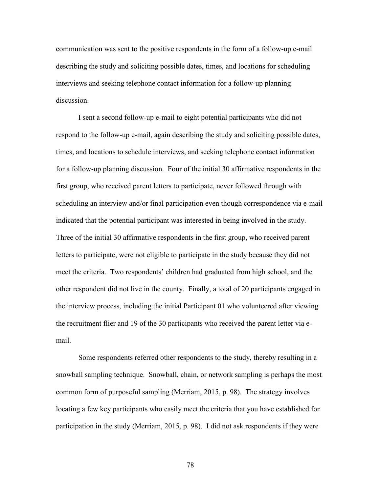communication was sent to the positive respondents in the form of a follow-up e-mail describing the study and soliciting possible dates, times, and locations for scheduling interviews and seeking telephone contact information for a follow-up planning discussion.

I sent a second follow-up e-mail to eight potential participants who did not respond to the follow-up e-mail, again describing the study and soliciting possible dates, times, and locations to schedule interviews, and seeking telephone contact information for a follow-up planning discussion. Four of the initial 30 affirmative respondents in the first group, who received parent letters to participate, never followed through with scheduling an interview and/or final participation even though correspondence via e-mail indicated that the potential participant was interested in being involved in the study. Three of the initial 30 affirmative respondents in the first group, who received parent letters to participate, were not eligible to participate in the study because they did not meet the criteria. Two respondents' children had graduated from high school, and the other respondent did not live in the county. Finally, a total of 20 participants engaged in the interview process, including the initial Participant 01 who volunteered after viewing the recruitment flier and 19 of the 30 participants who received the parent letter via email.

Some respondents referred other respondents to the study, thereby resulting in a snowball sampling technique. Snowball, chain, or network sampling is perhaps the most common form of purposeful sampling (Merriam, 2015, p. 98). The strategy involves locating a few key participants who easily meet the criteria that you have established for participation in the study (Merriam, 2015, p. 98). I did not ask respondents if they were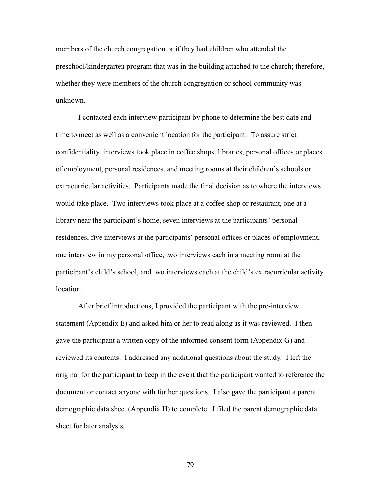members of the church congregation or if they had children who attended the preschool/kindergarten program that was in the building attached to the church; therefore, whether they were members of the church congregation or school community was unknown.

I contacted each interview participant by phone to determine the best date and time to meet as well as a convenient location for the participant. To assure strict confidentiality, interviews took place in coffee shops, libraries, personal offices or places of employment, personal residences, and meeting rooms at their children's schools or extracurricular activities. Participants made the final decision as to where the interviews would take place. Two interviews took place at a coffee shop or restaurant, one at a library near the participant's home, seven interviews at the participants' personal residences, five interviews at the participants' personal offices or places of employment, one interview in my personal office, two interviews each in a meeting room at the participant's child's school, and two interviews each at the child's extracurricular activity location.

After brief introductions, I provided the participant with the pre-interview statement (Appendix E) and asked him or her to read along as it was reviewed. I then gave the participant a written copy of the informed consent form (Appendix G) and reviewed its contents. I addressed any additional questions about the study. I left the original for the participant to keep in the event that the participant wanted to reference the document or contact anyone with further questions. I also gave the participant a parent demographic data sheet (Appendix H) to complete. I filed the parent demographic data sheet for later analysis.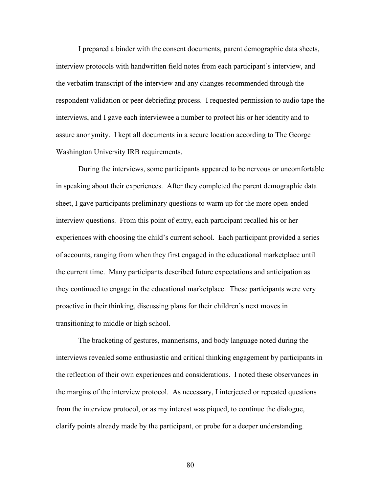I prepared a binder with the consent documents, parent demographic data sheets, interview protocols with handwritten field notes from each participant's interview, and the verbatim transcript of the interview and any changes recommended through the respondent validation or peer debriefing process. I requested permission to audio tape the interviews, and I gave each interviewee a number to protect his or her identity and to assure anonymity. I kept all documents in a secure location according to The George Washington University IRB requirements.

During the interviews, some participants appeared to be nervous or uncomfortable in speaking about their experiences. After they completed the parent demographic data sheet, I gave participants preliminary questions to warm up for the more open-ended interview questions. From this point of entry, each participant recalled his or her experiences with choosing the child's current school. Each participant provided a series of accounts, ranging from when they first engaged in the educational marketplace until the current time. Many participants described future expectations and anticipation as they continued to engage in the educational marketplace. These participants were very proactive in their thinking, discussing plans for their children's next moves in transitioning to middle or high school.

The bracketing of gestures, mannerisms, and body language noted during the interviews revealed some enthusiastic and critical thinking engagement by participants in the reflection of their own experiences and considerations. I noted these observances in the margins of the interview protocol. As necessary, I interjected or repeated questions from the interview protocol, or as my interest was piqued, to continue the dialogue, clarify points already made by the participant, or probe for a deeper understanding.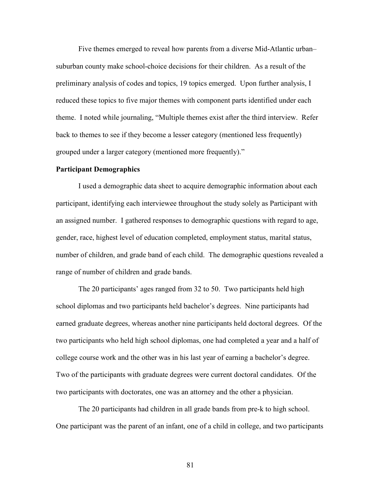Five themes emerged to reveal how parents from a diverse Mid-Atlantic urban– suburban county make school-choice decisions for their children. As a result of the preliminary analysis of codes and topics, 19 topics emerged. Upon further analysis, I reduced these topics to five major themes with component parts identified under each theme. I noted while journaling, "Multiple themes exist after the third interview. Refer back to themes to see if they become a lesser category (mentioned less frequently) grouped under a larger category (mentioned more frequently)."

#### **Participant Demographics**

I used a demographic data sheet to acquire demographic information about each participant, identifying each interviewee throughout the study solely as Participant with an assigned number. I gathered responses to demographic questions with regard to age, gender, race, highest level of education completed, employment status, marital status, number of children, and grade band of each child. The demographic questions revealed a range of number of children and grade bands.

The 20 participants' ages ranged from 32 to 50. Two participants held high school diplomas and two participants held bachelor's degrees. Nine participants had earned graduate degrees, whereas another nine participants held doctoral degrees. Of the two participants who held high school diplomas, one had completed a year and a half of college course work and the other was in his last year of earning a bachelor's degree. Two of the participants with graduate degrees were current doctoral candidates. Of the two participants with doctorates, one was an attorney and the other a physician.

The 20 participants had children in all grade bands from pre-k to high school. One participant was the parent of an infant, one of a child in college, and two participants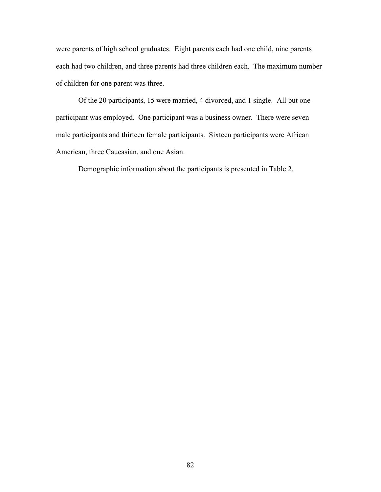were parents of high school graduates. Eight parents each had one child, nine parents each had two children, and three parents had three children each. The maximum number of children for one parent was three.

Of the 20 participants, 15 were married, 4 divorced, and 1 single. All but one participant was employed. One participant was a business owner. There were seven male participants and thirteen female participants. Sixteen participants were African American, three Caucasian, and one Asian.

Demographic information about the participants is presented in Table 2.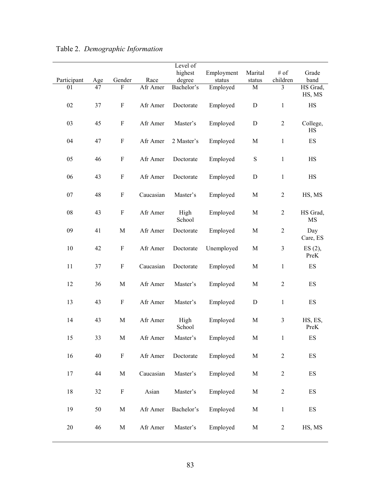|             |     |                           |           | Level of       |            |             |                |                          |
|-------------|-----|---------------------------|-----------|----------------|------------|-------------|----------------|--------------------------|
|             |     |                           |           | highest        | Employment | Marital     | # of           | Grade                    |
| Participant | Age | Gender                    | Race      | degree         | status     | status      | children       | band                     |
| 01          | 47  | $\overline{F}$            | Afr Amer  | Bachelor's     | Employed   | M           | $\overline{3}$ | HS Grad,<br>HS, MS       |
| 02          | 37  | F                         | Afr Amer  | Doctorate      | Employed   | ${\rm D}$   | $\mathbf{1}$   | HS                       |
| 03          | 45  | $\boldsymbol{\mathrm{F}}$ | Afr Amer  | Master's       | Employed   | ${\bf D}$   | $\overline{2}$ | College,<br><b>HS</b>    |
| 04          | 47  | $\boldsymbol{\mathrm{F}}$ | Afr Amer  | 2 Master's     | Employed   | M           | $\mathbf{1}$   | ES                       |
| 05          | 46  | F                         | Afr Amer  | Doctorate      | Employed   | ${\bf S}$   | $\mathbf{1}$   | HS                       |
| 06          | 43  | $\boldsymbol{\mathrm{F}}$ | Afr Amer  | Doctorate      | Employed   | ${\bf D}$   | $\mathbf{1}$   | HS                       |
| 07          | 48  | F                         | Caucasian | Master's       | Employed   | M           | $\overline{c}$ | HS, MS                   |
| ${\bf 08}$  | 43  | $\boldsymbol{\mathrm{F}}$ | Afr Amer  | High<br>School | Employed   | M           | $\overline{2}$ | HS Grad,<br>MS           |
| 09          | 41  | M                         | Afr Amer  | Doctorate      | Employed   | M           | $\mathbf{2}$   | Day<br>Care, ES          |
| $10\,$      | 42  | F                         | Afr Amer  | Doctorate      | Unemployed | M           | $\mathfrak{Z}$ | $ES(2)$ ,<br>PreK        |
| 11          | 37  | $\boldsymbol{\mathrm{F}}$ | Caucasian | Doctorate      | Employed   | M           | $\mathbf{1}$   | ES                       |
| 12          | 36  | $\mathbf M$               | Afr Amer  | Master's       | Employed   | M           | $\mathbf{2}$   | ES                       |
| 13          | 43  | $\boldsymbol{\mathrm{F}}$ | Afr Amer  | Master's       | Employed   | ${\bf D}$   | $\mathbf{1}$   | ES                       |
| 14          | 43  | M                         | Afr Amer  | High<br>School | Employed   | M           | $\mathfrak{Z}$ | HS, ES,<br>PreK          |
| 15          | 33  | M                         | Afr Amer  | Master's       | Employed   | M           | 1              | ES                       |
| 16          | 40  | ${\bf F}$                 | Afr Amer  | Doctorate      | Employed   | $\mathbf M$ | $\overline{2}$ | $\mathop{\hbox{\rm ES}}$ |
| 17          | 44  | $\mathbf M$               | Caucasian | Master's       | Employed   | $\mathbf M$ | $\overline{2}$ | ES                       |
| $18\,$      | 32  | ${\bf F}$                 | Asian     | Master's       | Employed   | M           | $\overline{2}$ | $\mathop{\hbox{\rm ES}}$ |
| 19          | 50  | M                         | Afr Amer  | Bachelor's     | Employed   | $\mathbf M$ | $\mathbf{1}$   | $\mathop{\hbox{\rm ES}}$ |
| $20\,$      | 46  | $\mathbf M$               | Afr Amer  | Master's       | Employed   | M           | $\overline{2}$ | HS, MS                   |

# Table 2. *Demographic Information*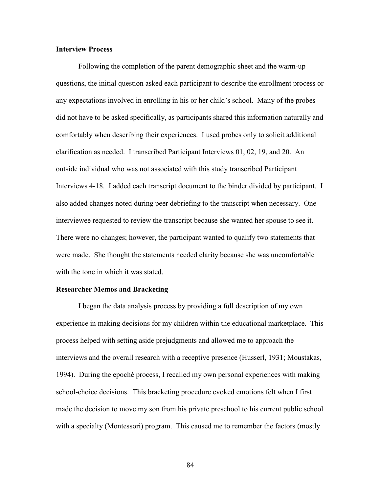# **Interview Process**

Following the completion of the parent demographic sheet and the warm-up questions, the initial question asked each participant to describe the enrollment process or any expectations involved in enrolling in his or her child's school. Many of the probes did not have to be asked specifically, as participants shared this information naturally and comfortably when describing their experiences. I used probes only to solicit additional clarification as needed. I transcribed Participant Interviews 01, 02, 19, and 20. An outside individual who was not associated with this study transcribed Participant Interviews 4-18. I added each transcript document to the binder divided by participant. I also added changes noted during peer debriefing to the transcript when necessary. One interviewee requested to review the transcript because she wanted her spouse to see it. There were no changes; however, the participant wanted to qualify two statements that were made. She thought the statements needed clarity because she was uncomfortable with the tone in which it was stated.

# **Researcher Memos and Bracketing**

I began the data analysis process by providing a full description of my own experience in making decisions for my children within the educational marketplace. This process helped with setting aside prejudgments and allowed me to approach the interviews and the overall research with a receptive presence (Husserl, 1931; Moustakas, 1994). During the epoché process, I recalled my own personal experiences with making school-choice decisions. This bracketing procedure evoked emotions felt when I first made the decision to move my son from his private preschool to his current public school with a specialty (Montessori) program. This caused me to remember the factors (mostly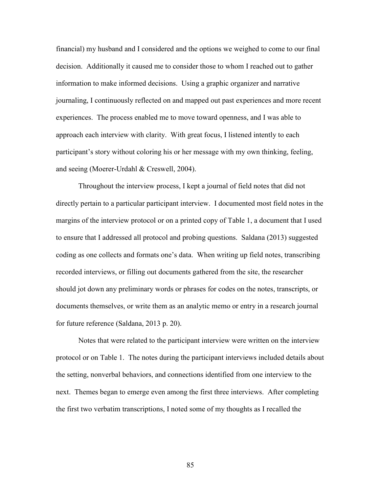financial) my husband and I considered and the options we weighed to come to our final decision. Additionally it caused me to consider those to whom I reached out to gather information to make informed decisions. Using a graphic organizer and narrative journaling, I continuously reflected on and mapped out past experiences and more recent experiences. The process enabled me to move toward openness, and I was able to approach each interview with clarity. With great focus, I listened intently to each participant's story without coloring his or her message with my own thinking, feeling, and seeing (Moerer-Urdahl & Creswell, 2004).

Throughout the interview process, I kept a journal of field notes that did not directly pertain to a particular participant interview. I documented most field notes in the margins of the interview protocol or on a printed copy of Table 1, a document that I used to ensure that I addressed all protocol and probing questions. Saldana (2013) suggested coding as one collects and formats one's data. When writing up field notes, transcribing recorded interviews, or filling out documents gathered from the site, the researcher should jot down any preliminary words or phrases for codes on the notes, transcripts, or documents themselves, or write them as an analytic memo or entry in a research journal for future reference (Saldana, 2013 p. 20).

Notes that were related to the participant interview were written on the interview protocol or on Table 1. The notes during the participant interviews included details about the setting, nonverbal behaviors, and connections identified from one interview to the next. Themes began to emerge even among the first three interviews. After completing the first two verbatim transcriptions, I noted some of my thoughts as I recalled the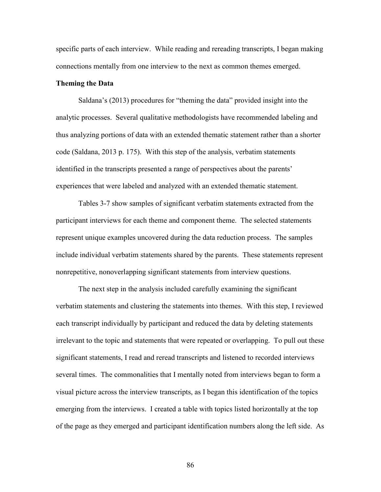specific parts of each interview. While reading and rereading transcripts, I began making connections mentally from one interview to the next as common themes emerged.

### **Theming the Data**

Saldana's (2013) procedures for "theming the data" provided insight into the analytic processes. Several qualitative methodologists have recommended labeling and thus analyzing portions of data with an extended thematic statement rather than a shorter code (Saldana, 2013 p. 175). With this step of the analysis, verbatim statements identified in the transcripts presented a range of perspectives about the parents' experiences that were labeled and analyzed with an extended thematic statement.

Tables 3-7 show samples of significant verbatim statements extracted from the participant interviews for each theme and component theme. The selected statements represent unique examples uncovered during the data reduction process. The samples include individual verbatim statements shared by the parents. These statements represent nonrepetitive, nonoverlapping significant statements from interview questions.

The next step in the analysis included carefully examining the significant verbatim statements and clustering the statements into themes. With this step, I reviewed each transcript individually by participant and reduced the data by deleting statements irrelevant to the topic and statements that were repeated or overlapping. To pull out these significant statements, I read and reread transcripts and listened to recorded interviews several times. The commonalities that I mentally noted from interviews began to form a visual picture across the interview transcripts, as I began this identification of the topics emerging from the interviews. I created a table with topics listed horizontally at the top of the page as they emerged and participant identification numbers along the left side. As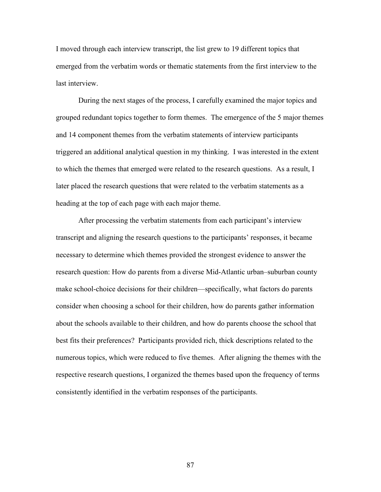I moved through each interview transcript, the list grew to 19 different topics that emerged from the verbatim words or thematic statements from the first interview to the last interview.

During the next stages of the process, I carefully examined the major topics and grouped redundant topics together to form themes. The emergence of the 5 major themes and 14 component themes from the verbatim statements of interview participants triggered an additional analytical question in my thinking. I was interested in the extent to which the themes that emerged were related to the research questions. As a result, I later placed the research questions that were related to the verbatim statements as a heading at the top of each page with each major theme.

After processing the verbatim statements from each participant's interview transcript and aligning the research questions to the participants' responses, it became necessary to determine which themes provided the strongest evidence to answer the research question: How do parents from a diverse Mid-Atlantic urban–suburban county make school-choice decisions for their children—specifically, what factors do parents consider when choosing a school for their children, how do parents gather information about the schools available to their children, and how do parents choose the school that best fits their preferences? Participants provided rich, thick descriptions related to the numerous topics, which were reduced to five themes. After aligning the themes with the respective research questions, I organized the themes based upon the frequency of terms consistently identified in the verbatim responses of the participants.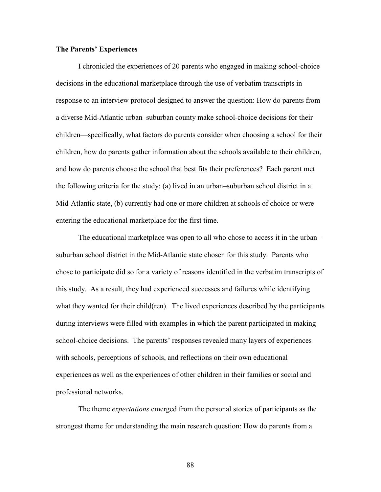# **The Parents' Experiences**

I chronicled the experiences of 20 parents who engaged in making school-choice decisions in the educational marketplace through the use of verbatim transcripts in response to an interview protocol designed to answer the question: How do parents from a diverse Mid-Atlantic urban–suburban county make school-choice decisions for their children—specifically, what factors do parents consider when choosing a school for their children, how do parents gather information about the schools available to their children, and how do parents choose the school that best fits their preferences? Each parent met the following criteria for the study: (a) lived in an urban–suburban school district in a Mid-Atlantic state, (b) currently had one or more children at schools of choice or were entering the educational marketplace for the first time.

The educational marketplace was open to all who chose to access it in the urban– suburban school district in the Mid-Atlantic state chosen for this study. Parents who chose to participate did so for a variety of reasons identified in the verbatim transcripts of this study. As a result, they had experienced successes and failures while identifying what they wanted for their child(ren). The lived experiences described by the participants during interviews were filled with examples in which the parent participated in making school-choice decisions. The parents' responses revealed many layers of experiences with schools, perceptions of schools, and reflections on their own educational experiences as well as the experiences of other children in their families or social and professional networks.

The theme *expectations* emerged from the personal stories of participants as the strongest theme for understanding the main research question: How do parents from a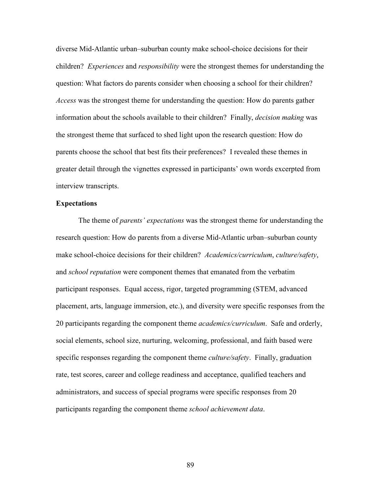diverse Mid-Atlantic urban–suburban county make school-choice decisions for their children? *Experiences* and *responsibility* were the strongest themes for understanding the question: What factors do parents consider when choosing a school for their children? *Access* was the strongest theme for understanding the question: How do parents gather information about the schools available to their children? Finally, *decision making* was the strongest theme that surfaced to shed light upon the research question: How do parents choose the school that best fits their preferences? I revealed these themes in greater detail through the vignettes expressed in participants' own words excerpted from interview transcripts.

# **Expectations**

The theme of *parents' expectations* was the strongest theme for understanding the research question: How do parents from a diverse Mid-Atlantic urban–suburban county make school-choice decisions for their children? *Academics/curriculum*, *culture/safety*, and *school reputation* were component themes that emanated from the verbatim participant responses. Equal access, rigor, targeted programming (STEM, advanced placement, arts, language immersion, etc.), and diversity were specific responses from the 20 participants regarding the component theme *academics/curriculum*. Safe and orderly, social elements, school size, nurturing, welcoming, professional, and faith based were specific responses regarding the component theme *culture/safety*. Finally, graduation rate, test scores, career and college readiness and acceptance, qualified teachers and administrators, and success of special programs were specific responses from 20 participants regarding the component theme *school achievement data*.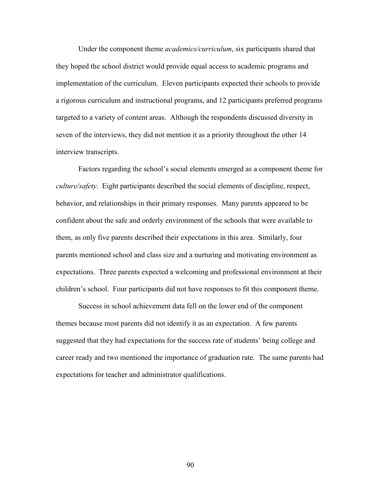Under the component theme *academics/curriculum*, six participants shared that they hoped the school district would provide equal access to academic programs and implementation of the curriculum. Eleven participants expected their schools to provide a rigorous curriculum and instructional programs, and 12 participants preferred programs targeted to a variety of content areas. Although the respondents discussed diversity in seven of the interviews, they did not mention it as a priority throughout the other 14 interview transcripts.

Factors regarding the school's social elements emerged as a component theme for *culture/safety*. Eight participants described the social elements of discipline, respect, behavior, and relationships in their primary responses. Many parents appeared to be confident about the safe and orderly environment of the schools that were available to them, as only five parents described their expectations in this area. Similarly, four parents mentioned school and class size and a nurturing and motivating environment as expectations. Three parents expected a welcoming and professional environment at their children's school. Four participants did not have responses to fit this component theme.

Success in school achievement data fell on the lower end of the component themes because most parents did not identify it as an expectation. A few parents suggested that they had expectations for the success rate of students' being college and career ready and two mentioned the importance of graduation rate. The same parents had expectations for teacher and administrator qualifications.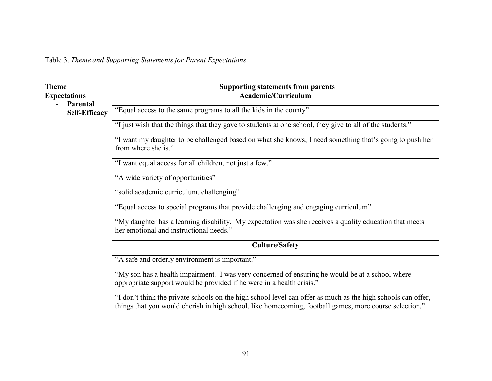Table 3. *Theme and Supporting Statements for Parent Expectations*

| <b>Theme</b>                     | <b>Supporting statements from parents</b>                                                                                                                                                                              |  |  |  |
|----------------------------------|------------------------------------------------------------------------------------------------------------------------------------------------------------------------------------------------------------------------|--|--|--|
| <b>Expectations</b>              | Academic/Curriculum                                                                                                                                                                                                    |  |  |  |
| Parental<br><b>Self-Efficacy</b> | "Equal access to the same programs to all the kids in the county"                                                                                                                                                      |  |  |  |
|                                  | "I just wish that the things that they gave to students at one school, they give to all of the students."                                                                                                              |  |  |  |
|                                  | "I want my daughter to be challenged based on what she knows; I need something that's going to push her<br>from where she is."                                                                                         |  |  |  |
|                                  | "I want equal access for all children, not just a few."                                                                                                                                                                |  |  |  |
|                                  | "A wide variety of opportunities"                                                                                                                                                                                      |  |  |  |
|                                  | "solid academic curriculum, challenging"                                                                                                                                                                               |  |  |  |
|                                  | "Equal access to special programs that provide challenging and engaging curriculum"                                                                                                                                    |  |  |  |
|                                  | "My daughter has a learning disability. My expectation was she receives a quality education that meets<br>her emotional and instructional needs."                                                                      |  |  |  |
|                                  | <b>Culture/Safety</b>                                                                                                                                                                                                  |  |  |  |
|                                  | "A safe and orderly environment is important."                                                                                                                                                                         |  |  |  |
|                                  | "My son has a health impairment. I was very concerned of ensuring he would be at a school where<br>appropriate support would be provided if he were in a health crisis."                                               |  |  |  |
|                                  | "I don't think the private schools on the high school level can offer as much as the high schools can offer,<br>things that you would cherish in high school, like homecoming, football games, more course selection." |  |  |  |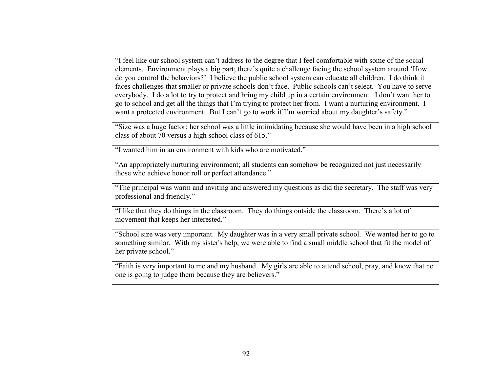"I feel like our school system can't address to the degree that I feel comfortable with some of the social elements. Environment plays a big part; there's quite a challenge facing the school system around 'How do you control the behaviors?' I believe the public school system can educate all children. I do think it faces challenges that smaller or private schools don't face. Public schools can't select. You have to serve everybody. I do a lot to try to protect and bring my child up in a certain environment. I don't want her to go to school and get all the things that I'm trying to protect her from. I want a nurturing environment. I want a protected environment. But I can't go to work if I'm worried about my daughter's safety."

"Size was a huge factor; her school was a little intimidating because she would have been in a high school class of about 70 versus a high school class of 615."

"I wanted him in an environment with kids who are motivated."

"An appropriately nurturing environment; all students can somehow be recognized not just necessarily those who achieve honor roll or perfect attendance."

"The principal was warm and inviting and answered my questions as did the secretary. The staff was very professional and friendly."

"I like that they do things in the classroom. They do things outside the classroom. There's a lot ofmovement that keeps her interested."

"School size was very important. My daughter was in a very small private school. We wanted her to go to something similar. With my sister's help, we were able to find a small middle school that fit the model of her private school."

"Faith is very important to me and my husband. My girls are able to attend school, pray, and know that no one is going to judge them because they are believers."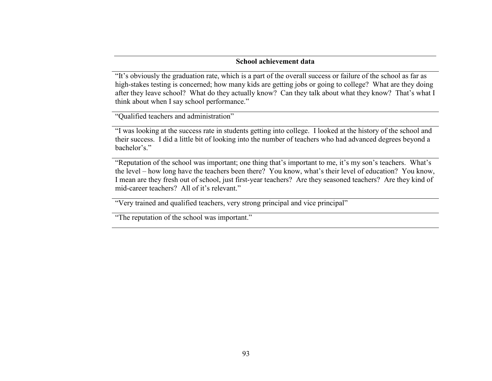# **School achievement data**

"It's obviously the graduation rate, which is a part of the overall success or failure of the school as far as high-stakes testing is concerned; how many kids are getting jobs or going to college? What are they doing after they leave school? What do they actually know? Can they talk about what they know? That's what I think about when I say school performance."

"Qualified teachers and administration"

"I was looking at the success rate in students getting into college. I looked at the history of the school and their success. I did a little bit of looking into the number of teachers who had advanced degrees beyond a bachelor's."

"Reputation of the school was important; one thing that's important to me, it's my son's teachers. What's the level – how long have the teachers been there? You know, what's their level of education? You know, I mean are they fresh out of school, just first-year teachers? Are they seasoned teachers? Are they kind of mid-career teachers? All of it's relevant."

"Very trained and qualified teachers, very strong principal and vice principal"

"The reputation of the school was important."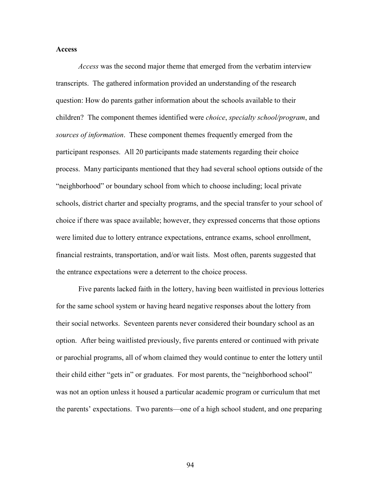## **Access**

*Access* was the second major theme that emerged from the verbatim interview transcripts. The gathered information provided an understanding of the research question: How do parents gather information about the schools available to their children? The component themes identified were *choice*, *specialty school/program*, and *sources of information*. These component themes frequently emerged from the participant responses. All 20 participants made statements regarding their choice process. Many participants mentioned that they had several school options outside of the "neighborhood" or boundary school from which to choose including; local private schools, district charter and specialty programs, and the special transfer to your school of choice if there was space available; however, they expressed concerns that those options were limited due to lottery entrance expectations, entrance exams, school enrollment, financial restraints, transportation, and/or wait lists. Most often, parents suggested that the entrance expectations were a deterrent to the choice process.

Five parents lacked faith in the lottery, having been waitlisted in previous lotteries for the same school system or having heard negative responses about the lottery from their social networks. Seventeen parents never considered their boundary school as an option. After being waitlisted previously, five parents entered or continued with private or parochial programs, all of whom claimed they would continue to enter the lottery until their child either "gets in" or graduates. For most parents, the "neighborhood school" was not an option unless it housed a particular academic program or curriculum that met the parents' expectations. Two parents—one of a high school student, and one preparing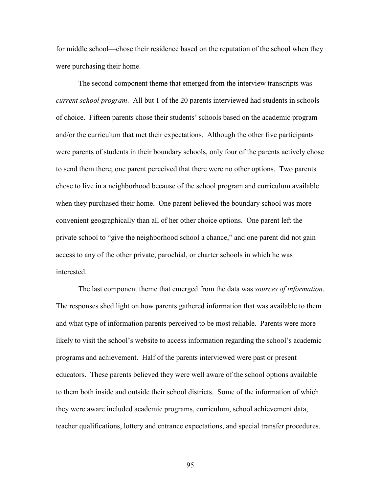for middle school—chose their residence based on the reputation of the school when they were purchasing their home.

The second component theme that emerged from the interview transcripts was *current school program*. All but 1 of the 20 parents interviewed had students in schools of choice. Fifteen parents chose their students' schools based on the academic program and/or the curriculum that met their expectations. Although the other five participants were parents of students in their boundary schools, only four of the parents actively chose to send them there; one parent perceived that there were no other options. Two parents chose to live in a neighborhood because of the school program and curriculum available when they purchased their home. One parent believed the boundary school was more convenient geographically than all of her other choice options. One parent left the private school to "give the neighborhood school a chance," and one parent did not gain access to any of the other private, parochial, or charter schools in which he was interested.

The last component theme that emerged from the data was *sources of information*. The responses shed light on how parents gathered information that was available to them and what type of information parents perceived to be most reliable. Parents were more likely to visit the school's website to access information regarding the school's academic programs and achievement. Half of the parents interviewed were past or present educators. These parents believed they were well aware of the school options available to them both inside and outside their school districts. Some of the information of which they were aware included academic programs, curriculum, school achievement data, teacher qualifications, lottery and entrance expectations, and special transfer procedures.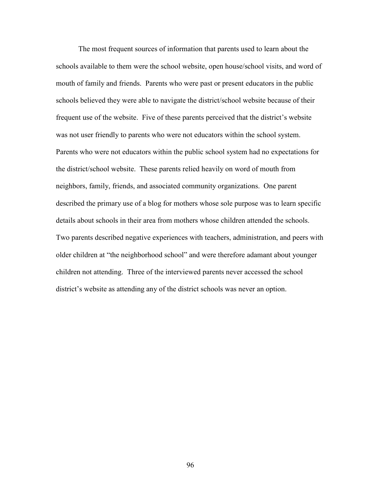The most frequent sources of information that parents used to learn about the schools available to them were the school website, open house/school visits, and word of mouth of family and friends. Parents who were past or present educators in the public schools believed they were able to navigate the district/school website because of their frequent use of the website. Five of these parents perceived that the district's website was not user friendly to parents who were not educators within the school system. Parents who were not educators within the public school system had no expectations for the district/school website. These parents relied heavily on word of mouth from neighbors, family, friends, and associated community organizations. One parent described the primary use of a blog for mothers whose sole purpose was to learn specific details about schools in their area from mothers whose children attended the schools. Two parents described negative experiences with teachers, administration, and peers with older children at "the neighborhood school" and were therefore adamant about younger children not attending. Three of the interviewed parents never accessed the school district's website as attending any of the district schools was never an option.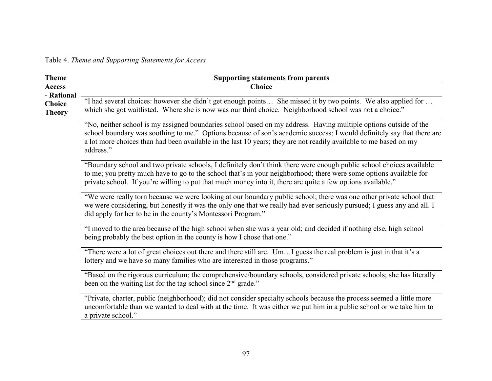Table 4. *Theme and Supporting Statements for Access*

| <b>Choice</b><br><b>Access</b><br>- Rational<br>"I had several choices: however she didn't get enough points She missed it by two points. We also applied for<br><b>Choice</b><br>which she got waitlisted. Where she is now was our third choice. Neighborhood school was not a choice."<br><b>Theory</b><br>"No, neither school is my assigned boundaries school based on my address. Having multiple options outside of the<br>school boundary was soothing to me." Options because of son's academic success; I would definitely say that there are |                                                                                                                   |
|---------------------------------------------------------------------------------------------------------------------------------------------------------------------------------------------------------------------------------------------------------------------------------------------------------------------------------------------------------------------------------------------------------------------------------------------------------------------------------------------------------------------------------------------------------|-------------------------------------------------------------------------------------------------------------------|
|                                                                                                                                                                                                                                                                                                                                                                                                                                                                                                                                                         |                                                                                                                   |
|                                                                                                                                                                                                                                                                                                                                                                                                                                                                                                                                                         |                                                                                                                   |
| address."                                                                                                                                                                                                                                                                                                                                                                                                                                                                                                                                               | a lot more choices than had been available in the last 10 years; they are not readily available to me based on my |
| "Boundary school and two private schools, I definitely don't think there were enough public school choices available<br>to me; you pretty much have to go to the school that's in your neighborhood; there were some options available for<br>private school. If you're willing to put that much money into it, there are quite a few options available."                                                                                                                                                                                               |                                                                                                                   |
| "We were really torn because we were looking at our boundary public school; there was one other private school that<br>we were considering, but honestly it was the only one that we really had ever seriously pursued; I guess any and all. I<br>did apply for her to be in the county's Montessori Program."                                                                                                                                                                                                                                          |                                                                                                                   |
| "I moved to the area because of the high school when she was a year old; and decided if nothing else, high school<br>being probably the best option in the county is how I chose that one."                                                                                                                                                                                                                                                                                                                                                             |                                                                                                                   |
| "There were a lot of great choices out there and there still are. UmI guess the real problem is just in that it's a<br>lottery and we have so many families who are interested in those programs."                                                                                                                                                                                                                                                                                                                                                      |                                                                                                                   |
| "Based on the rigorous curriculum; the comprehensive/boundary schools, considered private schools; she has literally<br>been on the waiting list for the tag school since 2 <sup>nd</sup> grade."                                                                                                                                                                                                                                                                                                                                                       |                                                                                                                   |
| "Private, charter, public (neighborhood); did not consider specialty schools because the process seemed a little more<br>uncomfortable than we wanted to deal with at the time. It was either we put him in a public school or we take him to<br>a private school."                                                                                                                                                                                                                                                                                     |                                                                                                                   |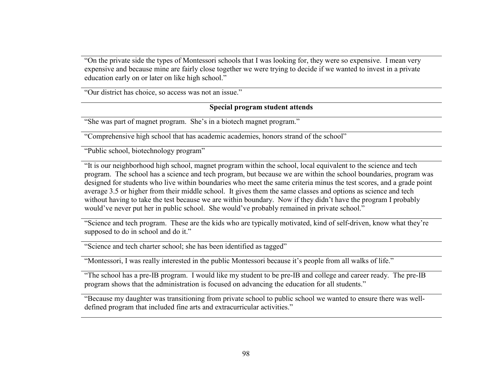"On the private side the types of Montessori schools that I was looking for, they were so expensive. I mean very expensive and because mine are fairly close together we were trying to decide if we wanted to invest in a private education early on or later on like high school."

"Our district has choice, so access was not an issue."

# **Special program student attends**

"She was part of magnet program. She's in a biotech magnet program."

"Comprehensive high school that has academic academies, honors strand of the school"

"Public school, biotechnology program"

"It is our neighborhood high school, magnet program within the school, local equivalent to the science and tech program. The school has a science and tech program, but because we are within the school boundaries, program was designed for students who live within boundaries who meet the same criteria minus the test scores, and a grade point average 3.5 or higher from their middle school. It gives them the same classes and options as science and tech without having to take the test because we are within boundary. Now if they didn't have the program I probably would've never put her in public school. She would've probably remained in private school."

"Science and tech program. These are the kids who are typically motivated, kind of self-driven, know what they're supposed to do in school and do it."

"Science and tech charter school; she has been identified as tagged"

"Montessori, I was really interested in the public Montessori because it's people from all walks of life."

"The school has a pre-IB program. I would like my student to be pre-IB and college and career ready. The pre-IB program shows that the administration is focused on advancing the education for all students."

"Because my daughter was transitioning from private school to public school we wanted to ensure there was welldefined program that included fine arts and extracurricular activities."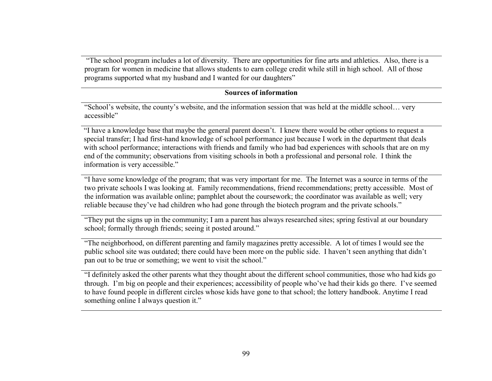"The school program includes a lot of diversity. There are opportunities for fine arts and athletics. Also, there is a program for women in medicine that allows students to earn college credit while still in high school. All of those programs supported what my husband and I wanted for our daughters"

## **Sources of information**

"School's website, the county's website, and the information session that was held at the middle school… very accessible"

"I have a knowledge base that maybe the general parent doesn't. I knew there would be other options to request a special transfer; I had first-hand knowledge of school performance just because I work in the department that deals with school performance; interactions with friends and family who had bad experiences with schools that are on my end of the community; observations from visiting schools in both a professional and personal role. I think the information is very accessible."

"I have some knowledge of the program; that was very important for me. The Internet was a source in terms of the two private schools I was looking at. Family recommendations, friend recommendations; pretty accessible. Most of the information was available online; pamphlet about the coursework; the coordinator was available as well; very reliable because they've had children who had gone through the biotech program and the private schools."

"They put the signs up in the community; I am a parent has always researched sites; spring festival at our boundary school; formally through friends; seeing it posted around."

"The neighborhood, on different parenting and family magazines pretty accessible. A lot of times I would see the public school site was outdated; there could have been more on the public side. I haven't seen anything that didn't pan out to be true or something; we went to visit the school."

"I definitely asked the other parents what they thought about the different school communities, those who had kids go through. I'm big on people and their experiences; accessibility of people who've had their kids go there. I've seemed to have found people in different circles whose kids have gone to that school; the lottery handbook. Anytime I read something online I always question it."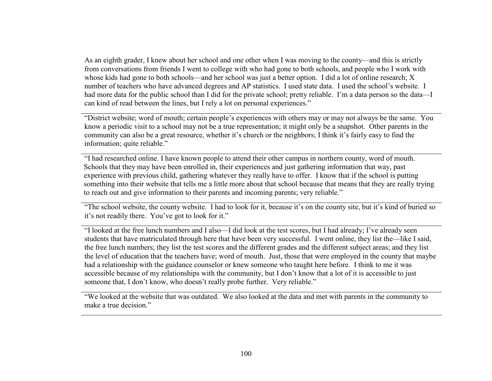As an eighth grader, I knew about her school and one other when I was moving to the county—and this is strictly from conversations from friends I went to college with who had gone to both schools, and people who I work with whose kids had gone to both schools—and her school was just a better option. I did a lot of online research; X number of teachers who have advanced degrees and AP statistics. I used state data. I used the school's website. I had more data for the public school than I did for the private school; pretty reliable. I'm a data person so the data—I can kind of read between the lines, but I rely a lot on personal experiences."

"District website; word of mouth; certain people's experiences with others may or may not always be the same. You know a periodic visit to a school may not be a true representation; it might only be a snapshot. Other parents in the community can also be a great resource, whether it's church or the neighbors; I think it's fairly easy to find the information; quite reliable."

"I had researched online. I have known people to attend their other campus in northern county, word of mouth. Schools that they may have been enrolled in, their experiences and just gathering information that way, past experience with previous child, gathering whatever they really have to offer. I know that if the school is putting something into their website that tells me a little more about that school because that means that they are really trying to reach out and give information to their parents and incoming parents; very reliable."

"The school website, the county website. I had to look for it, because it's on the county site, but it's kind of buried so it's not readily there. You've got to look for it."

"I looked at the free lunch numbers and I also—I did look at the test scores, but I had already; I've already seen students that have matriculated through here that have been very successful. I went online, they list the—like I said, the free lunch numbers; they list the test scores and the different grades and the different subject areas; and they list the level of education that the teachers have; word of mouth. Just, those that were employed in the county that maybe had a relationship with the guidance counselor or knew someone who taught here before. I think to me it was accessible because of my relationships with the community, but I don't know that a lot of it is accessible to just someone that, I don't know, who doesn't really probe further. Very reliable."

"We looked at the website that was outdated. We also looked at the data and met with parents in the community to make a true decision."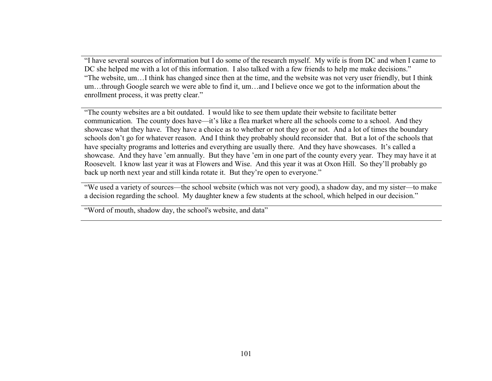"I have several sources of information but I do some of the research myself. My wife is from DC and when I came to DC she helped me with a lot of this information. I also talked with a few friends to help me make decisions." "The website, um…I think has changed since then at the time, and the website was not very user friendly, but I think um…through Google search we were able to find it, um…and I believe once we got to the information about the enrollment process, it was pretty clear."

"The county websites are a bit outdated. I would like to see them update their website to facilitate better communication. The county does have—it's like a flea market where all the schools come to a school. And they showcase what they have. They have a choice as to whether or not they go or not. And a lot of times the boundary schools don't go for whatever reason. And I think they probably should reconsider that. But a lot of the schools that have specialty programs and lotteries and everything are usually there. And they have showcases. It's called a showcase. And they have 'em annually. But they have 'em in one part of the county every year. They may have it at Roosevelt. I know last year it was at Flowers and Wise. And this year it was at Oxon Hill. So they'll probably go back up north next year and still kinda rotate it. But they're open to everyone."

"We used a variety of sources—the school website (which was not very good), a shadow day, and my sister—to make a decision regarding the school. My daughter knew a few students at the school, which helped in our decision."

"Word of mouth, shadow day, the school's website, and data"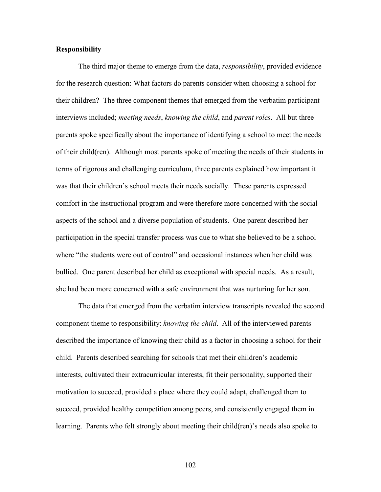## **Responsibility**

The third major theme to emerge from the data, *responsibility*, provided evidence for the research question: What factors do parents consider when choosing a school for their children? The three component themes that emerged from the verbatim participant interviews included; *meeting needs*, *knowing the child*, and *parent roles*. All but three parents spoke specifically about the importance of identifying a school to meet the needs of their child(ren). Although most parents spoke of meeting the needs of their students in terms of rigorous and challenging curriculum, three parents explained how important it was that their children's school meets their needs socially. These parents expressed comfort in the instructional program and were therefore more concerned with the social aspects of the school and a diverse population of students. One parent described her participation in the special transfer process was due to what she believed to be a school where "the students were out of control" and occasional instances when her child was bullied. One parent described her child as exceptional with special needs. As a result, she had been more concerned with a safe environment that was nurturing for her son.

The data that emerged from the verbatim interview transcripts revealed the second component theme to responsibility: *knowing the child*. All of the interviewed parents described the importance of knowing their child as a factor in choosing a school for their child. Parents described searching for schools that met their children's academic interests, cultivated their extracurricular interests, fit their personality, supported their motivation to succeed, provided a place where they could adapt, challenged them to succeed, provided healthy competition among peers, and consistently engaged them in learning. Parents who felt strongly about meeting their child(ren)'s needs also spoke to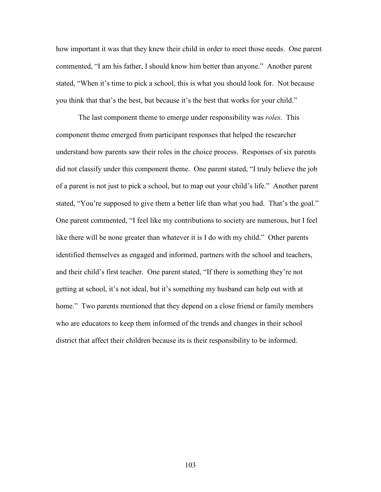how important it was that they knew their child in order to meet those needs. One parent commented, "I am his father, I should know him better than anyone." Another parent stated, "When it's time to pick a school, this is what you should look for. Not because you think that that's the best, but because it's the best that works for your child."

The last component theme to emerge under responsibility was *roles*. This component theme emerged from participant responses that helped the researcher understand how parents saw their roles in the choice process. Responses of six parents did not classify under this component theme. One parent stated, "I truly believe the job of a parent is not just to pick a school, but to map out your child's life." Another parent stated, "You're supposed to give them a better life than what you had. That's the goal." One parent commented, "I feel like my contributions to society are numerous, but I feel like there will be none greater than whatever it is I do with my child." Other parents identified themselves as engaged and informed, partners with the school and teachers, and their child's first teacher. One parent stated, "If there is something they're not getting at school, it's not ideal, but it's something my husband can help out with at home." Two parents mentioned that they depend on a close friend or family members who are educators to keep them informed of the trends and changes in their school district that affect their children because its is their responsibility to be informed.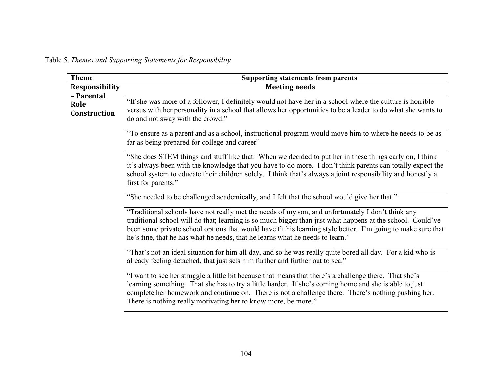Table 5. *Themes and Supporting Statements for Responsibility*

| <b>Theme</b>                                                | <b>Supporting statements from parents</b>                                                                                                                                                                                                                                                                                                                                                                       |
|-------------------------------------------------------------|-----------------------------------------------------------------------------------------------------------------------------------------------------------------------------------------------------------------------------------------------------------------------------------------------------------------------------------------------------------------------------------------------------------------|
| <b>Responsibility</b><br>- Parental<br>Role<br>Construction | <b>Meeting needs</b>                                                                                                                                                                                                                                                                                                                                                                                            |
|                                                             | "If she was more of a follower, I definitely would not have her in a school where the culture is horrible<br>versus with her personality in a school that allows her opportunities to be a leader to do what she wants to<br>do and not sway with the crowd."                                                                                                                                                   |
|                                                             | "To ensure as a parent and as a school, instructional program would move him to where he needs to be as<br>far as being prepared for college and career"                                                                                                                                                                                                                                                        |
|                                                             | "She does STEM things and stuff like that. When we decided to put her in these things early on, I think<br>it's always been with the knowledge that you have to do more. I don't think parents can totally expect the<br>school system to educate their children solely. I think that's always a joint responsibility and honestly a<br>first for parents."                                                     |
|                                                             | "She needed to be challenged academically, and I felt that the school would give her that."                                                                                                                                                                                                                                                                                                                     |
|                                                             | "Traditional schools have not really met the needs of my son, and unfortunately I don't think any<br>traditional school will do that; learning is so much bigger than just what happens at the school. Could've<br>been some private school options that would have fit his learning style better. I'm going to make sure that<br>he's fine, that he has what he needs, that he learns what he needs to learn." |
|                                                             | "That's not an ideal situation for him all day, and so he was really quite bored all day. For a kid who is<br>already feeling detached, that just sets him further and further out to sea."                                                                                                                                                                                                                     |
|                                                             | "I want to see her struggle a little bit because that means that there's a challenge there. That she's<br>learning something. That she has to try a little harder. If she's coming home and she is able to just<br>complete her homework and continue on. There is not a challenge there. There's nothing pushing her.<br>There is nothing really motivating her to know more, be more."                        |
|                                                             |                                                                                                                                                                                                                                                                                                                                                                                                                 |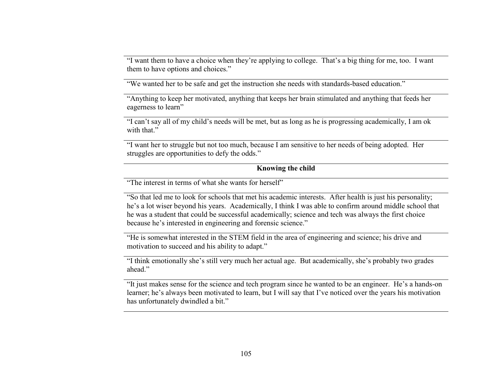"I want them to have a choice when they're applying to college. That's a big thing for me, too. I want them to have options and choices."

"We wanted her to be safe and get the instruction she needs with standards-based education."

"Anything to keep her motivated, anything that keeps her brain stimulated and anything that feeds her eagerness to learn"

"I can't say all of my child's needs will be met, but as long as he is progressing academically, I am ok with that"

"I want her to struggle but not too much, because I am sensitive to her needs of being adopted. Her struggles are opportunities to defy the odds."

# **Knowing the child**

"The interest in terms of what she wants for herself"

"So that led me to look for schools that met his academic interests. After health is just his personality; he's a lot wiser beyond his years. Academically, I think I was able to confirm around middle school that he was a student that could be successful academically; science and tech was always the first choice because he's interested in engineering and forensic science."

"He is somewhat interested in the STEM field in the area of engineering and science; his drive and motivation to succeed and his ability to adapt."

"I think emotionally she's still very much her actual age. But academically, she's probably two grades ahead."

"It just makes sense for the science and tech program since he wanted to be an engineer. He's a hands-on learner; he's always been motivated to learn, but I will say that I've noticed over the years his motivation has unfortunately dwindled a bit."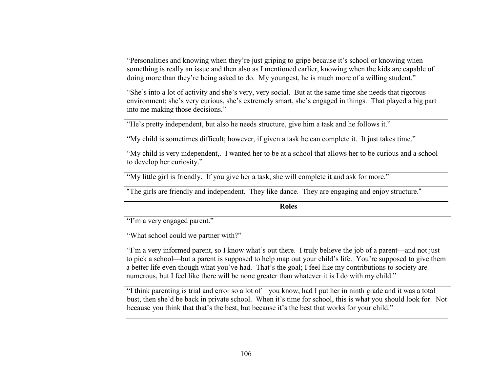"Personalities and knowing when they're just griping to gripe because it's school or knowing when something is really an issue and then also as I mentioned earlier, knowing when the kids are capable of doing more than they're being asked to do. My youngest, he is much more of a willing student."

"She's into a lot of activity and she's very, very social. But at the same time she needs that rigorous environment; she's very curious, she's extremely smart, she's engaged in things. That played a big part into me making those decisions."

"He's pretty independent, but also he needs structure, give him a task and he follows it."

"My child is sometimes difficult; however, if given a task he can complete it. It just takes time."

"My child is very independent,. I wanted her to be at a school that allows her to be curious and a school to develop her curiosity."

"My little girl is friendly. If you give her a task, she will complete it and ask for more."

"The girls are friendly and independent. They like dance. They are engaging and enjoy structure."

**Roles**

"I'm a very engaged parent."

"What school could we partner with?"

"I'm a very informed parent, so I know what's out there. I truly believe the job of a parent—and not just to pick a school—but a parent is supposed to help map out your child's life. You're supposed to give them a better life even though what you've had. That's the goal; I feel like my contributions to society are numerous, but I feel like there will be none greater than whatever it is I do with my child."

"I think parenting is trial and error so a lot of—you know, had I put her in ninth grade and it was a total bust, then she'd be back in private school. When it's time for school, this is what you should look for. Not because you think that that's the best, but because it's the best that works for your child."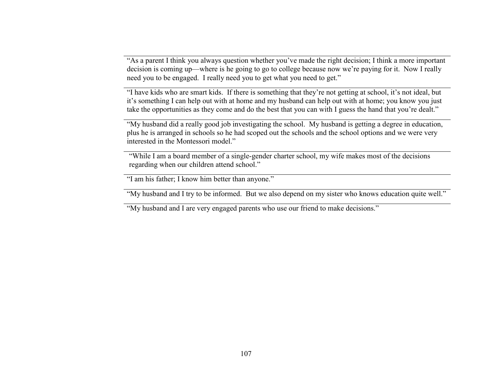"As a parent I think you always question whether you've made the right decision; I think a more important decision is coming up—where is he going to go to college because now we're paying for it. Now I really need you to be engaged. I really need you to get what you need to get."

"I have kids who are smart kids. If there is something that they're not getting at school, it's not ideal, but it's something I can help out with at home and my husband can help out with at home; you know you justtake the opportunities as they come and do the best that you can with I guess the hand that you're dealt."

"My husband did a really good job investigating the school. My husband is getting a degree in education, plus he is arranged in schools so he had scoped out the schools and the school options and we were very interested in the Montessori model."

"While I am a board member of a single-gender charter school, my wife makes most of the decisions regarding when our children attend school."

"I am his father; I know him better than anyone."

"My husband and I try to be informed. But we also depend on my sister who knows education quite well."

"My husband and I are very engaged parents who use our friend to make decisions."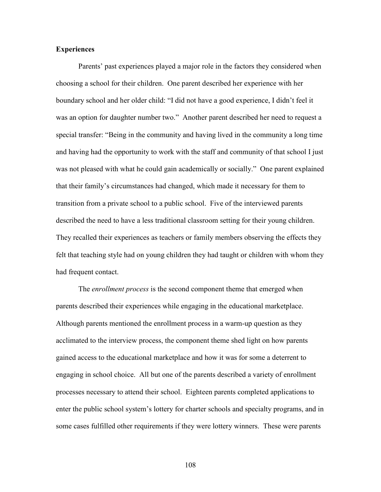## **Experiences**

Parents' past experiences played a major role in the factors they considered when choosing a school for their children. One parent described her experience with her boundary school and her older child: "I did not have a good experience, I didn't feel it was an option for daughter number two." Another parent described her need to request a special transfer: "Being in the community and having lived in the community a long time and having had the opportunity to work with the staff and community of that school I just was not pleased with what he could gain academically or socially." One parent explained that their family's circumstances had changed, which made it necessary for them to transition from a private school to a public school. Five of the interviewed parents described the need to have a less traditional classroom setting for their young children. They recalled their experiences as teachers or family members observing the effects they felt that teaching style had on young children they had taught or children with whom they had frequent contact.

The *enrollment process* is the second component theme that emerged when parents described their experiences while engaging in the educational marketplace. Although parents mentioned the enrollment process in a warm-up question as they acclimated to the interview process, the component theme shed light on how parents gained access to the educational marketplace and how it was for some a deterrent to engaging in school choice. All but one of the parents described a variety of enrollment processes necessary to attend their school. Eighteen parents completed applications to enter the public school system's lottery for charter schools and specialty programs, and in some cases fulfilled other requirements if they were lottery winners. These were parents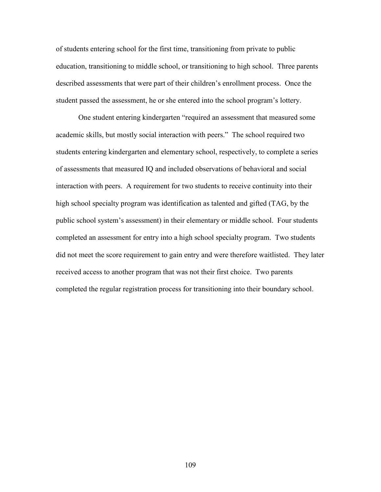of students entering school for the first time, transitioning from private to public education, transitioning to middle school, or transitioning to high school. Three parents described assessments that were part of their children's enrollment process. Once the student passed the assessment, he or she entered into the school program's lottery.

One student entering kindergarten "required an assessment that measured some academic skills, but mostly social interaction with peers." The school required two students entering kindergarten and elementary school, respectively, to complete a series of assessments that measured IQ and included observations of behavioral and social interaction with peers. A requirement for two students to receive continuity into their high school specialty program was identification as talented and gifted (TAG, by the public school system's assessment) in their elementary or middle school. Four students completed an assessment for entry into a high school specialty program. Two students did not meet the score requirement to gain entry and were therefore waitlisted. They later received access to another program that was not their first choice. Two parents completed the regular registration process for transitioning into their boundary school.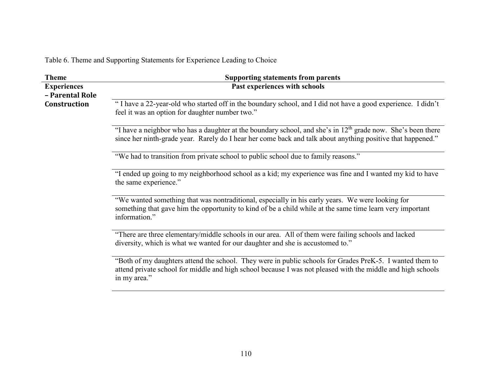Table 6. Theme and Supporting Statements for Experience Leading to Choice

| <b>Theme</b>       | <b>Supporting statements from parents</b>                                                                                                                                                                                               |
|--------------------|-----------------------------------------------------------------------------------------------------------------------------------------------------------------------------------------------------------------------------------------|
| <b>Experiences</b> | Past experiences with schools                                                                                                                                                                                                           |
| - Parental Role    |                                                                                                                                                                                                                                         |
| Construction       | "I have a 22-year-old who started off in the boundary school, and I did not have a good experience. I didn't<br>feel it was an option for daughter number two."                                                                         |
|                    | "I have a neighbor who has a daughter at the boundary school, and she's in $12th$ grade now. She's been there<br>since her ninth-grade year. Rarely do I hear her come back and talk about anything positive that happened."            |
|                    | "We had to transition from private school to public school due to family reasons."                                                                                                                                                      |
|                    | "I ended up going to my neighborhood school as a kid; my experience was fine and I wanted my kid to have<br>the same experience."                                                                                                       |
|                    | "We wanted something that was nontraditional, especially in his early years. We were looking for<br>something that gave him the opportunity to kind of be a child while at the same time learn very important<br>information."          |
|                    | "There are three elementary/middle schools in our area. All of them were failing schools and lacked<br>diversity, which is what we wanted for our daughter and she is accustomed to."                                                   |
|                    | "Both of my daughters attend the school. They were in public schools for Grades PreK-5. I wanted them to<br>attend private school for middle and high school because I was not pleased with the middle and high schools<br>in my area." |
|                    |                                                                                                                                                                                                                                         |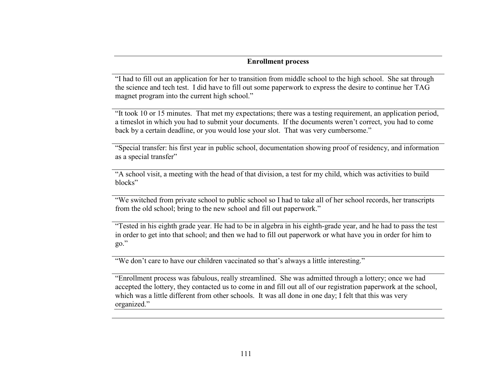## **Enrollment process**

"I had to fill out an application for her to transition from middle school to the high school. She sat through the science and tech test. I did have to fill out some paperwork to express the desire to continue her TAG magnet program into the current high school."

"It took 10 or 15 minutes. That met my expectations; there was a testing requirement, an application period, a timeslot in which you had to submit your documents. If the documents weren't correct, you had to come back by a certain deadline, or you would lose your slot. That was very cumbersome."

"Special transfer: his first year in public school, documentation showing proof of residency, and information as a special transfer"

"A school visit, a meeting with the head of that division, a test for my child, which was activities to build blocks"

"We switched from private school to public school so I had to take all of her school records, her transcripts from the old school; bring to the new school and fill out paperwork."

"Tested in his eighth grade year. He had to be in algebra in his eighth-grade year, and he had to pass the test in order to get into that school; and then we had to fill out paperwork or what have you in order for him to go."

"We don't care to have our children vaccinated so that's always a little interesting."

"Enrollment process was fabulous, really streamlined. She was admitted through a lottery; once we had accepted the lottery, they contacted us to come in and fill out all of our registration paperwork at the school, which was a little different from other schools. It was all done in one day; I felt that this was very organized."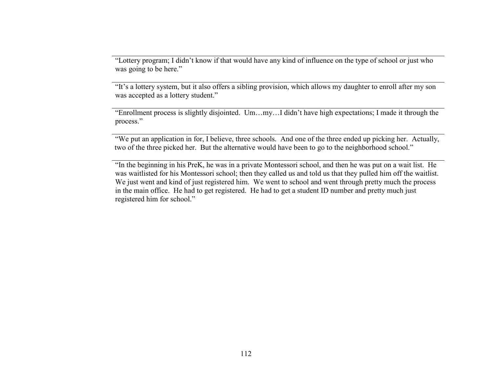"Lottery program; I didn't know if that would have any kind of influence on the type of school or just who was going to be here."

"It's a lottery system, but it also offers a sibling provision, which allows my daughter to enroll after my son was accepted as a lottery student."

"Enrollment process is slightly disjointed. Um…my…I didn't have high expectations; I made it through the process."

"We put an application in for, I believe, three schools. And one of the three ended up picking her. Actually, two of the three picked her. But the alternative would have been to go to the neighborhood school."

"In the beginning in his PreK, he was in a private Montessori school, and then he was put on a wait list. He was waitlisted for his Montessori school; then they called us and told us that they pulled him off the waitlist. We just went and kind of just registered him. We went to school and went through pretty much the process in the main office. He had to get registered. He had to get a student ID number and pretty much justregistered him for school."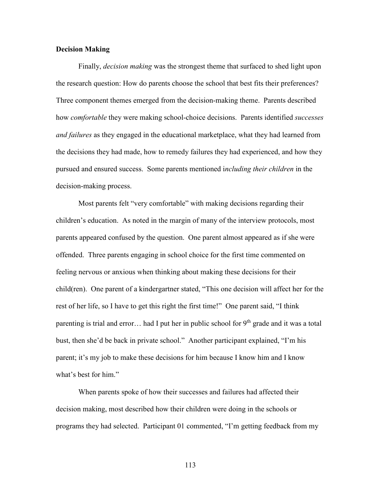## **Decision Making**

Finally, *decision making* was the strongest theme that surfaced to shed light upon the research question: How do parents choose the school that best fits their preferences? Three component themes emerged from the decision-making theme. Parents described how *comfortable* they were making school-choice decisions. Parents identified *successes and failures* as they engaged in the educational marketplace, what they had learned from the decisions they had made, how to remedy failures they had experienced, and how they pursued and ensured success. Some parents mentioned i*ncluding their children* in the decision-making process.

Most parents felt "very comfortable" with making decisions regarding their children's education. As noted in the margin of many of the interview protocols, most parents appeared confused by the question. One parent almost appeared as if she were offended. Three parents engaging in school choice for the first time commented on feeling nervous or anxious when thinking about making these decisions for their child(ren). One parent of a kindergartner stated, "This one decision will affect her for the rest of her life, so I have to get this right the first time!" One parent said, "I think parenting is trial and error... had I put her in public school for  $9<sup>th</sup>$  grade and it was a total bust, then she'd be back in private school." Another participant explained, "I'm his parent; it's my job to make these decisions for him because I know him and I know what's best for him."

When parents spoke of how their successes and failures had affected their decision making, most described how their children were doing in the schools or programs they had selected. Participant 01 commented, "I'm getting feedback from my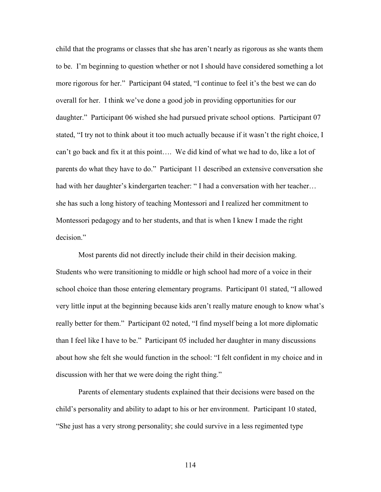child that the programs or classes that she has aren't nearly as rigorous as she wants them to be. I'm beginning to question whether or not I should have considered something a lot more rigorous for her." Participant 04 stated, "I continue to feel it's the best we can do overall for her. I think we've done a good job in providing opportunities for our daughter." Participant 06 wished she had pursued private school options. Participant 07 stated, "I try not to think about it too much actually because if it wasn't the right choice, I can't go back and fix it at this point…. We did kind of what we had to do, like a lot of parents do what they have to do." Participant 11 described an extensive conversation she had with her daughter's kindergarten teacher: "I had a conversation with her teacher... she has such a long history of teaching Montessori and I realized her commitment to Montessori pedagogy and to her students, and that is when I knew I made the right decision."

Most parents did not directly include their child in their decision making. Students who were transitioning to middle or high school had more of a voice in their school choice than those entering elementary programs. Participant 01 stated, "I allowed very little input at the beginning because kids aren't really mature enough to know what's really better for them." Participant 02 noted, "I find myself being a lot more diplomatic than I feel like I have to be." Participant 05 included her daughter in many discussions about how she felt she would function in the school: "I felt confident in my choice and in discussion with her that we were doing the right thing."

Parents of elementary students explained that their decisions were based on the child's personality and ability to adapt to his or her environment. Participant 10 stated, "She just has a very strong personality; she could survive in a less regimented type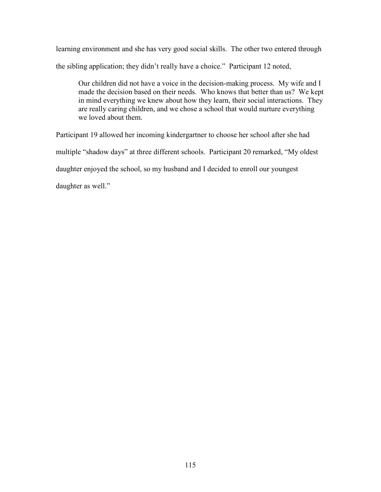learning environment and she has very good social skills. The other two entered through the sibling application; they didn't really have a choice." Participant 12 noted,

Our children did not have a voice in the decision-making process. My wife and I made the decision based on their needs. Who knows that better than us? We kept in mind everything we knew about how they learn, their social interactions. They are really caring children, and we chose a school that would nurture everything we loved about them.

Participant 19 allowed her incoming kindergartner to choose her school after she had

multiple "shadow days" at three different schools. Participant 20 remarked, "My oldest

daughter enjoyed the school, so my husband and I decided to enroll our youngest

daughter as well."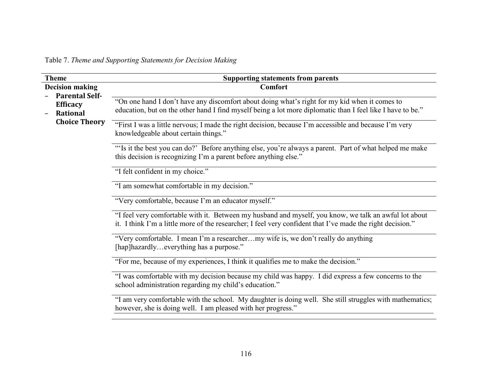Table 7. *Theme and Supporting Statements for Decision Making*

| <b>Theme</b>                                                | <b>Supporting statements from parents</b>                                                                                                                                                                           |
|-------------------------------------------------------------|---------------------------------------------------------------------------------------------------------------------------------------------------------------------------------------------------------------------|
| <b>Decision making</b>                                      | <b>Comfort</b>                                                                                                                                                                                                      |
| <b>Parental Self-</b><br><b>Efficacy</b><br><b>Rational</b> | "On one hand I don't have any discomfort about doing what's right for my kid when it comes to<br>education, but on the other hand I find myself being a lot more diplomatic than I feel like I have to be."         |
| <b>Choice Theory</b>                                        | "First I was a little nervous; I made the right decision, because I'm accessible and because I'm very<br>knowledgeable about certain things."                                                                       |
|                                                             | "Is it the best you can do?' Before anything else, you're always a parent. Part of what helped me make<br>this decision is recognizing I'm a parent before anything else."                                          |
|                                                             | "I felt confident in my choice."                                                                                                                                                                                    |
|                                                             | "I am somewhat comfortable in my decision."                                                                                                                                                                         |
|                                                             | "Very comfortable, because I'm an educator myself."                                                                                                                                                                 |
|                                                             | "I feel very comfortable with it. Between my husband and myself, you know, we talk an awful lot about<br>it. I think I'm a little more of the researcher; I feel very confident that I've made the right decision." |
|                                                             | "Very comfortable. I mean I'm a researchermy wife is, we don't really do anything<br>[hap]hazardlyeverything has a purpose."                                                                                        |
|                                                             | "For me, because of my experiences, I think it qualifies me to make the decision."                                                                                                                                  |
|                                                             | "I was comfortable with my decision because my child was happy. I did express a few concerns to the<br>school administration regarding my child's education."                                                       |
|                                                             | "I am very comfortable with the school. My daughter is doing well. She still struggles with mathematics;<br>however, she is doing well. I am pleased with her progress."                                            |
|                                                             |                                                                                                                                                                                                                     |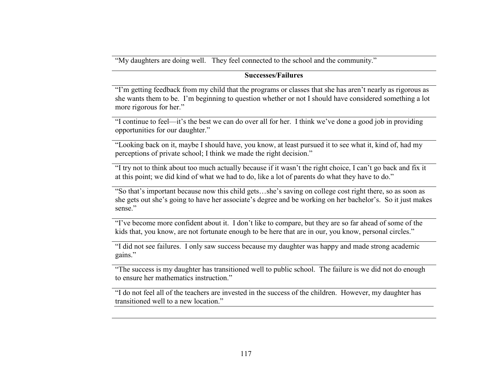"My daughters are doing well. They feel connected to the school and the community."

# **Successes/Failures**

"I'm getting feedback from my child that the programs or classes that she has aren't nearly as rigorous as she wants them to be. I'm beginning to question whether or not I should have considered something a lot more rigorous for her."

"I continue to feel—it's the best we can do over all for her. I think we've done a good job in providing opportunities for our daughter."

"Looking back on it, maybe I should have, you know, at least pursued it to see what it, kind of, had my perceptions of private school; I think we made the right decision."

"I try not to think about too much actually because if it wasn't the right choice, I can't go back and fix it at this point; we did kind of what we had to do, like a lot of parents do what they have to do."

"So that's important because now this child gets…she's saving on college cost right there, so as soon as she gets out she's going to have her associate's degree and be working on her bachelor's. So it just makes sense."

"I've become more confident about it. I don't like to compare, but they are so far ahead of some of the kids that, you know, are not fortunate enough to be here that are in our, you know, personal circles."

"I did not see failures. I only saw success because my daughter was happy and made strong academic gains."

"The success is my daughter has transitioned well to public school. The failure is we did not do enough to ensure her mathematics instruction."

"I do not feel all of the teachers are invested in the success of the children. However, my daughter has transitioned well to a new location."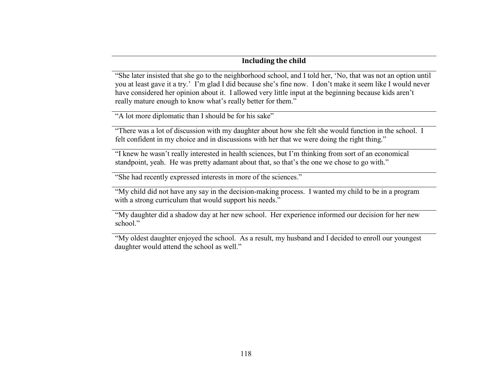# **Including the child**

"She later insisted that she go to the neighborhood school, and I told her, 'No, that was not an option until you at least gave it a try.' I'm glad I did because she's fine now. I don't make it seem like I would never have considered her opinion about it. I allowed very little input at the beginning because kids aren't really mature enough to know what's really better for them."

"A lot more diplomatic than I should be for his sake"

"There was a lot of discussion with my daughter about how she felt she would function in the school. I felt confident in my choice and in discussions with her that we were doing the right thing."

"I knew he wasn't really interested in health sciences, but I'm thinking from sort of an economical standpoint, yeah. He was pretty adamant about that, so that's the one we chose to go with."

"She had recently expressed interests in more of the sciences."

"My child did not have any say in the decision-making process. I wanted my child to be in a program with a strong curriculum that would support his needs."

"My daughter did a shadow day at her new school. Her experience informed our decision for her new school."

"My oldest daughter enjoyed the school. As a result, my husband and I decided to enroll our youngest daughter would attend the school as well."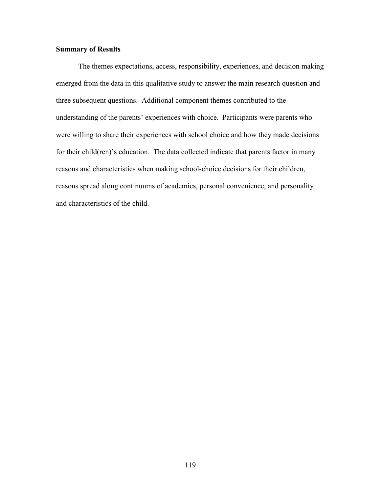## **Summary of Results**

The themes expectations, access, responsibility, experiences, and decision making emerged from the data in this qualitative study to answer the main research question and three subsequent questions. Additional component themes contributed to the understanding of the parents' experiences with choice. Participants were parents who were willing to share their experiences with school choice and how they made decisions for their child(ren)'s education. The data collected indicate that parents factor in many reasons and characteristics when making school-choice decisions for their children, reasons spread along continuums of academics, personal convenience, and personality and characteristics of the child.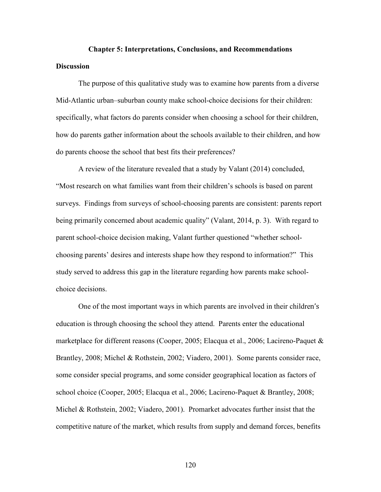# **Chapter 5: Interpretations, Conclusions, and Recommendations Discussion**

The purpose of this qualitative study was to examine how parents from a diverse Mid-Atlantic urban–suburban county make school-choice decisions for their children: specifically, what factors do parents consider when choosing a school for their children, how do parents gather information about the schools available to their children, and how do parents choose the school that best fits their preferences?

A review of the literature revealed that a study by Valant (2014) concluded, "Most research on what families want from their children's schools is based on parent surveys. Findings from surveys of school-choosing parents are consistent: parents report being primarily concerned about academic quality" (Valant, 2014, p. 3). With regard to parent school-choice decision making, Valant further questioned "whether schoolchoosing parents' desires and interests shape how they respond to information?" This study served to address this gap in the literature regarding how parents make schoolchoice decisions.

One of the most important ways in which parents are involved in their children's education is through choosing the school they attend. Parents enter the educational marketplace for different reasons (Cooper, 2005; Elacqua et al., 2006; Lacireno-Paquet & Brantley, 2008; Michel & Rothstein, 2002; Viadero, 2001). Some parents consider race, some consider special programs, and some consider geographical location as factors of school choice (Cooper, 2005; Elacqua et al., 2006; Lacireno-Paquet & Brantley, 2008; Michel & Rothstein, 2002; Viadero, 2001). Promarket advocates further insist that the competitive nature of the market, which results from supply and demand forces, benefits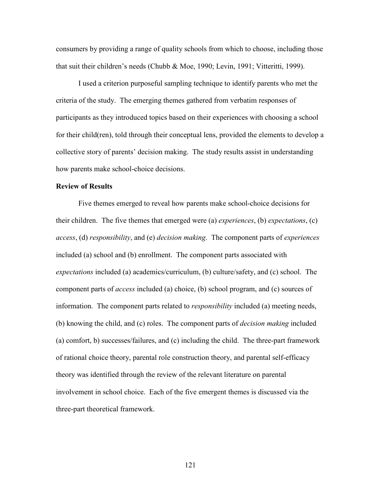consumers by providing a range of quality schools from which to choose, including those that suit their children's needs (Chubb & Moe, 1990; Levin, 1991; Vitteritti, 1999).

I used a criterion purposeful sampling technique to identify parents who met the criteria of the study. The emerging themes gathered from verbatim responses of participants as they introduced topics based on their experiences with choosing a school for their child(ren), told through their conceptual lens, provided the elements to develop a collective story of parents' decision making. The study results assist in understanding how parents make school-choice decisions.

## **Review of Results**

Five themes emerged to reveal how parents make school-choice decisions for their children. The five themes that emerged were (a) *experiences*, (b) *expectations*, (c) *access*, (d) *responsibility*, and (e) *decision making*. The component parts of *experiences* included (a) school and (b) enrollment. The component parts associated with *expectations* included (a) academics/curriculum, (b) culture/safety, and (c) school. The component parts of *access* included (a) choice, (b) school program, and (c) sources of information. The component parts related to *responsibility* included (a) meeting needs, (b) knowing the child, and (c) roles. The component parts of *decision making* included (a) comfort, b) successes/failures, and (c) including the child. The three-part framework of rational choice theory, parental role construction theory, and parental self-efficacy theory was identified through the review of the relevant literature on parental involvement in school choice. Each of the five emergent themes is discussed via the three-part theoretical framework.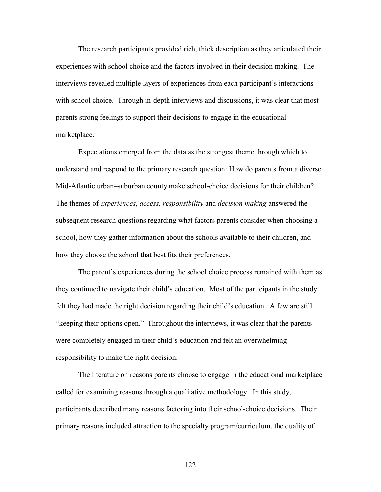The research participants provided rich, thick description as they articulated their experiences with school choice and the factors involved in their decision making. The interviews revealed multiple layers of experiences from each participant's interactions with school choice. Through in-depth interviews and discussions, it was clear that most parents strong feelings to support their decisions to engage in the educational marketplace.

Expectations emerged from the data as the strongest theme through which to understand and respond to the primary research question: How do parents from a diverse Mid-Atlantic urban–suburban county make school-choice decisions for their children? The themes of *experiences*, *access, responsibility* and *decision making* answered the subsequent research questions regarding what factors parents consider when choosing a school, how they gather information about the schools available to their children, and how they choose the school that best fits their preferences.

The parent's experiences during the school choice process remained with them as they continued to navigate their child's education. Most of the participants in the study felt they had made the right decision regarding their child's education. A few are still "keeping their options open." Throughout the interviews, it was clear that the parents were completely engaged in their child's education and felt an overwhelming responsibility to make the right decision.

The literature on reasons parents choose to engage in the educational marketplace called for examining reasons through a qualitative methodology. In this study, participants described many reasons factoring into their school-choice decisions. Their primary reasons included attraction to the specialty program/curriculum, the quality of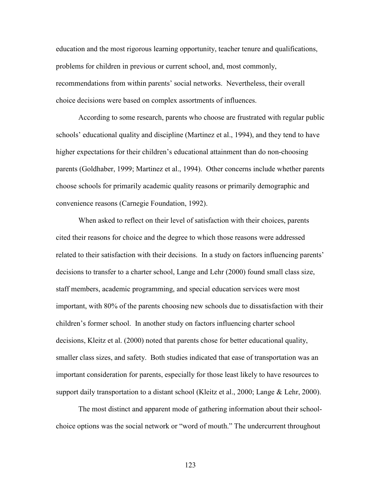education and the most rigorous learning opportunity, teacher tenure and qualifications, problems for children in previous or current school, and, most commonly, recommendations from within parents' social networks. Nevertheless, their overall choice decisions were based on complex assortments of influences.

According to some research, parents who choose are frustrated with regular public schools' educational quality and discipline (Martinez et al., 1994), and they tend to have higher expectations for their children's educational attainment than do non-choosing parents (Goldhaber, 1999; Martinez et al., 1994). Other concerns include whether parents choose schools for primarily academic quality reasons or primarily demographic and convenience reasons (Carnegie Foundation, 1992).

When asked to reflect on their level of satisfaction with their choices, parents cited their reasons for choice and the degree to which those reasons were addressed related to their satisfaction with their decisions. In a study on factors influencing parents' decisions to transfer to a charter school, Lange and Lehr (2000) found small class size, staff members, academic programming, and special education services were most important, with 80% of the parents choosing new schools due to dissatisfaction with their children's former school. In another study on factors influencing charter school decisions, Kleitz et al. (2000) noted that parents chose for better educational quality, smaller class sizes, and safety. Both studies indicated that ease of transportation was an important consideration for parents, especially for those least likely to have resources to support daily transportation to a distant school (Kleitz et al., 2000; Lange & Lehr, 2000).

The most distinct and apparent mode of gathering information about their schoolchoice options was the social network or "word of mouth." The undercurrent throughout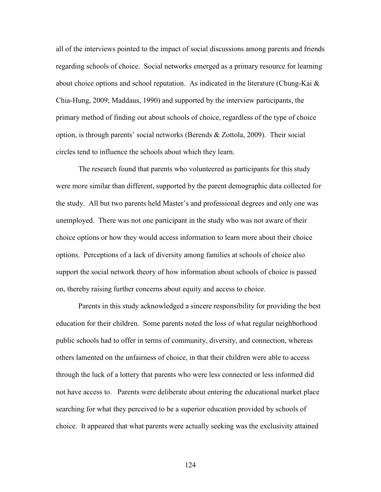all of the interviews pointed to the impact of social discussions among parents and friends regarding schools of choice. Social networks emerged as a primary resource for learning about choice options and school reputation. As indicated in the literature (Chung-Kai  $\&$ Chia-Hung, 2009; Maddaus, 1990) and supported by the interview participants, the primary method of finding out about schools of choice, regardless of the type of choice option, is through parents' social networks (Berends & Zottola, 2009). Their social circles tend to influence the schools about which they learn.

The research found that parents who volunteered as participants for this study were more similar than different, supported by the parent demographic data collected for the study. All but two parents held Master's and professional degrees and only one was unemployed. There was not one participant in the study who was not aware of their choice options or how they would access information to learn more about their choice options. Perceptions of a lack of diversity among families at schools of choice also support the social network theory of how information about schools of choice is passed on, thereby raising further concerns about equity and access to choice.

Parents in this study acknowledged a sincere responsibility for providing the best education for their children. Some parents noted the loss of what regular neighborhood public schools had to offer in terms of community, diversity, and connection, whereas others lamented on the unfairness of choice, in that their children were able to access through the luck of a lottery that parents who were less connected or less informed did not have access to. Parents were deliberate about entering the educational market place searching for what they perceived to be a superior education provided by schools of choice. It appeared that what parents were actually seeking was the exclusivity attained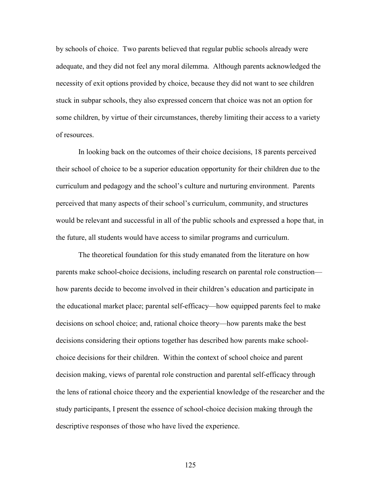by schools of choice. Two parents believed that regular public schools already were adequate, and they did not feel any moral dilemma. Although parents acknowledged the necessity of exit options provided by choice, because they did not want to see children stuck in subpar schools, they also expressed concern that choice was not an option for some children, by virtue of their circumstances, thereby limiting their access to a variety of resources.

In looking back on the outcomes of their choice decisions, 18 parents perceived their school of choice to be a superior education opportunity for their children due to the curriculum and pedagogy and the school's culture and nurturing environment. Parents perceived that many aspects of their school's curriculum, community, and structures would be relevant and successful in all of the public schools and expressed a hope that, in the future, all students would have access to similar programs and curriculum.

The theoretical foundation for this study emanated from the literature on how parents make school-choice decisions, including research on parental role construction how parents decide to become involved in their children's education and participate in the educational market place; parental self-efficacy—how equipped parents feel to make decisions on school choice; and, rational choice theory—how parents make the best decisions considering their options together has described how parents make schoolchoice decisions for their children. Within the context of school choice and parent decision making, views of parental role construction and parental self-efficacy through the lens of rational choice theory and the experiential knowledge of the researcher and the study participants, I present the essence of school-choice decision making through the descriptive responses of those who have lived the experience.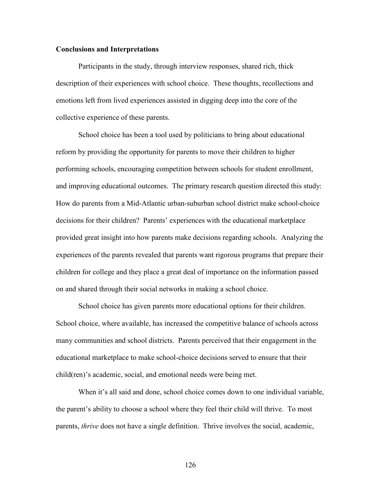## **Conclusions and Interpretations**

Participants in the study, through interview responses, shared rich, thick description of their experiences with school choice. These thoughts, recollections and emotions left from lived experiences assisted in digging deep into the core of the collective experience of these parents.

School choice has been a tool used by politicians to bring about educational reform by providing the opportunity for parents to move their children to higher performing schools, encouraging competition between schools for student enrollment, and improving educational outcomes. The primary research question directed this study: How do parents from a Mid-Atlantic urban-suburban school district make school-choice decisions for their children? Parents' experiences with the educational marketplace provided great insight into how parents make decisions regarding schools. Analyzing the experiences of the parents revealed that parents want rigorous programs that prepare their children for college and they place a great deal of importance on the information passed on and shared through their social networks in making a school choice.

School choice has given parents more educational options for their children. School choice, where available, has increased the competitive balance of schools across many communities and school districts. Parents perceived that their engagement in the educational marketplace to make school-choice decisions served to ensure that their child(ren)'s academic, social, and emotional needs were being met.

When it's all said and done, school choice comes down to one individual variable, the parent's ability to choose a school where they feel their child will thrive. To most parents, *thrive* does not have a single definition. Thrive involves the social, academic,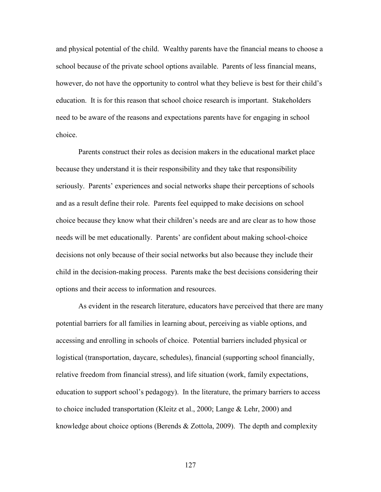and physical potential of the child. Wealthy parents have the financial means to choose a school because of the private school options available. Parents of less financial means, however, do not have the opportunity to control what they believe is best for their child's education. It is for this reason that school choice research is important. Stakeholders need to be aware of the reasons and expectations parents have for engaging in school choice.

Parents construct their roles as decision makers in the educational market place because they understand it is their responsibility and they take that responsibility seriously. Parents' experiences and social networks shape their perceptions of schools and as a result define their role. Parents feel equipped to make decisions on school choice because they know what their children's needs are and are clear as to how those needs will be met educationally. Parents' are confident about making school-choice decisions not only because of their social networks but also because they include their child in the decision-making process. Parents make the best decisions considering their options and their access to information and resources.

As evident in the research literature, educators have perceived that there are many potential barriers for all families in learning about, perceiving as viable options, and accessing and enrolling in schools of choice. Potential barriers included physical or logistical (transportation, daycare, schedules), financial (supporting school financially, relative freedom from financial stress), and life situation (work, family expectations, education to support school's pedagogy). In the literature, the primary barriers to access to choice included transportation (Kleitz et al., 2000; Lange & Lehr, 2000) and knowledge about choice options (Berends & Zottola, 2009). The depth and complexity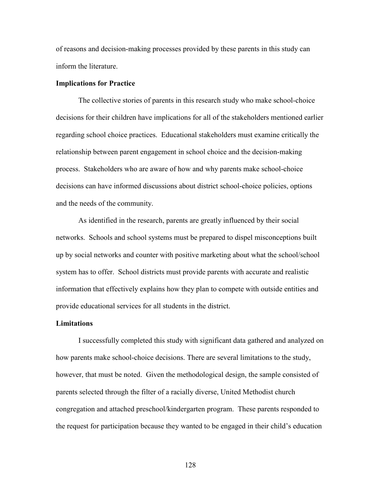of reasons and decision-making processes provided by these parents in this study can inform the literature.

## **Implications for Practice**

The collective stories of parents in this research study who make school-choice decisions for their children have implications for all of the stakeholders mentioned earlier regarding school choice practices. Educational stakeholders must examine critically the relationship between parent engagement in school choice and the decision-making process. Stakeholders who are aware of how and why parents make school-choice decisions can have informed discussions about district school-choice policies, options and the needs of the community.

As identified in the research, parents are greatly influenced by their social networks. Schools and school systems must be prepared to dispel misconceptions built up by social networks and counter with positive marketing about what the school/school system has to offer. School districts must provide parents with accurate and realistic information that effectively explains how they plan to compete with outside entities and provide educational services for all students in the district.

#### **Limitations**

I successfully completed this study with significant data gathered and analyzed on how parents make school-choice decisions. There are several limitations to the study, however, that must be noted. Given the methodological design, the sample consisted of parents selected through the filter of a racially diverse, United Methodist church congregation and attached preschool/kindergarten program. These parents responded to the request for participation because they wanted to be engaged in their child's education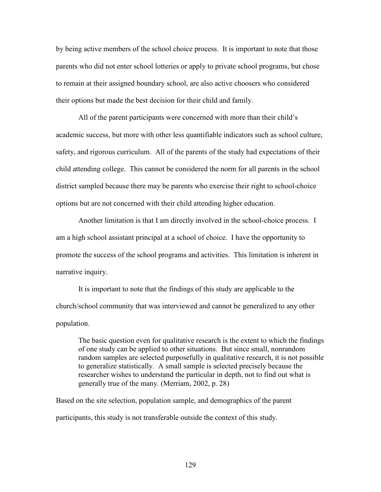by being active members of the school choice process. It is important to note that those parents who did not enter school lotteries or apply to private school programs, but chose to remain at their assigned boundary school, are also active choosers who considered their options but made the best decision for their child and family.

All of the parent participants were concerned with more than their child's academic success, but more with other less quantifiable indicators such as school culture, safety, and rigorous curriculum. All of the parents of the study had expectations of their child attending college. This cannot be considered the norm for all parents in the school district sampled because there may be parents who exercise their right to school-choice options but are not concerned with their child attending higher education.

Another limitation is that I am directly involved in the school-choice process. I am a high school assistant principal at a school of choice. I have the opportunity to promote the success of the school programs and activities. This limitation is inherent in narrative inquiry.

It is important to note that the findings of this study are applicable to the church/school community that was interviewed and cannot be generalized to any other population.

The basic question even for qualitative research is the extent to which the findings of one study can be applied to other situations. But since small, nonrandom random samples are selected purposefully in qualitative research, it is not possible to generalize statistically. A small sample is selected precisely because the researcher wishes to understand the particular in depth, not to find out what is generally true of the many. (Merriam, 2002, p. 28)

Based on the site selection, population sample, and demographics of the parent participants, this study is not transferable outside the context of this study.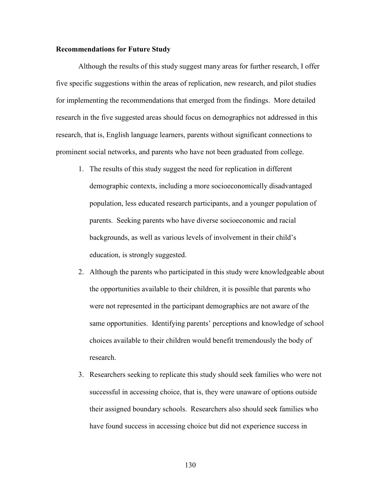## **Recommendations for Future Study**

Although the results of this study suggest many areas for further research, I offer five specific suggestions within the areas of replication, new research, and pilot studies for implementing the recommendations that emerged from the findings. More detailed research in the five suggested areas should focus on demographics not addressed in this research, that is, English language learners, parents without significant connections to prominent social networks, and parents who have not been graduated from college.

- 1. The results of this study suggest the need for replication in different demographic contexts, including a more socioeconomically disadvantaged population, less educated research participants, and a younger population of parents. Seeking parents who have diverse socioeconomic and racial backgrounds, as well as various levels of involvement in their child's education, is strongly suggested.
- 2. Although the parents who participated in this study were knowledgeable about the opportunities available to their children, it is possible that parents who were not represented in the participant demographics are not aware of the same opportunities. Identifying parents' perceptions and knowledge of school choices available to their children would benefit tremendously the body of research.
- 3. Researchers seeking to replicate this study should seek families who were not successful in accessing choice, that is, they were unaware of options outside their assigned boundary schools. Researchers also should seek families who have found success in accessing choice but did not experience success in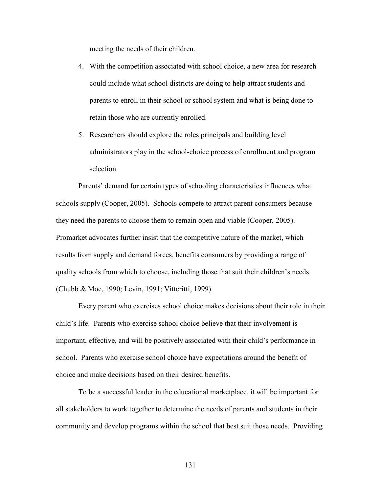meeting the needs of their children.

- 4. With the competition associated with school choice, a new area for research could include what school districts are doing to help attract students and parents to enroll in their school or school system and what is being done to retain those who are currently enrolled.
- 5. Researchers should explore the roles principals and building level administrators play in the school-choice process of enrollment and program selection.

Parents' demand for certain types of schooling characteristics influences what schools supply (Cooper, 2005). Schools compete to attract parent consumers because they need the parents to choose them to remain open and viable (Cooper, 2005). Promarket advocates further insist that the competitive nature of the market, which results from supply and demand forces, benefits consumers by providing a range of quality schools from which to choose, including those that suit their children's needs (Chubb & Moe, 1990; Levin, 1991; Vitteritti, 1999).

Every parent who exercises school choice makes decisions about their role in their child's life. Parents who exercise school choice believe that their involvement is important, effective, and will be positively associated with their child's performance in school. Parents who exercise school choice have expectations around the benefit of choice and make decisions based on their desired benefits.

To be a successful leader in the educational marketplace, it will be important for all stakeholders to work together to determine the needs of parents and students in their community and develop programs within the school that best suit those needs. Providing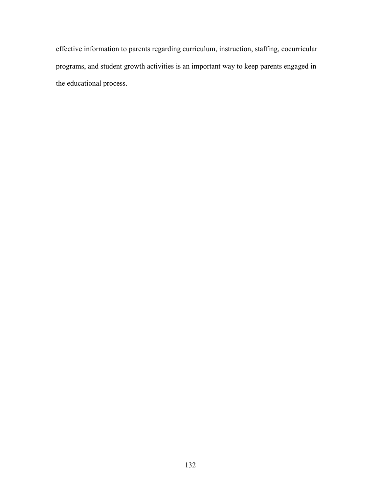effective information to parents regarding curriculum, instruction, staffing, cocurricular programs, and student growth activities is an important way to keep parents engaged in the educational process.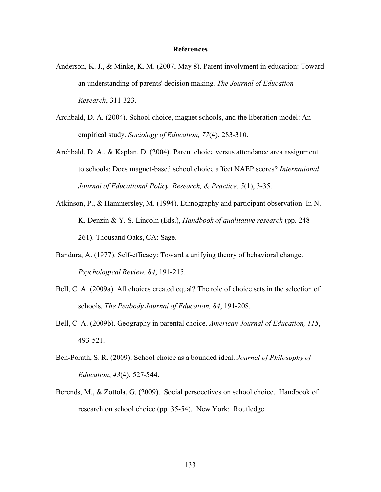#### **References**

- Anderson, K. J., & Minke, K. M. (2007, May 8). Parent involvment in education: Toward an understanding of parents' decision making. *The Journal of Education Research*, 311-323.
- Archbald, D. A. (2004). School choice, magnet schools, and the liberation model: An empirical study. *Sociology of Education, 77*(4), 283-310.
- Archbald, D. A., & Kaplan, D. (2004). Parent choice versus attendance area assignment to schools: Does magnet-based school choice affect NAEP scores? *International Journal of Educational Policy, Research, & Practice, 5*(1), 3-35.
- Atkinson, P., & Hammersley, M. (1994). Ethnography and participant observation. In N. K. Denzin & Y. S. Lincoln (Eds.), *Handbook of qualitative research* (pp. 248- 261). Thousand Oaks, CA: Sage.
- Bandura, A. (1977). Self-efficacy: Toward a unifying theory of behavioral change. *Psychological Review, 84*, 191-215.
- Bell, C. A. (2009a). All choices created equal? The role of choice sets in the selection of schools. *The Peabody Journal of Education, 84*, 191-208.
- Bell, C. A. (2009b). Geography in parental choice. *American Journal of Education, 115*, 493-521.
- Ben-Porath, S. R. (2009). School choice as a bounded ideal. *Journal of Philosophy of Education*, *43*(4), 527-544.
- Berends, M., & Zottola, G. (2009). Social persoectives on school choice. Handbook of research on school choice (pp. 35-54). New York: Routledge.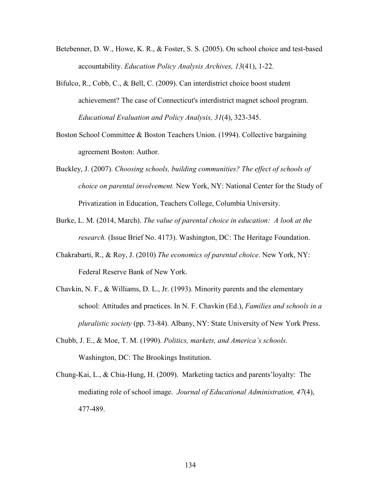- Betebenner, D. W., Howe, K. R., & Foster, S. S. (2005). On school choice and test-based accountability. *Education Policy Analysis Archives, 13*(41), 1-22.
- Bifulco, R., Cobb, C., & Bell, C. (2009). Can interdistrict choice boost student achievement? The case of Connecticut's interdistrict magnet school program. *Educational Evaluation and Policy Analysis, 31*(4), 323-345.
- Boston School Committee & Boston Teachers Union. (1994). Collective bargaining agreement Boston: Author.
- Buckley, J. (2007). *Choosing schools, building communities? The effect of schools of choice on parental involvement.* New York, NY: National Center for the Study of Privatization in Education, Teachers College, Columbia University.
- Burke, L. M. (2014, March). *The value of parental choice in education: A look at the research.* (Issue Brief No. 4173). Washington, DC: The Heritage Foundation.
- Chakrabarti, R., & Roy, J. (2010) *The economics of parental choice*. New York, NY: Federal Reserve Bank of New York.
- Chavkin, N. F., & Williams, D. L., Jr. (1993). Minority parents and the elementary school: Attitudes and practices. In N. F. Chavkin (Ed.), *Families and schools in a pluralistic society* (pp. 73-84). Albany, NY: State University of New York Press.
- Chubb, J. E., & Moe, T. M. (1990). *Politics, markets, and America's schools.* Washington, DC: The Brookings Institution.
- Chung-Kai, L., & Chia-Hung, H. (2009). Marketing tactics and parents'loyalty: The mediating role of school image. *Journal of Educational Administration, 47*(4), 477-489.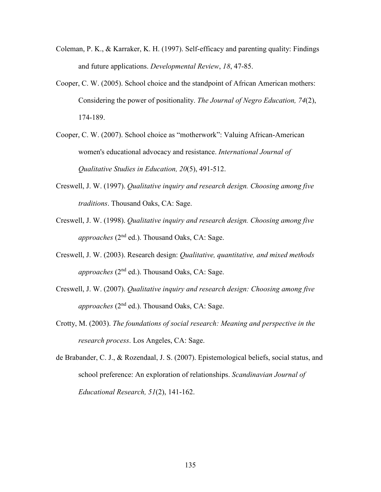- Coleman, P. K., & Karraker, K. H. (1997). Self-efficacy and parenting quality: Findings and future applications. *Developmental Review*, *18*, 47-85.
- Cooper, C. W. (2005). School choice and the standpoint of African American mothers: Considering the power of positionality. *The Journal of Negro Education, 74*(2), 174-189.
- Cooper, C. W. (2007). School choice as "motherwork": Valuing African-American women's educational advocacy and resistance. *International Journal of Qualitative Studies in Education, 20*(5), 491-512.
- Creswell, J. W. (1997). *Qualitative inquiry and research design. Choosing among five traditions*. Thousand Oaks, CA: Sage.
- Creswell, J. W. (1998). *Qualitative inquiry and research design. Choosing among five approaches* (2nd ed.). Thousand Oaks, CA: Sage.
- Creswell, J. W. (2003). Research design: *Qualitative, quantitative, and mixed methods approaches* (2nd ed.). Thousand Oaks, CA: Sage.
- Creswell, J. W. (2007). *Qualitative inquiry and research design: Choosing among five approaches* (2nd ed.). Thousand Oaks, CA: Sage.
- Crotty, M. (2003). *The foundations of social research: Meaning and perspective in the research process*. Los Angeles, CA: Sage.
- de Brabander, C. J., & Rozendaal, J. S. (2007). Epistemological beliefs, social status, and school preference: An exploration of relationships. *Scandinavian Journal of Educational Research, 51*(2), 141-162.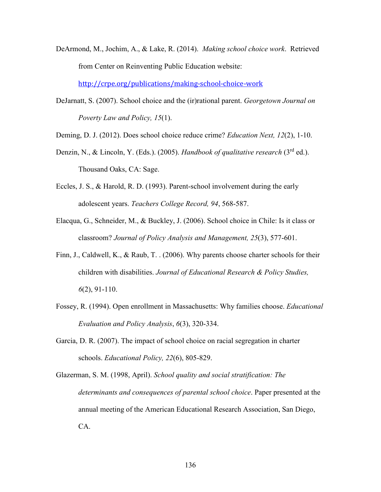DeArmond, M., Jochim, A., & Lake, R. (2014). *Making school choice work*. Retrieved from Center on Reinventing Public Education website:

http://crpe.org/publications/making-school-choice-work

DeJarnatt, S. (2007). School choice and the (ir)rational parent. *Georgetown Journal on Poverty Law and Policy, 15*(1).

Deming, D. J. (2012). Does school choice reduce crime? *Education Next, 12*(2), 1-10.

- Denzin, N., & Lincoln, Y. (Eds.). (2005). *Handbook of qualitative research* (3rd ed.). Thousand Oaks, CA: Sage.
- Eccles, J. S., & Harold, R. D. (1993). Parent-school involvement during the early adolescent years. *Teachers College Record, 94*, 568-587.
- Elacqua, G., Schneider, M., & Buckley, J. (2006). School choice in Chile: Is it class or classroom? *Journal of Policy Analysis and Management, 25*(3), 577-601.
- Finn, J., Caldwell, K., & Raub, T. . (2006). Why parents choose charter schools for their children with disabilities. *Journal of Educational Research & Policy Studies, 6*(2), 91-110.
- Fossey, R. (1994). Open enrollment in Massachusetts: Why families choose. *Educational Evaluation and Policy Analysis*, *6*(3), 320-334.
- Garcia, D. R. (2007). The impact of school choice on racial segregation in charter schools. *Educational Policy, 22*(6), 805-829.

Glazerman, S. M. (1998, April). *School quality and social stratification: The determinants and consequences of parental school choice*. Paper presented at the annual meeting of the American Educational Research Association, San Diego, CA.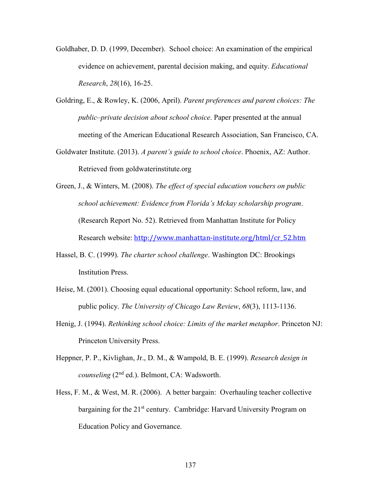- Goldhaber, D. D. (1999, December). School choice: An examination of the empirical evidence on achievement, parental decision making, and equity. *Educational Research*, *28*(16), 16-25.
- Goldring, E., & Rowley, K. (2006, April). *Parent preferences and parent choices: The public–private decision about school choice*. Paper presented at the annual meeting of the American Educational Research Association, San Francisco, CA.
- Goldwater Institute. (2013). *A parent's guide to school choice*. Phoenix, AZ: Author. Retrieved from goldwaterinstitute.org
- Green, J., & Winters, M. (2008). *The effect of special education vouchers on public school achievement: Evidence from Florida's Mckay scholarship program*. (Research Report No. 52). Retrieved from Manhattan Institute for Policy Research website: http://www.manhattan-institute.org/html/cr\_52.htm
- Hassel, B. C. (1999). *The charter school challenge*. Washington DC: Brookings Institution Press.
- Heise, M. (2001). Choosing equal educational opportunity: School reform, law, and public policy. *The University of Chicago Law Review*, *68*(3), 1113-1136.
- Henig, J. (1994). *Rethinking school choice: Limits of the market metaphor*. Princeton NJ: Princeton University Press.
- Heppner, P. P., Kivlighan, Jr., D. M., & Wampold, B. E. (1999). *Research design in counseling* (2nd ed.). Belmont, CA: Wadsworth.
- Hess, F. M., & West, M. R. (2006). A better bargain: Overhauling teacher collective bargaining for the 21<sup>st</sup> century. Cambridge: Harvard University Program on Education Policy and Governance.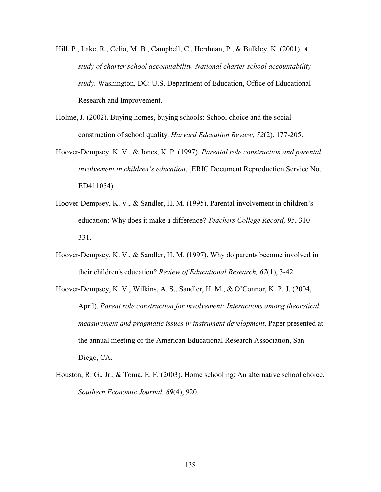- Hill, P., Lake, R., Celio, M. B., Campbell, C., Herdman, P., & Bulkley, K. (2001). *A study of charter school accountability. National charter school accountability study.* Washington, DC: U.S. Department of Education, Office of Educational Research and Improvement.
- Holme, J. (2002). Buying homes, buying schools: School choice and the social construction of school quality. *Harvard Edcuation Review, 72*(2), 177-205.
- Hoover-Dempsey, K. V., & Jones, K. P. (1997). *Parental role construction and parental involvement in children's education*. (ERIC Document Reproduction Service No. ED411054)
- Hoover-Dempsey, K. V., & Sandler, H. M. (1995). Parental involvement in children's education: Why does it make a difference? *Teachers College Record, 95*, 310- 331.
- Hoover-Dempsey, K. V., & Sandler, H. M. (1997). Why do parents become involved in their children's education? *Review of Educational Research, 67*(1), 3-42.
- Hoover-Dempsey, K. V., Wilkins, A. S., Sandler, H. M., & O'Connor, K. P. J. (2004, April). *Parent role construction for involvement: Interactions among theoretical, measurement and pragmatic issues in instrument development*. Paper presented at the annual meeting of the American Educational Research Association, San Diego, CA.
- Houston, R. G., Jr., & Toma, E. F. (2003). Home schooling: An alternative school choice. *Southern Economic Journal, 69*(4), 920.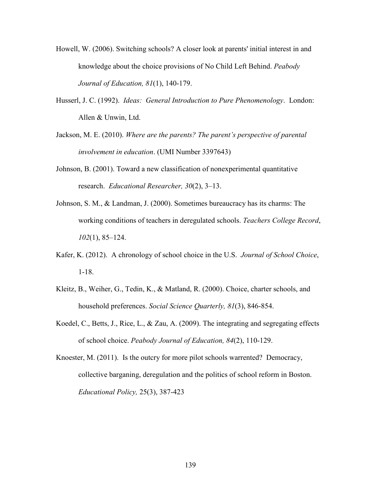- Howell, W. (2006). Switching schools? A closer look at parents' initial interest in and knowledge about the choice provisions of No Child Left Behind. *Peabody Journal of Education, 81*(1), 140-179.
- Husserl, J. C. (1992). *Ideas: General Introduction to Pure Phenomenology*. London: Allen & Unwin, Ltd.
- Jackson, M. E. (2010). *Where are the parents? The parent's perspective of parental involvement in education*. (UMI Number 3397643)
- Johnson, B. (2001). Toward a new classification of nonexperimental quantitative research. *Educational Researcher, 30*(2), 3–13.
- Johnson, S. M., & Landman, J. (2000). Sometimes bureaucracy has its charms: The working conditions of teachers in deregulated schools. *Teachers College Record*, *102*(1), 85–124.
- Kafer, K. (2012). A chronology of school choice in the U.S. *Journal of School Choice*, 1-18.
- Kleitz, B., Weiher, G., Tedin, K., & Matland, R. (2000). Choice, charter schools, and household preferences. *Social Science Quarterly, 81*(3), 846-854.
- Koedel, C., Betts, J., Rice, L., & Zau, A. (2009). The integrating and segregating effects of school choice. *Peabody Journal of Education, 84*(2), 110-129.
- Knoester, M. (2011). Is the outcry for more pilot schools warrented? Democracy, collective barganing, deregulation and the politics of school reform in Boston. *Educational Policy,* 25(3), 387-423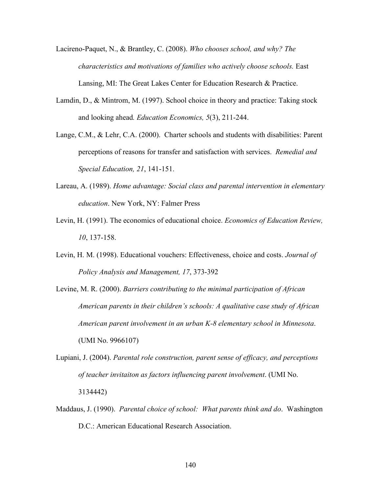- Lacireno-Paquet, N., & Brantley, C. (2008). *Who chooses school, and why? The characteristics and motivations of families who actively choose schools.* East Lansing, MI: The Great Lakes Center for Education Research & Practice.
- Lamdin, D., & Mintrom, M. (1997). School choice in theory and practice: Taking stock and looking ahead*. Education Economics, 5*(3), 211-244.
- Lange, C.M., & Lehr, C.A. (2000). Charter schools and students with disabilities: Parent perceptions of reasons for transfer and satisfaction with services. *Remedial and Special Education, 21*, 141-151.
- Lareau, A. (1989). *Home advantage: Social class and parental intervention in elementary education*. New York, NY: Falmer Press
- Levin, H. (1991). The economics of educational choice. *Economics of Education Review, 10*, 137-158.
- Levin, H. M. (1998). Educational vouchers: Effectiveness, choice and costs. *Journal of Policy Analysis and Management, 17*, 373-392
- Levine, M. R. (2000). *Barriers contributing to the minimal participation of African American parents in their children's schools: A qualitative case study of African American parent involvement in an urban K-8 elementary school in Minnesota*. (UMI No. 9966107)
- Lupiani, J. (2004). *Parental role construction, parent sense of efficacy, and perceptions of teacher invitaiton as factors influencing parent involvement*. (UMI No. 3134442)
- Maddaus, J. (1990). *Parental choice of school: What parents think and do*. Washington D.C.: American Educational Research Association.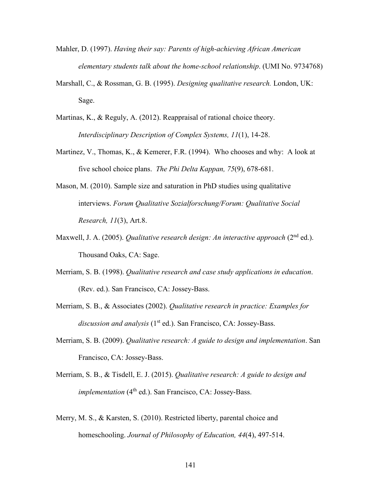- Mahler, D. (1997). *Having their say: Parents of high-achieving African American elementary students talk about the home-school relationship*. (UMI No. 9734768)
- Marshall, C., & Rossman, G. B. (1995). *Designing qualitative research.* London, UK: Sage.
- Martinas, K., & Reguly, A. (2012). Reappraisal of rational choice theory. *Interdisciplinary Description of Complex Systems, 11*(1), 14-28.
- Martinez, V., Thomas, K., & Kemerer, F.R. (1994). Who chooses and why: A look at five school choice plans. *The Phi Delta Kappan, 75*(9), 678-681.
- Mason, M. (2010). Sample size and saturation in PhD studies using qualitative interviews. *Forum Qualitative Sozialforschung/Forum: Qualitative Social Research, 11*(3), Art.8.
- Maxwell, J. A. (2005). *Qualitative research design: An interactive approach* (2nd ed.). Thousand Oaks, CA: Sage.
- Merriam, S. B. (1998). *Qualitative research and case study applications in education*. (Rev. ed.). San Francisco, CA: Jossey-Bass.
- Merriam, S. B., & Associates (2002). *Qualitative research in practice: Examples for*  discussion and analysis (1<sup>st</sup> ed.). San Francisco, CA: Jossey-Bass.
- Merriam, S. B. (2009). *Qualitative research: A guide to design and implementation*. San Francisco, CA: Jossey-Bass.
- Merriam, S. B., & Tisdell, E. J. (2015). *Qualitative research: A guide to design and implementation* (4<sup>th</sup> ed.). San Francisco, CA: Jossey-Bass.
- Merry, M. S., & Karsten, S. (2010). Restricted liberty, parental choice and homeschooling. *Journal of Philosophy of Education, 44*(4), 497-514.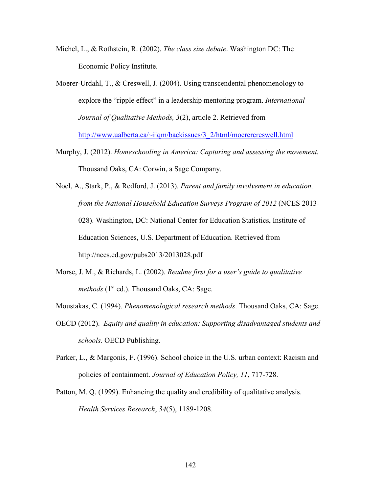- Michel, L., & Rothstein, R. (2002). *The class size debate*. Washington DC: The Economic Policy Institute.
- Moerer-Urdahl, T., & Creswell, J. (2004). Using transcendental phenomenology to explore the "ripple effect" in a leadership mentoring program. *International Journal of Qualitative Methods, 3*(2), article 2. Retrieved from http://www.ualberta.ca/~iiqm/backissues/3\_2/html/moerercreswell.html
- Murphy, J. (2012). *Homeschooling in America: Capturing and assessing the movement.* Thousand Oaks, CA: Corwin, a Sage Company.
- Noel, A., Stark, P., & Redford, J. (2013). *Parent and family involvement in education, from the National Household Education Surveys Program of 2012* (NCES 2013- 028). Washington, DC: National Center for Education Statistics, Institute of Education Sciences, U.S. Department of Education. Retrieved from http://nces.ed.gov/pubs2013/2013028.pdf
- Morse, J. M., & Richards, L. (2002). *Readme first for a user's guide to qualitative methods* (1<sup>st</sup> ed.). Thousand Oaks, CA: Sage.
- Moustakas, C. (1994). *Phenomenological research methods*. Thousand Oaks, CA: Sage.
- OECD (2012). *Equity and quality in education: Supporting disadvantaged students and schools.* OECD Publishing.
- Parker, L., & Margonis, F. (1996). School choice in the U.S. urban context: Racism and policies of containment. *Journal of Education Policy, 11*, 717-728.
- Patton, M. Q. (1999). Enhancing the quality and credibility of qualitative analysis. *Health Services Research*, *34*(5), 1189-1208.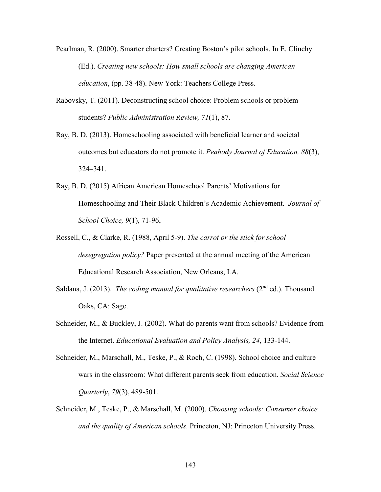- Pearlman, R. (2000). Smarter charters? Creating Boston's pilot schools. In E. Clinchy (Ed.). *Creating new schools: How small schools are changing American education*, (pp. 38-48). New York: Teachers College Press.
- Rabovsky, T. (2011). Deconstructing school choice: Problem schools or problem students? *Public Administration Review, 71*(1), 87.
- Ray, B. D. (2013). Homeschooling associated with beneficial learner and societal outcomes but educators do not promote it. *Peabody Journal of Education, 88*(3), 324–341.
- Ray, B. D. (2015) African American Homeschool Parents' Motivations for Homeschooling and Their Black Children's Academic Achievement. *Journal of School Choice, 9*(1), 71-96,
- Rossell, C., & Clarke, R. (1988, April 5-9). *The carrot or the stick for school desegregation policy?* Paper presented at the annual meeting of the American Educational Research Association, New Orleans, LA.
- Saldana, J. (2013). *The coding manual for qualitative researchers* (2<sup>nd</sup> ed.). Thousand Oaks, CA: Sage.
- Schneider, M., & Buckley, J. (2002). What do parents want from schools? Evidence from the Internet. *Educational Evaluation and Policy Analysis, 24*, 133-144.
- Schneider, M., Marschall, M., Teske, P., & Roch, C. (1998). School choice and culture wars in the classroom: What different parents seek from education. *Social Science Quarterly*, *79*(3), 489-501.
- Schneider, M., Teske, P., & Marschall, M. (2000). *Choosing schools: Consumer choice and the quality of American schools*. Princeton, NJ: Princeton University Press.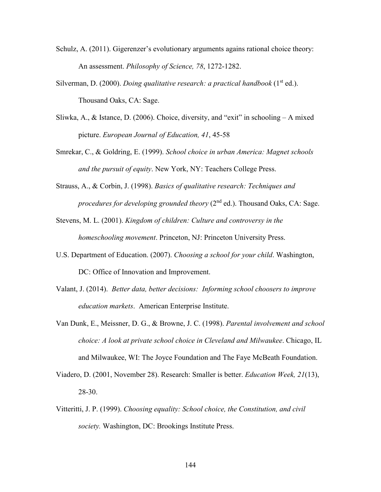- Schulz, A. (2011). Gigerenzer's evolutionary arguments agains rational choice theory: An assessment. *Philosophy of Science, 78*, 1272-1282.
- Silverman, D. (2000). *Doing qualitative research: a practical handbook* (1<sup>st</sup> ed.). Thousand Oaks, CA: Sage.
- Sliwka, A., & Istance, D. (2006). Choice, diversity, and "exit" in schooling A mixed picture. *European Journal of Education, 41*, 45-58
- Smrekar, C., & Goldring, E. (1999). *School choice in urban America: Magnet schools and the pursuit of equity*. New York, NY: Teachers College Press.
- Strauss, A., & Corbin, J. (1998). *Basics of qualitative research: Techniques and procedures for developing grounded theory* (2<sup>nd</sup> ed.). Thousand Oaks, CA: Sage.
- Stevens, M. L. (2001). *Kingdom of children: Culture and controversy in the homeschooling movement*. Princeton, NJ: Princeton University Press.
- U.S. Department of Education. (2007). *Choosing a school for your child*. Washington, DC: Office of Innovation and Improvement.
- Valant, J. (2014). *Better data, better decisions: Informing school choosers to improve education markets*. American Enterprise Institute.
- Van Dunk, E., Meissner, D. G., & Browne, J. C. (1998). *Parental involvement and school choice: A look at private school choice in Cleveland and Milwaukee*. Chicago, IL and Milwaukee, WI: The Joyce Foundation and The Faye McBeath Foundation.
- Viadero, D. (2001, November 28). Research: Smaller is better. *Education Week, 21*(13), 28-30.
- Vitteritti, J. P. (1999). *Choosing equality: School choice, the Constitution, and civil society.* Washington, DC: Brookings Institute Press.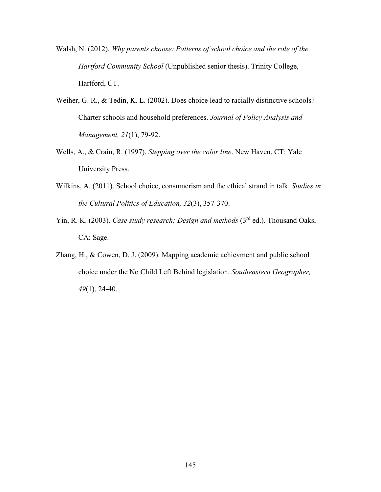- Walsh, N. (2012). *Why parents choose: Patterns of school choice and the role of the Hartford Community School* (Unpublished senior thesis). Trinity College, Hartford, CT.
- Weiher, G. R., & Tedin, K. L. (2002). Does choice lead to racially distinctive schools? Charter schools and household preferences. *Journal of Policy Analysis and Management, 21*(1), 79-92.
- Wells, A., & Crain, R. (1997). *Stepping over the color line*. New Haven, CT: Yale University Press.
- Wilkins, A. (2011). School choice, consumerism and the ethical strand in talk. *Studies in the Cultural Politics of Education, 32*(3), 357-370.
- Yin, R. K. (2003). *Case study research: Design and methods* (3<sup>rd</sup> ed.). Thousand Oaks, CA: Sage.
- Zhang, H., & Cowen, D. J. (2009). Mapping academic achievment and public school choice under the No Child Left Behind legislation. *Southeastern Geographer, 49*(1), 24-40.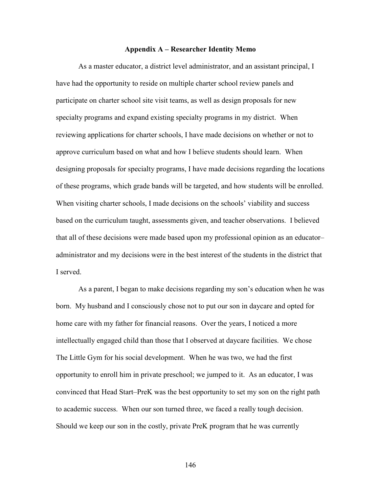#### **Appendix A – Researcher Identity Memo**

As a master educator, a district level administrator, and an assistant principal, I have had the opportunity to reside on multiple charter school review panels and participate on charter school site visit teams, as well as design proposals for new specialty programs and expand existing specialty programs in my district. When reviewing applications for charter schools, I have made decisions on whether or not to approve curriculum based on what and how I believe students should learn. When designing proposals for specialty programs, I have made decisions regarding the locations of these programs, which grade bands will be targeted, and how students will be enrolled. When visiting charter schools, I made decisions on the schools' viability and success based on the curriculum taught, assessments given, and teacher observations. I believed that all of these decisions were made based upon my professional opinion as an educator– administrator and my decisions were in the best interest of the students in the district that I served.

As a parent, I began to make decisions regarding my son's education when he was born. My husband and I consciously chose not to put our son in daycare and opted for home care with my father for financial reasons. Over the years, I noticed a more intellectually engaged child than those that I observed at daycare facilities. We chose The Little Gym for his social development. When he was two, we had the first opportunity to enroll him in private preschool; we jumped to it. As an educator, I was convinced that Head Start–PreK was the best opportunity to set my son on the right path to academic success. When our son turned three, we faced a really tough decision. Should we keep our son in the costly, private PreK program that he was currently

146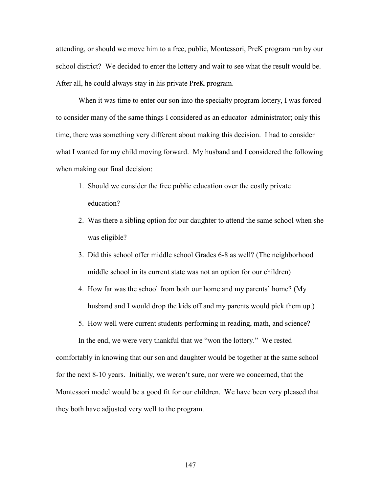attending, or should we move him to a free, public, Montessori, PreK program run by our school district? We decided to enter the lottery and wait to see what the result would be. After all, he could always stay in his private PreK program.

When it was time to enter our son into the specialty program lottery, I was forced to consider many of the same things I considered as an educator–administrator; only this time, there was something very different about making this decision. I had to consider what I wanted for my child moving forward. My husband and I considered the following when making our final decision:

- 1. Should we consider the free public education over the costly private education?
- 2. Was there a sibling option for our daughter to attend the same school when she was eligible?
- 3. Did this school offer middle school Grades 6-8 as well? (The neighborhood middle school in its current state was not an option for our children)
- 4. How far was the school from both our home and my parents' home? (My husband and I would drop the kids off and my parents would pick them up.)
- 5. How well were current students performing in reading, math, and science?

In the end, we were very thankful that we "won the lottery." We rested comfortably in knowing that our son and daughter would be together at the same school for the next 8-10 years. Initially, we weren't sure, nor were we concerned, that the Montessori model would be a good fit for our children. We have been very pleased that they both have adjusted very well to the program.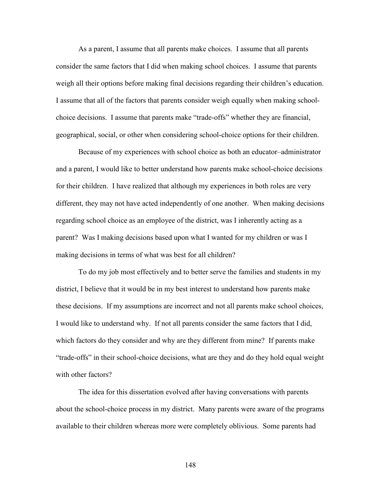As a parent, I assume that all parents make choices. I assume that all parents consider the same factors that I did when making school choices. I assume that parents weigh all their options before making final decisions regarding their children's education. I assume that all of the factors that parents consider weigh equally when making schoolchoice decisions. I assume that parents make "trade-offs" whether they are financial, geographical, social, or other when considering school-choice options for their children.

Because of my experiences with school choice as both an educator–administrator and a parent, I would like to better understand how parents make school-choice decisions for their children. I have realized that although my experiences in both roles are very different, they may not have acted independently of one another. When making decisions regarding school choice as an employee of the district, was I inherently acting as a parent? Was I making decisions based upon what I wanted for my children or was I making decisions in terms of what was best for all children?

To do my job most effectively and to better serve the families and students in my district, I believe that it would be in my best interest to understand how parents make these decisions. If my assumptions are incorrect and not all parents make school choices, I would like to understand why. If not all parents consider the same factors that I did, which factors do they consider and why are they different from mine? If parents make "trade-offs" in their school-choice decisions, what are they and do they hold equal weight with other factors?

The idea for this dissertation evolved after having conversations with parents about the school-choice process in my district. Many parents were aware of the programs available to their children whereas more were completely oblivious. Some parents had

148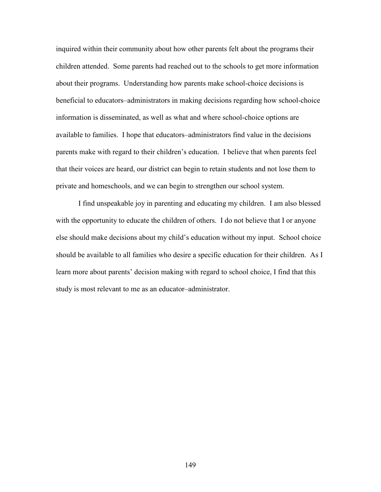inquired within their community about how other parents felt about the programs their children attended. Some parents had reached out to the schools to get more information about their programs. Understanding how parents make school-choice decisions is beneficial to educators–administrators in making decisions regarding how school-choice information is disseminated, as well as what and where school-choice options are available to families. I hope that educators–administrators find value in the decisions parents make with regard to their children's education. I believe that when parents feel that their voices are heard, our district can begin to retain students and not lose them to private and homeschools, and we can begin to strengthen our school system.

I find unspeakable joy in parenting and educating my children. I am also blessed with the opportunity to educate the children of others. I do not believe that I or anyone else should make decisions about my child's education without my input. School choice should be available to all families who desire a specific education for their children. As I learn more about parents' decision making with regard to school choice, I find that this study is most relevant to me as an educator–administrator.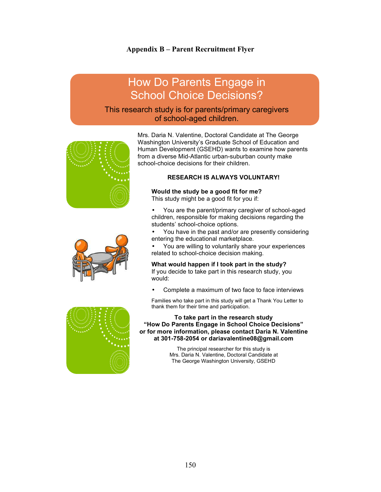#### **Appendix B – Parent Recruitment Flyer**

# How Do Parents Engage in School Choice Decisions?

## This research study is for parents/primary caregivers of school-aged children.



from a diverse Mid-Atlantic urban-suburban county make school-choice decisions for their children. **RESEARCH IS ALWAYS VOLUNTARY!** 

Mrs. Daria N. Valentine, Doctoral Candidate at The George Washington University's Graduate School of Education and Human Development (GSEHD) wants to examine how parents

# **Would the study be a good fit for me?**

This study might be a good fit for you if:

• You are the parent/primary caregiver of school-aged children, responsible for making decisions regarding the students' school-choice options.

- You have in the past and/or are presently considering entering the educational marketplace.
- You are willing to voluntarily share your experiences related to school-choice decision making.

#### **What would happen if I took part in the study?**

If you decide to take part in this research study, you would:

Complete a maximum of two face to face interviews

Families who take part in this study will get a Thank You Letter to thank them for their time and participation.

**To take part in the research study "How Do Parents Engage in School Choice Decisions" or for more information, please contact Daria N. Valentine at 301-758-2054 or dariavalentine08@gmail.com** 

> The principal researcher for this study is Mrs. Daria N. Valentine, Doctoral Candidate at The George Washington University, GSEHD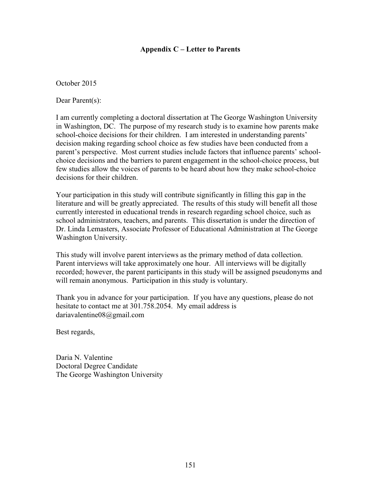#### **Appendix C – Letter to Parents**

October 2015

Dear Parent(s):

I am currently completing a doctoral dissertation at The George Washington University in Washington, DC. The purpose of my research study is to examine how parents make school-choice decisions for their children. I am interested in understanding parents' decision making regarding school choice as few studies have been conducted from a parent's perspective. Most current studies include factors that influence parents' schoolchoice decisions and the barriers to parent engagement in the school-choice process, but few studies allow the voices of parents to be heard about how they make school-choice decisions for their children.

Your participation in this study will contribute significantly in filling this gap in the literature and will be greatly appreciated. The results of this study will benefit all those currently interested in educational trends in research regarding school choice, such as school administrators, teachers, and parents. This dissertation is under the direction of Dr. Linda Lemasters, Associate Professor of Educational Administration at The George Washington University.

This study will involve parent interviews as the primary method of data collection. Parent interviews will take approximately one hour. All interviews will be digitally recorded; however, the parent participants in this study will be assigned pseudonyms and will remain anonymous. Participation in this study is voluntary.

Thank you in advance for your participation. If you have any questions, please do not hesitate to contact me at 301.758.2054. My email address is dariavalentine08@gmail.com

Best regards,

Daria N. Valentine Doctoral Degree Candidate The George Washington University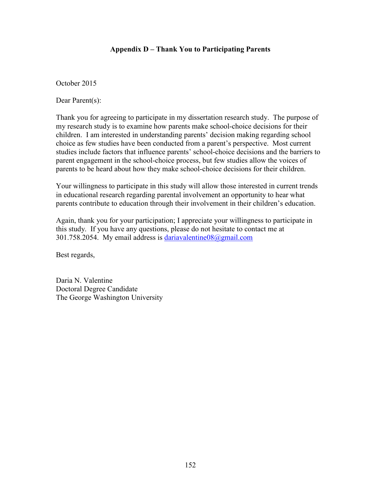#### **Appendix D – Thank You to Participating Parents**

October 2015

Dear Parent(s):

Thank you for agreeing to participate in my dissertation research study. The purpose of my research study is to examine how parents make school-choice decisions for their children. I am interested in understanding parents' decision making regarding school choice as few studies have been conducted from a parent's perspective. Most current studies include factors that influence parents' school-choice decisions and the barriers to parent engagement in the school-choice process, but few studies allow the voices of parents to be heard about how they make school-choice decisions for their children.

Your willingness to participate in this study will allow those interested in current trends in educational research regarding parental involvement an opportunity to hear what parents contribute to education through their involvement in their children's education.

Again, thank you for your participation; I appreciate your willingness to participate in this study. If you have any questions, please do not hesitate to contact me at 301.758.2054. My email address is dariavalentine08@gmail.com

Best regards,

Daria N. Valentine Doctoral Degree Candidate The George Washington University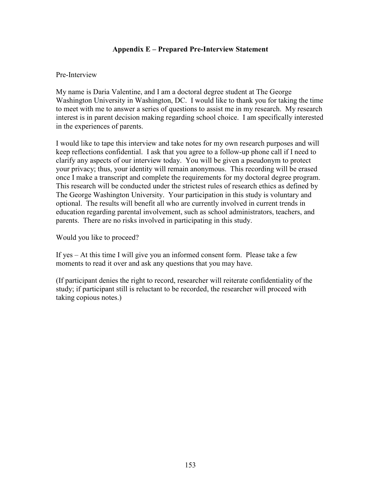#### **Appendix E – Prepared Pre-Interview Statement**

#### Pre-Interview

My name is Daria Valentine, and I am a doctoral degree student at The George Washington University in Washington, DC. I would like to thank you for taking the time to meet with me to answer a series of questions to assist me in my research. My research interest is in parent decision making regarding school choice. I am specifically interested in the experiences of parents.

I would like to tape this interview and take notes for my own research purposes and will keep reflections confidential. I ask that you agree to a follow-up phone call if I need to clarify any aspects of our interview today. You will be given a pseudonym to protect your privacy; thus, your identity will remain anonymous. This recording will be erased once I make a transcript and complete the requirements for my doctoral degree program. This research will be conducted under the strictest rules of research ethics as defined by The George Washington University. Your participation in this study is voluntary and optional. The results will benefit all who are currently involved in current trends in education regarding parental involvement, such as school administrators, teachers, and parents. There are no risks involved in participating in this study.

Would you like to proceed?

If yes – At this time I will give you an informed consent form. Please take a few moments to read it over and ask any questions that you may have.

(If participant denies the right to record, researcher will reiterate confidentiality of the study; if participant still is reluctant to be recorded, the researcher will proceed with taking copious notes.)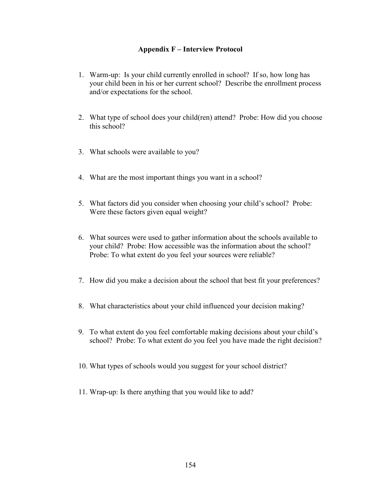#### **Appendix F – Interview Protocol**

- 1. Warm-up: Is your child currently enrolled in school? If so, how long has your child been in his or her current school? Describe the enrollment process and/or expectations for the school.
- 2. What type of school does your child(ren) attend? Probe: How did you choose this school?
- 3. What schools were available to you?
- 4. What are the most important things you want in a school?
- 5. What factors did you consider when choosing your child's school? Probe: Were these factors given equal weight?
- 6. What sources were used to gather information about the schools available to your child? Probe: How accessible was the information about the school? Probe: To what extent do you feel your sources were reliable?
- 7. How did you make a decision about the school that best fit your preferences?
- 8. What characteristics about your child influenced your decision making?
- 9. To what extent do you feel comfortable making decisions about your child's school? Probe: To what extent do you feel you have made the right decision?
- 10. What types of schools would you suggest for your school district?
- 11. Wrap-up: Is there anything that you would like to add?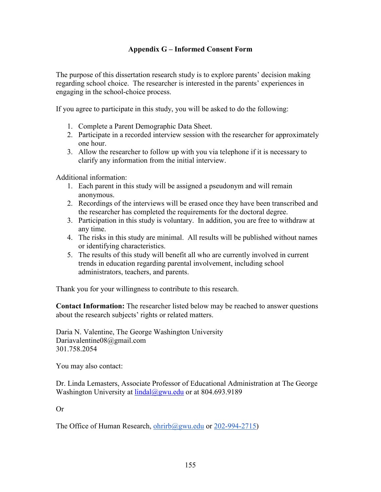## **Appendix G – Informed Consent Form**

The purpose of this dissertation research study is to explore parents' decision making regarding school choice. The researcher is interested in the parents' experiences in engaging in the school-choice process.

If you agree to participate in this study, you will be asked to do the following:

- 1. Complete a Parent Demographic Data Sheet.
- 2. Participate in a recorded interview session with the researcher for approximately one hour.
- 3. Allow the researcher to follow up with you via telephone if it is necessary to clarify any information from the initial interview.

Additional information:

- 1. Each parent in this study will be assigned a pseudonym and will remain anonymous.
- 2. Recordings of the interviews will be erased once they have been transcribed and the researcher has completed the requirements for the doctoral degree.
- 3. Participation in this study is voluntary. In addition, you are free to withdraw at any time.
- 4. The risks in this study are minimal. All results will be published without names or identifying characteristics.
- 5. The results of this study will benefit all who are currently involved in current trends in education regarding parental involvement, including school administrators, teachers, and parents.

Thank you for your willingness to contribute to this research.

**Contact Information:** The researcher listed below may be reached to answer questions about the research subjects' rights or related matters.

Daria N. Valentine, The George Washington University Dariavalentine08@gmail.com 301.758.2054

You may also contact:

Dr. Linda Lemasters, Associate Professor of Educational Administration at The George Washington University at lindal@gwu.edu or at 804.693.9189

Or

The Office of Human Research, ohrirb@gwu.edu or 202-994-2715)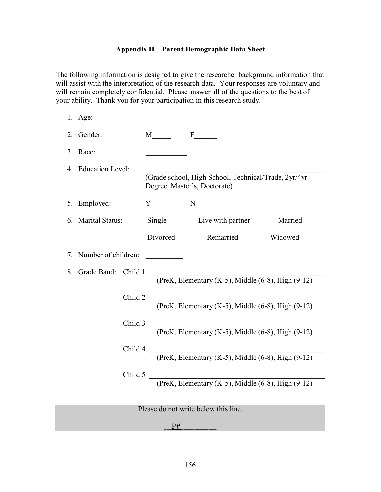## **Appendix H – Parent Demographic Data Sheet**

The following information is designed to give the researcher background information that will assist with the interpretation of the research data. Your responses are voluntary and will remain completely confidential. Please answer all of the questions to the best of your ability. Thank you for your participation in this research study.

|                                                                    | $1.$ Age:                                                                           |                                                                                      |  |  |  |  |
|--------------------------------------------------------------------|-------------------------------------------------------------------------------------|--------------------------------------------------------------------------------------|--|--|--|--|
| 2.                                                                 | Gender:                                                                             | M F                                                                                  |  |  |  |  |
|                                                                    | 3. Race:                                                                            |                                                                                      |  |  |  |  |
|                                                                    | 4. Education Level:                                                                 | (Grade school, High School, Technical/Trade, 2yr/4yr<br>Degree, Master's, Doctorate) |  |  |  |  |
|                                                                    | 5. Employed:                                                                        | $Y$ N                                                                                |  |  |  |  |
|                                                                    |                                                                                     | 6. Marital Status: Single Communicative with partner Communications and Married      |  |  |  |  |
|                                                                    |                                                                                     | Divorced _______ Remarried _______ Widowed                                           |  |  |  |  |
| 7.                                                                 | Number of children:                                                                 |                                                                                      |  |  |  |  |
| 8.                                                                 | Grade Band:<br>Child $1$<br>(PreK, Elementary (K-5), Middle $(6-8)$ , High $(9-12)$ |                                                                                      |  |  |  |  |
|                                                                    | Child 2 $\overline{\phantom{0}}$                                                    | (PreK, Elementary (K-5), Middle $(6-8)$ , High $(9-12)$                              |  |  |  |  |
| Child 3<br>(PreK, Elementary (K-5), Middle $(6-8)$ , High $(9-12)$ |                                                                                     |                                                                                      |  |  |  |  |
| Child 4<br>(PreK, Elementary (K-5), Middle $(6-8)$ , High $(9-12)$ |                                                                                     |                                                                                      |  |  |  |  |
|                                                                    |                                                                                     | Child $5$<br>(PreK, Elementary (K-5), Middle $(6-8)$ , High $(9-12)$                 |  |  |  |  |
| Please do not write below this line.                               |                                                                                     |                                                                                      |  |  |  |  |

 $P#$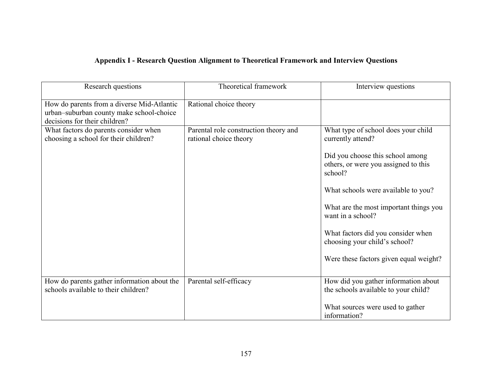# **Appendix I - Research Question Alignment to Theoretical Framework and Interview Questions**

| Research questions                                                                                                      | Theoretical framework                                           | Interview questions                                                                 |
|-------------------------------------------------------------------------------------------------------------------------|-----------------------------------------------------------------|-------------------------------------------------------------------------------------|
| How do parents from a diverse Mid-Atlantic<br>urban-suburban county make school-choice<br>decisions for their children? | Rational choice theory                                          |                                                                                     |
| What factors do parents consider when<br>choosing a school for their children?                                          | Parental role construction theory and<br>rational choice theory | What type of school does your child<br>currently attend?                            |
|                                                                                                                         |                                                                 | Did you choose this school among<br>others, or were you assigned to this<br>school? |
|                                                                                                                         |                                                                 | What schools were available to you?                                                 |
|                                                                                                                         |                                                                 | What are the most important things you<br>want in a school?                         |
|                                                                                                                         |                                                                 | What factors did you consider when<br>choosing your child's school?                 |
|                                                                                                                         |                                                                 | Were these factors given equal weight?                                              |
| How do parents gather information about the<br>schools available to their children?                                     | Parental self-efficacy                                          | How did you gather information about<br>the schools available to your child?        |
|                                                                                                                         |                                                                 | What sources were used to gather<br>information?                                    |